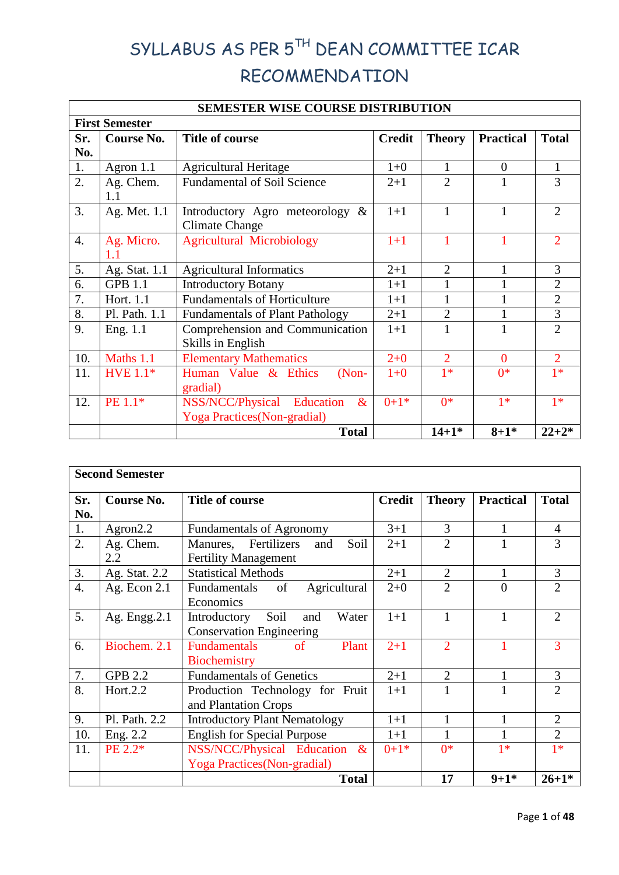# SYLLABUS AS PER 5TH DEAN COMMITTEE ICAR RECOMMENDATION

|                       | <b>SEMESTER WISE COURSE DISTRIBUTION</b> |                                                                              |               |                |                  |                |  |  |  |
|-----------------------|------------------------------------------|------------------------------------------------------------------------------|---------------|----------------|------------------|----------------|--|--|--|
| <b>First Semester</b> |                                          |                                                                              |               |                |                  |                |  |  |  |
| Sr.                   | <b>Course No.</b>                        | <b>Title of course</b>                                                       | <b>Credit</b> | <b>Theory</b>  | <b>Practical</b> | <b>Total</b>   |  |  |  |
| No.                   |                                          |                                                                              |               |                |                  |                |  |  |  |
| 1.                    | Agron 1.1                                | <b>Agricultural Heritage</b>                                                 | $1 + 0$       |                | $\overline{0}$   | $\mathbf{1}$   |  |  |  |
| $\overline{2}$ .      | Ag. Chem.<br>1.1                         | <b>Fundamental of Soil Science</b>                                           | $2+1$         | $\overline{2}$ |                  | 3              |  |  |  |
| 3.                    | Ag. Met. 1.1                             | Introductory Agro meteorology &<br><b>Climate Change</b>                     | $1+1$         | 1              | $\mathbf{1}$     | $\overline{2}$ |  |  |  |
| 4.                    | Ag. Micro.<br>1.1                        | <b>Agricultural Microbiology</b>                                             | $1+1$         |                |                  | $\overline{2}$ |  |  |  |
| 5.                    | Ag. Stat. 1.1                            | <b>Agricultural Informatics</b>                                              | $2+1$         | $\overline{2}$ |                  | 3              |  |  |  |
| 6.                    | <b>GPB 1.1</b>                           | <b>Introductory Botany</b>                                                   | $1+1$         |                |                  | $\overline{2}$ |  |  |  |
| 7.                    | Hort. 1.1                                | <b>Fundamentals of Horticulture</b>                                          | $1+1$         |                |                  | $\overline{2}$ |  |  |  |
| 8.                    | Pl. Path. 1.1                            | <b>Fundamentals of Plant Pathology</b>                                       | $2+1$         | $\overline{2}$ |                  | 3              |  |  |  |
| 9.                    | Eng. 1.1                                 | Comprehension and Communication<br>Skills in English                         | $1+1$         |                |                  | $\overline{2}$ |  |  |  |
| 10.                   | Maths 1.1                                | <b>Elementary Mathematics</b>                                                | $2 + 0$       | $\overline{2}$ | $\theta$         | $\overline{2}$ |  |  |  |
| 11.                   | <b>HVE 1.1*</b>                          | Human Value & Ethics<br>$(Non-$<br>gradial)                                  | $1 + 0$       | $1*$           | $0*$             | $1*$           |  |  |  |
| 12.                   | PE 1.1*                                  | NSS/NCC/Physical<br>Education<br>$\&$<br><b>Yoga Practices</b> (Non-gradial) | $0+1*$        | $0*$           | $1*$             | $1*$           |  |  |  |
|                       |                                          | <b>Total</b>                                                                 |               | $14 + 1*$      | $8 + 1*$         | $22 + 2*$      |  |  |  |

|                  | <b>Second Semester</b> |                                                                           |               |                |                  |                |  |  |  |
|------------------|------------------------|---------------------------------------------------------------------------|---------------|----------------|------------------|----------------|--|--|--|
| Sr.              | <b>Course No.</b>      | <b>Title of course</b>                                                    | <b>Credit</b> | <b>Theory</b>  | <b>Practical</b> | <b>Total</b>   |  |  |  |
| No.              |                        |                                                                           |               |                |                  |                |  |  |  |
| 1.               | Agron $2.2$            | <b>Fundamentals of Agronomy</b>                                           | $3+1$         | 3              | 1                | $\overline{4}$ |  |  |  |
| 2.               | Ag. Chem.<br>2.2       | Fertilizers<br>Soil<br>Manures,<br>and<br><b>Fertility Management</b>     | $2+1$         | $\overline{2}$ |                  | 3              |  |  |  |
| 3.               | Ag. Stat. 2.2          | <b>Statistical Methods</b>                                                | $2+1$         | $\overline{2}$ | 1                | $\overline{3}$ |  |  |  |
| $\overline{4}$ . | Ag. Econ $2.1$         | Fundamentals<br>Agricultural<br>of<br>Economics                           | $2 + 0$       | $\overline{2}$ | $\theta$         | $\overline{2}$ |  |  |  |
| 5.               | Ag. Engg. $2.1$        | Introductory<br>Soil<br>Water<br>and<br><b>Conservation Engineering</b>   | $1+1$         |                | 1                | $\overline{2}$ |  |  |  |
| 6.               | Biochem. 2.1           | <b>Fundamentals</b><br>Plant<br><sub>of</sub><br>Biochemistry             | $2 + 1$       | $\overline{2}$ | 1                | 3              |  |  |  |
| 7.               | <b>GPB 2.2</b>         | <b>Fundamentals of Genetics</b>                                           | $2+1$         | $\overline{2}$ | 1                | 3              |  |  |  |
| 8.               | Hort.2.2               | Production Technology for Fruit<br>and Plantation Crops                   | $1+1$         |                | 1                | $\overline{2}$ |  |  |  |
| 9.               | Pl. Path. 2.2          | <b>Introductory Plant Nematology</b>                                      | $1+1$         | 1              | 1                | $\overline{2}$ |  |  |  |
| 10.              | Eng. 2.2               | <b>English for Special Purpose</b>                                        | $1+1$         |                | 1                | $\overline{2}$ |  |  |  |
| 11.              | PE 2.2*                | NSS/NCC/Physical Education<br>$\&$<br><b>Yoga Practices</b> (Non-gradial) | $0+1*$        | $0*$           | $1*$             | $1*$           |  |  |  |
|                  |                        | <b>Total</b>                                                              |               | 17             | $9 + 1*$         | $26 + 1*$      |  |  |  |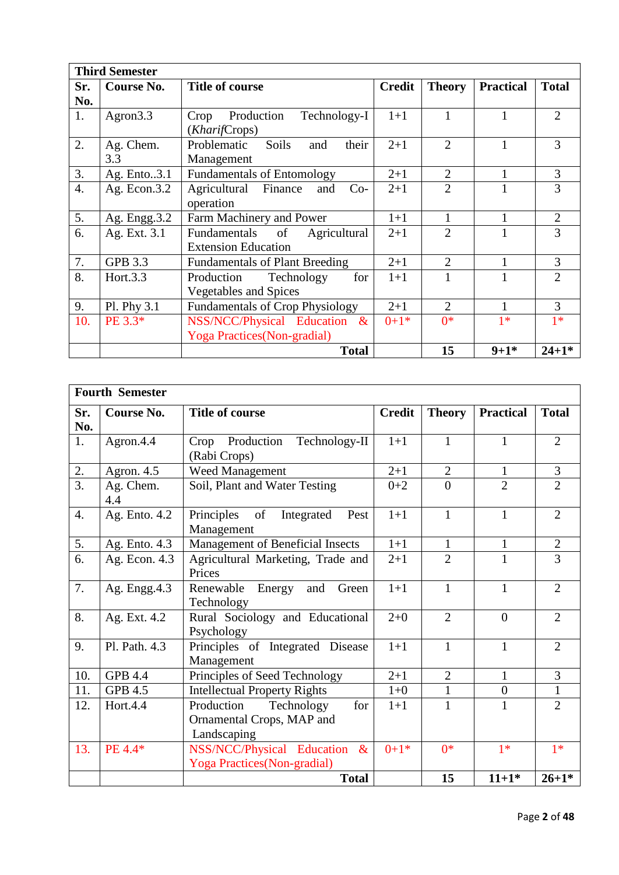|                  | <b>Third Semester</b> |                                        |               |                |                  |                |  |  |
|------------------|-----------------------|----------------------------------------|---------------|----------------|------------------|----------------|--|--|
| Sr.              | Course No.            | <b>Title of course</b>                 | <b>Credit</b> | <b>Theory</b>  | <b>Practical</b> | <b>Total</b>   |  |  |
| No.              |                       |                                        |               |                |                  |                |  |  |
| 1.               | Agron <sub>3.3</sub>  | Production<br>Technology-I<br>Crop     | $1+1$         | 1              | 1                | $\overline{2}$ |  |  |
|                  |                       | (KharifCrops)                          |               |                |                  |                |  |  |
| 2.               | Ag. Chem.             | their<br>Problematic<br>Soils<br>and   | $2 + 1$       | $\overline{2}$ | $\mathbf{1}$     | 3              |  |  |
|                  | 3.3                   | Management                             |               |                |                  |                |  |  |
| 3.               | Ag. Ento3.1           | <b>Fundamentals of Entomology</b>      | $2+1$         | $\overline{2}$ | $\mathbf{1}$     | 3              |  |  |
| $\overline{4}$ . | Ag. Econ. $3.2$       | Agricultural Finance<br>$Co-$<br>and   | $2+1$         | $\overline{2}$ |                  | 3              |  |  |
|                  |                       | operation                              |               |                |                  |                |  |  |
| 5.               | Ag. Engg. 3.2         | Farm Machinery and Power               | $1+1$         | 1              | 1                | $\overline{2}$ |  |  |
| 6.               | Ag. Ext. 3.1          | Fundamentals<br>of<br>Agricultural     | $2 + 1$       | $\overline{2}$ |                  | 3              |  |  |
|                  |                       | <b>Extension Education</b>             |               |                |                  |                |  |  |
| 7.               | <b>GPB 3.3</b>        | <b>Fundamentals of Plant Breeding</b>  | $2+1$         | $\overline{2}$ | 1                | 3              |  |  |
| 8.               | Hort.3.3              | Technology<br>Production<br>for        | $1+1$         |                | 1                | $\overline{2}$ |  |  |
|                  |                       | <b>Vegetables and Spices</b>           |               |                |                  |                |  |  |
| 9.               | Pl. Phy 3.1           | <b>Fundamentals of Crop Physiology</b> | $2 + 1$       | $\overline{2}$ | 1                | 3              |  |  |
| 10.              | PE 3.3*               | NSS/NCC/Physical Education &           | $0+1*$        | $0*$           | $1*$             | $1*$           |  |  |
|                  |                       | Yoga Practices (Non-gradial)           |               |                |                  |                |  |  |
|                  |                       | <b>Total</b>                           |               | 15             | $9 + 1*$         | $24 + 1*$      |  |  |

|                  | <b>Fourth Semester</b> |                                        |               |                |                  |                |  |  |  |
|------------------|------------------------|----------------------------------------|---------------|----------------|------------------|----------------|--|--|--|
| Sr.              | <b>Course No.</b>      | <b>Title of course</b>                 | <b>Credit</b> | <b>Theory</b>  | <b>Practical</b> | <b>Total</b>   |  |  |  |
| No.              |                        |                                        |               |                |                  |                |  |  |  |
| 1.               | Agron.4.4              | Crop Production<br>Technology-II       | $1+1$         | $\mathbf{1}$   | $\mathbf{1}$     | $\overline{2}$ |  |  |  |
|                  |                        | (Rabi Crops)                           |               |                |                  |                |  |  |  |
| 2.               | Agron. $4.5$           | Weed Management                        | $2+1$         | $\overline{2}$ | $\mathbf{1}$     | $\overline{3}$ |  |  |  |
| 3.               | Ag. Chem.              | Soil, Plant and Water Testing          | $0 + 2$       | $\theta$       | $\overline{2}$   | $\overline{2}$ |  |  |  |
|                  | 4.4                    |                                        |               |                |                  |                |  |  |  |
| $\overline{4}$ . | Ag. Ento. 4.2          | Principles<br>of<br>Integrated<br>Pest | $1+1$         | $\mathbf{1}$   | $\mathbf{1}$     | $\overline{2}$ |  |  |  |
|                  |                        | Management                             |               |                |                  |                |  |  |  |
| 5.               | Ag. Ento. 4.3          | Management of Beneficial Insects       | $1+1$         | $\mathbf{1}$   | 1                | $\mathbf{2}$   |  |  |  |
| 6.               | Ag. Econ. 4.3          | Agricultural Marketing, Trade and      | $2 + 1$       | $\overline{2}$ | $\mathbf{1}$     | $\overline{3}$ |  |  |  |
|                  |                        | Prices                                 |               |                |                  |                |  |  |  |
| 7.               | Ag. Engg. 4.3          | Energy<br>Renewable<br>and<br>Green    | $1+1$         | $\mathbf{1}$   | $\mathbf{1}$     | $\overline{2}$ |  |  |  |
|                  |                        | Technology                             |               |                |                  |                |  |  |  |
| 8.               | Ag. Ext. 4.2           | Rural Sociology and Educational        | $2 + 0$       | $\overline{2}$ | $\overline{0}$   | $\overline{2}$ |  |  |  |
|                  |                        | Psychology                             |               |                |                  |                |  |  |  |
| 9.               | Pl. Path. 4.3          | Principles of Integrated Disease       | $1+1$         | $\mathbf{1}$   | $\mathbf{1}$     | $\overline{2}$ |  |  |  |
|                  |                        | Management                             |               |                |                  |                |  |  |  |
| 10.              | <b>GPB 4.4</b>         | Principles of Seed Technology          | $2 + 1$       | $\overline{2}$ | $\mathbf{1}$     | 3              |  |  |  |
| 11.              | <b>GPB 4.5</b>         | <b>Intellectual Property Rights</b>    | $1 + 0$       | $\mathbf{1}$   | $\boldsymbol{0}$ |                |  |  |  |
| 12.              | Hort.4.4               | Production<br>Technology<br>for        | $1+1$         | $\mathbf{1}$   | $\mathbf{1}$     | $\overline{2}$ |  |  |  |
|                  |                        | Ornamental Crops, MAP and              |               |                |                  |                |  |  |  |
|                  |                        | Landscaping                            |               |                |                  |                |  |  |  |
| 13.              | PE 4.4*                | NSS/NCC/Physical Education<br>$\&$     | $0+1*$        | $0*$           | $1*$             | $1*$           |  |  |  |
|                  |                        | Yoga Practices(Non-gradial)            |               |                |                  |                |  |  |  |
|                  |                        | <b>Total</b>                           |               | 15             | $11+1*$          | $26 + 1*$      |  |  |  |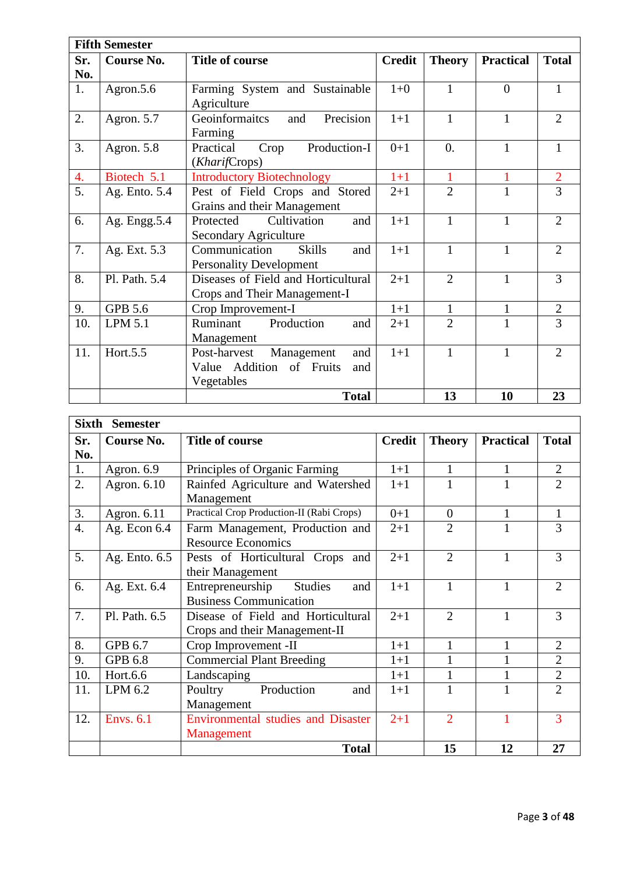|     | <b>Fifth Semester</b> |                                                                                    |               |                  |                  |                |  |  |  |
|-----|-----------------------|------------------------------------------------------------------------------------|---------------|------------------|------------------|----------------|--|--|--|
| Sr. | Course No.            | <b>Title of course</b>                                                             | <b>Credit</b> | <b>Theory</b>    | <b>Practical</b> | <b>Total</b>   |  |  |  |
| No. |                       |                                                                                    |               |                  |                  |                |  |  |  |
| 1.  | Agron.5.6             | Farming System and Sustainable<br>Agriculture                                      | $1 + 0$       | $\mathbf{1}$     | $\overline{0}$   | 1              |  |  |  |
| 2.  | Agron. 5.7            | Precision<br>Geoinformaitcs<br>and<br>Farming                                      | $1+1$         | $\mathbf{1}$     | $\mathbf{1}$     | 2              |  |  |  |
| 3.  | Agron. 5.8            | Practical<br>Production-I<br>Crop<br>(KharifCrops)                                 | $0+1$         | $\overline{0}$ . | $\mathbf{1}$     | 1              |  |  |  |
| 4.  | Biotech 5.1           | <b>Introductory Biotechnology</b>                                                  | $1+1$         | $\mathbf{1}$     | 1                | $\overline{2}$ |  |  |  |
| 5.  | Ag. Ento. 5.4         | Pest of Field Crops and Stored                                                     | $2+1$         | $\overline{2}$   | 1                | $\overline{3}$ |  |  |  |
|     |                       | Grains and their Management                                                        |               |                  |                  |                |  |  |  |
| 6.  | Ag. Engg.5.4          | Cultivation<br>Protected<br>and<br><b>Secondary Agriculture</b>                    | $1+1$         | 1                | $\mathbf{1}$     | $\overline{2}$ |  |  |  |
| 7.  | Ag. Ext. 5.3          | Communication<br><b>Skills</b><br>and<br><b>Personality Development</b>            | $1+1$         | 1                | $\mathbf{1}$     | $\overline{2}$ |  |  |  |
| 8.  | Pl. Path. 5.4         | Diseases of Field and Horticultural<br>Crops and Their Management-I                | $2+1$         | $\overline{2}$   | $\mathbf{1}$     | 3              |  |  |  |
| 9.  | <b>GPB 5.6</b>        | Crop Improvement-I                                                                 | $1+1$         | 1                | 1                | $\overline{2}$ |  |  |  |
| 10. | <b>LPM 5.1</b>        | Ruminant<br>Production<br>and<br>Management                                        | $2+1$         | $\overline{2}$   | 1                | 3              |  |  |  |
| 11. | Hort.5.5              | Management<br>Post-harvest<br>and<br>Value Addition of Fruits<br>and<br>Vegetables | $1+1$         | $\mathbf{1}$     | 1                | $\overline{2}$ |  |  |  |
|     |                       | <b>Total</b>                                                                       |               | 13               | 10               | 23             |  |  |  |

|                  | Sixth<br><b>Semester</b> |                                           |               |                |                  |                |  |  |
|------------------|--------------------------|-------------------------------------------|---------------|----------------|------------------|----------------|--|--|
| Sr.              | Course No.               | <b>Title of course</b>                    | <b>Credit</b> | <b>Theory</b>  | <b>Practical</b> | <b>Total</b>   |  |  |
| No.              |                          |                                           |               |                |                  |                |  |  |
| 1.               | Agron. 6.9               | Principles of Organic Farming             | $1+1$         | $\mathbf{1}$   | $\mathbf{1}$     | $\overline{2}$ |  |  |
| 2.               | Agron. 6.10              | Rainfed Agriculture and Watershed         | $1+1$         |                |                  | $\overline{2}$ |  |  |
|                  |                          | Management                                |               |                |                  |                |  |  |
| 3.               | Agron. 6.11              | Practical Crop Production-II (Rabi Crops) | $0+1$         | $\Omega$       | $\mathbf{1}$     | 1              |  |  |
| $\overline{4}$ . | Ag. Econ $6.4$           | Farm Management, Production and           | $2 + 1$       | $\overline{2}$ | 1                | 3              |  |  |
|                  |                          | <b>Resource Economics</b>                 |               |                |                  |                |  |  |
| 5.               | Ag. Ento. 6.5            | Pests of Horticultural Crops and          | $2+1$         | $\overline{2}$ | 1                | 3              |  |  |
|                  |                          | their Management                          |               |                |                  |                |  |  |
| 6.               | Ag. Ext. 6.4             | Entrepreneurship<br><b>Studies</b><br>and | $1+1$         | 1              | $\mathbf{1}$     | $\overline{2}$ |  |  |
|                  |                          | <b>Business Communication</b>             |               |                |                  |                |  |  |
| 7.               | Pl. Path. 6.5            | Disease of Field and Horticultural        | $2 + 1$       | $\overline{2}$ | 1                | 3              |  |  |
|                  |                          | Crops and their Management-II             |               |                |                  |                |  |  |
| 8.               | GPB 6.7                  | Crop Improvement -II                      | $1+1$         | 1              | $\mathbf{1}$     | $\overline{2}$ |  |  |
| 9.               | <b>GPB 6.8</b>           | <b>Commercial Plant Breeding</b>          | $1+1$         | $\mathbf{1}$   |                  | $\overline{2}$ |  |  |
| 10.              | Hort.6.6                 | Landscaping                               | $1+1$         | 1              | $\mathbf{1}$     | $\overline{2}$ |  |  |
| 11.              | LPM 6.2                  | Production<br>Poultry<br>and              | $1+1$         | 1              | 1                | $\overline{2}$ |  |  |
|                  |                          | Management                                |               |                |                  |                |  |  |
| 12.              | <b>Envs. 6.1</b>         | <b>Environmental studies and Disaster</b> | $2 + 1$       | $\overline{2}$ | 1                | 3              |  |  |
|                  |                          | Management                                |               |                |                  |                |  |  |
|                  |                          | <b>Total</b>                              |               | 15             | 12               | 27             |  |  |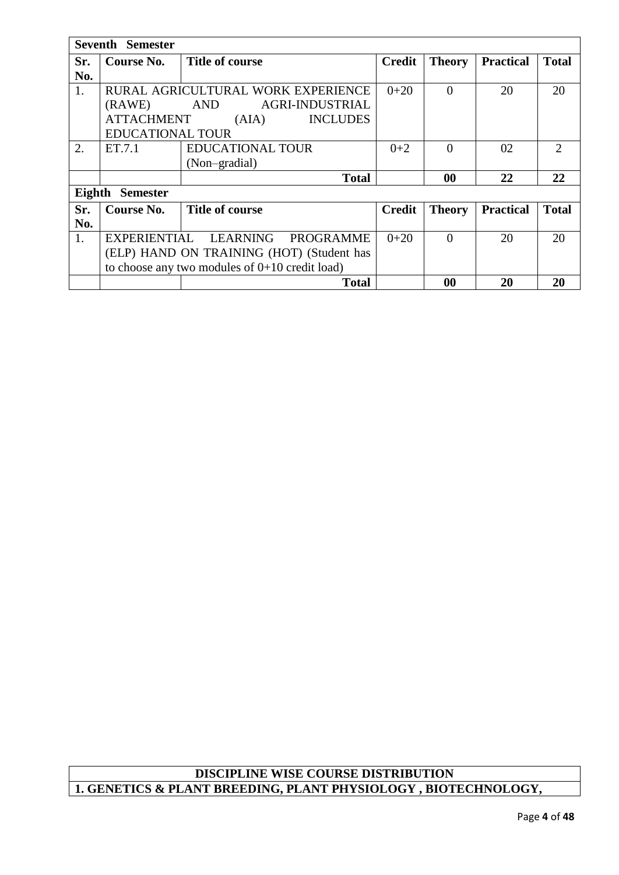|     | <b>Seventh Semester</b> |                                                  |               |               |                  |                             |  |  |  |
|-----|-------------------------|--------------------------------------------------|---------------|---------------|------------------|-----------------------------|--|--|--|
| Sr. | Course No.              | Title of course                                  | <b>Credit</b> | <b>Theory</b> | <b>Practical</b> | <b>Total</b>                |  |  |  |
| No. |                         |                                                  |               |               |                  |                             |  |  |  |
| 1.  |                         | RURAL AGRICULTURAL WORK EXPERIENCE               | $0+20$        | $\Omega$      | 20               | 20                          |  |  |  |
|     | (RAWE)                  | AGRI-INDUSTRIAL<br><b>AND</b>                    |               |               |                  |                             |  |  |  |
|     | <b>ATTACHMENT</b>       | <b>INCLUDES</b><br>(AIA)                         |               |               |                  |                             |  |  |  |
|     | <b>EDUCATIONAL TOUR</b> |                                                  |               |               |                  |                             |  |  |  |
| 2.  | ET.7.1                  | <b>EDUCATIONAL TOUR</b>                          | $0 + 2$       | $\Omega$      | 02               | $\mathcal{D}_{\mathcal{L}}$ |  |  |  |
|     |                         | (Non-gradial)                                    |               |               |                  |                             |  |  |  |
|     |                         | <b>Total</b>                                     |               | 00            | 22               | 22                          |  |  |  |
|     | Eighth Semester         |                                                  |               |               |                  |                             |  |  |  |
| Sr. | Course No.              | <b>Title of course</b>                           | <b>Credit</b> | <b>Theory</b> | <b>Practical</b> | <b>Total</b>                |  |  |  |
| No. |                         |                                                  |               |               |                  |                             |  |  |  |
| 1.  |                         | EXPERIENTIAL LEARNING<br>PROGRAMME               | $0+20$        | $\Omega$      | 20               | 20                          |  |  |  |
|     |                         | (ELP) HAND ON TRAINING (HOT) (Student has        |               |               |                  |                             |  |  |  |
|     |                         | to choose any two modules of $0+10$ credit load) |               |               |                  |                             |  |  |  |
|     |                         | <b>Total</b>                                     |               | 00            | 20               | 20                          |  |  |  |

# **DISCIPLINE WISE COURSE DISTRIBUTION 1. GENETICS & PLANT BREEDING, PLANT PHYSIOLOGY , BIOTECHNOLOGY,**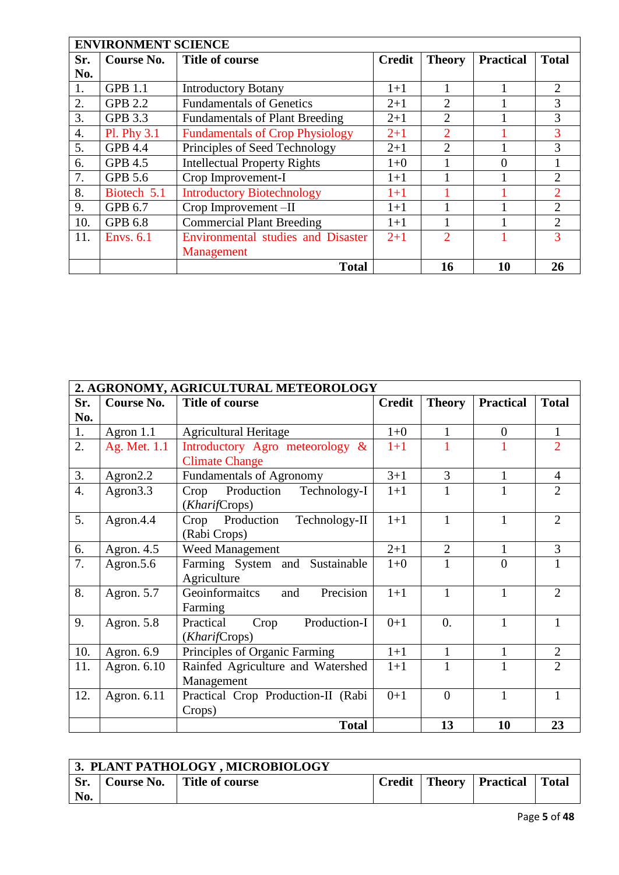|                  | <b>ENVIRONMENT SCIENCE</b> |                                           |               |                |                  |                |  |  |  |
|------------------|----------------------------|-------------------------------------------|---------------|----------------|------------------|----------------|--|--|--|
| Sr.              | <b>Course No.</b>          | Title of course                           | <b>Credit</b> | <b>Theory</b>  | <b>Practical</b> | <b>Total</b>   |  |  |  |
| No.              |                            |                                           |               |                |                  |                |  |  |  |
| 1.               | <b>GPB 1.1</b>             | <b>Introductory Botany</b>                | $1+1$         |                |                  | 2              |  |  |  |
| 2.               | <b>GPB 2.2</b>             | <b>Fundamentals of Genetics</b>           | $2 + 1$       | $\mathfrak{D}$ |                  | 3              |  |  |  |
| 3.               | GPB 3.3                    | <b>Fundamentals of Plant Breeding</b>     | $2 + 1$       | $\overline{2}$ |                  | 3              |  |  |  |
| $\overline{4}$ . | Pl. Phy 3.1                | <b>Fundamentals of Crop Physiology</b>    | $2 + 1$       | $\overline{2}$ |                  | 3              |  |  |  |
| 5.               | <b>GPB 4.4</b>             | Principles of Seed Technology             | $2 + 1$       | $\overline{2}$ |                  | 3              |  |  |  |
| 6.               | <b>GPB 4.5</b>             | <b>Intellectual Property Rights</b>       | $1+0$         |                | 0                |                |  |  |  |
| 7.               | <b>GPB 5.6</b>             | Crop Improvement-I                        | $1+1$         |                |                  | 2              |  |  |  |
| 8.               | Biotech 5.1                | <b>Introductory Biotechnology</b>         | $1+1$         |                |                  | $\overline{2}$ |  |  |  |
| 9.               | GPB 6.7                    | Crop Improvement-II                       | $1 + 1$       |                |                  | $\overline{2}$ |  |  |  |
| 10.              | GPB 6.8                    | <b>Commercial Plant Breeding</b>          | $1+1$         |                |                  | $\overline{2}$ |  |  |  |
| 11.              | <b>Envs.</b> 6.1           | <b>Environmental studies and Disaster</b> | $2 + 1$       | $\mathfrak{D}$ |                  | 3              |  |  |  |
|                  |                            | Management                                |               |                |                  |                |  |  |  |
|                  |                            | <b>Total</b>                              |               | 16             | 10               | 26             |  |  |  |

|                  | 2. AGRONOMY, AGRICULTURAL METEOROLOGY |                                                     |               |                |                  |                |  |  |  |
|------------------|---------------------------------------|-----------------------------------------------------|---------------|----------------|------------------|----------------|--|--|--|
| Sr.              | <b>Course No.</b>                     | <b>Title of course</b>                              | <b>Credit</b> | <b>Theory</b>  | <b>Practical</b> | <b>Total</b>   |  |  |  |
| No.              |                                       |                                                     |               |                |                  |                |  |  |  |
| 1.               | Agron $1.1$                           | <b>Agricultural Heritage</b>                        | $1 + 0$       | 1              | $\overline{0}$   | $\mathbf{1}$   |  |  |  |
| 2.               | Ag. Met. 1.1                          | Introductory Agro meteorology &                     | $1+1$         |                |                  | $\overline{2}$ |  |  |  |
|                  |                                       | <b>Climate Change</b>                               |               |                |                  |                |  |  |  |
| 3.               | Agron2.2                              | <b>Fundamentals of Agronomy</b>                     | $3 + 1$       | $\overline{3}$ | $\mathbf{1}$     | $\overline{4}$ |  |  |  |
| $\overline{4}$ . | Agron <sub>3.3</sub>                  | Production<br>Technology-I<br>Crop<br>(KharifCrops) | $1+1$         |                |                  | $\overline{2}$ |  |  |  |
| 5.               | Agron.4.4                             | Crop Production<br>Technology-II<br>(Rabi Crops)    | $1+1$         | 1              | 1                | $\overline{2}$ |  |  |  |
| 6.               | Agron. 4.5                            | Weed Management                                     | $2+1$         | $\overline{2}$ | $\mathbf{1}$     | 3              |  |  |  |
| 7.               | Agron.5.6                             | Farming System and Sustainable<br>Agriculture       | $1 + 0$       |                | $\theta$         | $\mathbf{1}$   |  |  |  |
| 8.               | Agron. 5.7                            | Precision<br>Geoinformaitcs<br>and<br>Farming       | $1+1$         | 1              | 1                | $\overline{2}$ |  |  |  |
| 9.               | Agron. 5.8                            | Production-I<br>Practical<br>Crop<br>(KharifCrops)  | $0+1$         | $\Omega$ .     | 1                | 1              |  |  |  |
| 10.              | Agron. 6.9                            | Principles of Organic Farming                       | $1+1$         | 1              | 1                | $\overline{2}$ |  |  |  |
| 11.              | Agron. 6.10                           | Rainfed Agriculture and Watershed<br>Management     | $1+1$         | 1              | 1                | $\overline{2}$ |  |  |  |
| 12.              | Agron. 6.11                           | Practical Crop Production-II (Rabi<br>Crops)        | $0+1$         | $\theta$       | 1                | $\mathbf{1}$   |  |  |  |
|                  |                                       | <b>Total</b>                                        |               | 13             | 10               | 23             |  |  |  |

|     | 3. PLANT PATHOLOGY, MICROBIOLOGY |                              |  |  |                             |       |  |  |
|-----|----------------------------------|------------------------------|--|--|-----------------------------|-------|--|--|
| Sr. |                                  | Course No.   Title of course |  |  | Credit   Theory   Practical | Total |  |  |
| No. |                                  |                              |  |  |                             |       |  |  |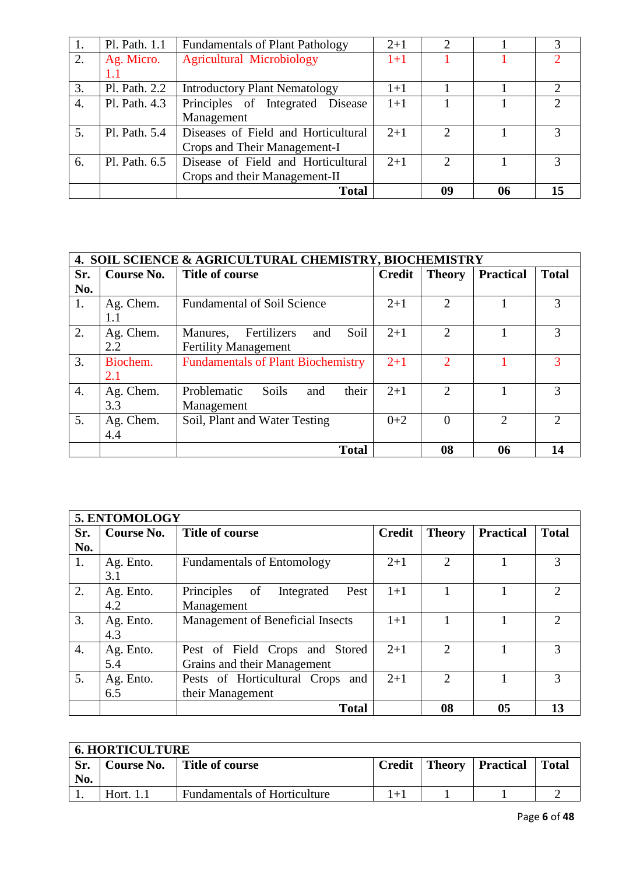| 1. | Pl. Path. 1.1 | <b>Fundamentals of Plant Pathology</b> | $2 + 1$ |               |    | 3                           |
|----|---------------|----------------------------------------|---------|---------------|----|-----------------------------|
| 2. | Ag. Micro.    | <b>Agricultural Microbiology</b>       | $1+1$   |               |    | $\mathcal{D}_{\mathcal{L}}$ |
|    | $1.1\,$       |                                        |         |               |    |                             |
| 3. | Pl. Path. 2.2 | <b>Introductory Plant Nematology</b>   | $1 + 1$ |               |    | $\mathcal{D}_{\mathcal{A}}$ |
| 4. | Pl. Path. 4.3 | Principles of Integrated Disease       | $1+1$   |               |    | $\mathcal{D}_{\mathcal{L}}$ |
|    |               | Management                             |         |               |    |                             |
| 5. | Pl. Path. 5.4 | Diseases of Field and Horticultural    | $2 + 1$ | $\mathcal{D}$ |    | 3                           |
|    |               | Crops and Their Management-I           |         |               |    |                             |
| 6. | Pl. Path. 6.5 | Disease of Field and Horticultural     | $2 + 1$ | ↑             |    | $\mathcal{R}$               |
|    |               | Crops and their Management-II          |         |               |    |                             |
|    |               | <b>Total</b>                           |         | 09            | 06 | 15                          |

|                  | <b>4. SOIL SCIENCE &amp; AGRICULTURAL CHEMISTRY, BIOCHEMISTRY</b> |                                           |               |                             |                  |                             |  |  |  |
|------------------|-------------------------------------------------------------------|-------------------------------------------|---------------|-----------------------------|------------------|-----------------------------|--|--|--|
| Sr.              | Course No.                                                        | Title of course                           | <b>Credit</b> | <b>Theory</b>               | <b>Practical</b> | <b>Total</b>                |  |  |  |
| No.              |                                                                   |                                           |               |                             |                  |                             |  |  |  |
| 1.               | Ag. Chem.                                                         | <b>Fundamental of Soil Science</b>        | $2 + 1$       | $\mathfrak{D}$              |                  | 3                           |  |  |  |
|                  | 1.1                                                               |                                           |               |                             |                  |                             |  |  |  |
| 2.               | Ag. Chem.                                                         | Soil<br>Fertilizers<br>Manures,<br>and    | $2 + 1$       | $\mathfrak{D}$              |                  | 3                           |  |  |  |
|                  | 2.2                                                               | <b>Fertility Management</b>               |               |                             |                  |                             |  |  |  |
| 3.               | Biochem.                                                          | <b>Fundamentals of Plant Biochemistry</b> | $2 + 1$       | $\mathcal{D}_{\cdot}$       |                  | 3                           |  |  |  |
|                  | 2.1                                                               |                                           |               |                             |                  |                             |  |  |  |
| $\overline{4}$ . | Ag. Chem.                                                         | their<br>Problematic<br>Soils<br>and      | $2 + 1$       | $\mathcal{D}_{\mathcal{L}}$ |                  | 3                           |  |  |  |
|                  | 3.3                                                               | Management                                |               |                             |                  |                             |  |  |  |
| 5.               | Ag. Chem.                                                         | Soil, Plant and Water Testing             | $0 + 2$       | 0                           | 2                | $\mathcal{D}_{\mathcal{L}}$ |  |  |  |
|                  | 4.4                                                               |                                           |               |                             |                  |                             |  |  |  |
|                  |                                                                   | <b>Total</b>                              |               | 08                          | 06               | 14                          |  |  |  |

|                  | 5. ENTOMOLOGY |                                        |               |                             |                  |                             |
|------------------|---------------|----------------------------------------|---------------|-----------------------------|------------------|-----------------------------|
| Sr.              | Course No.    | <b>Title of course</b>                 | <b>Credit</b> | <b>Theory</b>               | <b>Practical</b> | <b>Total</b>                |
| No.              |               |                                        |               |                             |                  |                             |
| 1.               | Ag. Ento.     | <b>Fundamentals of Entomology</b>      | $2+1$         | າ                           |                  | 3                           |
|                  | 3.1           |                                        |               |                             |                  |                             |
| 2.               | Ag. Ento.     | Principles<br>of<br>Pest<br>Integrated | $1+1$         |                             |                  | $\mathcal{D}_{\mathcal{A}}$ |
|                  | 4.2           | Management                             |               |                             |                  |                             |
| 3.               | Ag. Ento.     | Management of Beneficial Insects       | $1+1$         |                             |                  | $\mathcal{D}$               |
|                  | 4.3           |                                        |               |                             |                  |                             |
| $\overline{4}$ . | Ag. Ento.     | Pest of Field Crops and Stored         | $2 + 1$       | $\mathcal{D}_{\mathcal{L}}$ |                  | 3                           |
|                  | 5.4           | Grains and their Management            |               |                             |                  |                             |
| 5 <sub>1</sub>   | Ag. Ento.     | Pests of Horticultural Crops and       | $2+1$         | $\mathfrak{D}$              |                  | 3                           |
|                  | 6.5           | their Management                       |               |                             |                  |                             |
|                  |               | <b>Total</b>                           |               | 08                          | 0 <sub>5</sub>   | 13                          |

|     | <b>6. HORTICULTURE</b>                                     |                                     |      |  |       |  |
|-----|------------------------------------------------------------|-------------------------------------|------|--|-------|--|
|     | Course No.   Title of course<br>Theory Practical<br>Credit |                                     |      |  | Total |  |
| No. |                                                            |                                     |      |  |       |  |
| . . | Hort. $1.1$                                                | <b>Fundamentals of Horticulture</b> | $+1$ |  |       |  |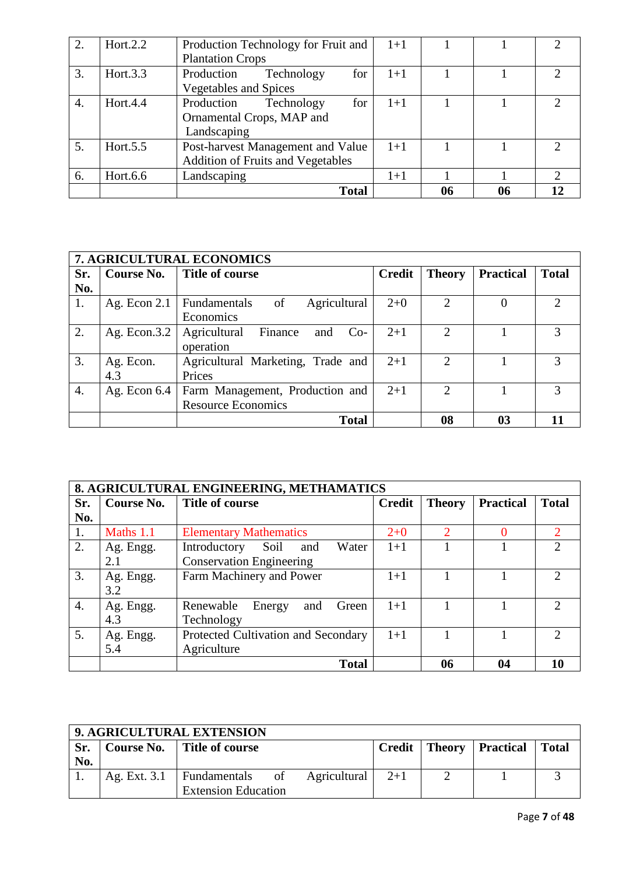| 2. | Hort. $2.2$ | Production Technology for Fruit and      | $1+1$   |    |    | $\mathcal{D}_{\cdot}$       |
|----|-------------|------------------------------------------|---------|----|----|-----------------------------|
|    |             | <b>Plantation Crops</b>                  |         |    |    |                             |
| 3. | Hort. $3.3$ | for<br>Production<br>Technology          | $1+1$   |    |    | $\mathcal{D}_{\mathcal{A}}$ |
|    |             | <b>Vegetables and Spices</b>             |         |    |    |                             |
| 4. | Hort.4.4    | for<br>Production<br>Technology          | $1 + 1$ |    |    |                             |
|    |             | Ornamental Crops, MAP and                |         |    |    |                             |
|    |             | Landscaping                              |         |    |    |                             |
| 5. | Hort. $5.5$ | Post-harvest Management and Value        | $1+1$   |    |    | ∍                           |
|    |             | <b>Addition of Fruits and Vegetables</b> |         |    |    |                             |
| 6. | Hort.6.6    | Landscaping                              | $1 + 1$ |    |    | 2                           |
|    |             | <b>Total</b>                             |         | 06 | 06 | 12.                         |

|     | 7. AGRICULTURAL ECONOMICS |                                                              |               |                             |                  |              |
|-----|---------------------------|--------------------------------------------------------------|---------------|-----------------------------|------------------|--------------|
| Sr. | Course No.                | Title of course                                              | <b>Credit</b> | <b>Theory</b>               | <b>Practical</b> | <b>Total</b> |
| No. |                           |                                                              |               |                             |                  |              |
| 1.  | Ag. Econ $2.1$            | Agricultural<br>Fundamentals<br>of<br>Economics              | $2+0$         | 2                           | 0                | 2            |
| 2.  | Ag. Econ. $3.2$           | Agricultural<br>$Co-$<br>Finance<br>and<br>operation         | $2+1$         | $\mathcal{D}_{\mathcal{L}}$ |                  | 3            |
| 3.  | Ag. Econ.<br>4.3          | Agricultural Marketing, Trade and<br>Prices                  | $2+1$         | $\mathcal{D}_{\mathcal{L}}$ |                  | 3            |
| 4.  | Ag. Econ $6.4$            | Farm Management, Production and<br><b>Resource Economics</b> | $2+1$         | $\mathcal{D}_{\mathcal{L}}$ |                  | 3            |
|     |                           | <b>Total</b>                                                 |               | 08                          | 03               | 11           |

|                  |            | 8. AGRICULTURAL ENGINEERING, METHAMATICS |               |               |                  |                             |
|------------------|------------|------------------------------------------|---------------|---------------|------------------|-----------------------------|
| Sr.              | Course No. | Title of course                          | <b>Credit</b> | <b>Theory</b> | <b>Practical</b> | <b>Total</b>                |
| No.              |            |                                          |               |               |                  |                             |
| 1.               | Maths 1.1  | <b>Elementary Mathematics</b>            | $2 + 0$       | C.            |                  | $\overline{2}$              |
| 2.               | Ag. Engg.  | Introductory Soil<br>Water<br>and        | $1+1$         |               |                  | $\mathcal{D}_{\mathcal{A}}$ |
|                  | 2.1        | <b>Conservation Engineering</b>          |               |               |                  |                             |
| 3.               | Ag. Engg.  | Farm Machinery and Power                 | $1+1$         |               |                  | $\overline{2}$              |
|                  | 3.2        |                                          |               |               |                  |                             |
| $\overline{4}$ . | Ag. Engg.  | Renewable<br>Energy<br>and<br>Green      | $1+1$         |               |                  | $\mathcal{D}_{\mathcal{A}}$ |
|                  | 4.3        | Technology                               |               |               |                  |                             |
| 5.               | Ag. Engg.  | Protected Cultivation and Secondary      | $1+1$         |               |                  | $\mathcal{D}_{\mathcal{L}}$ |
|                  | 5.4        | Agriculture                              |               |               |                  |                             |
|                  |            | <b>Total</b>                             |               | 06            | 04               | 10                          |

|     | 9. AGRICULTURAL EXTENSION |                                             |  |       |  |                                     |  |
|-----|---------------------------|---------------------------------------------|--|-------|--|-------------------------------------|--|
| Sr. |                           | Course No.   Title of course                |  |       |  | Credit   Theory   Practical   Total |  |
| No. |                           |                                             |  |       |  |                                     |  |
|     |                           | Ag. Ext. 3.1   Fundamentals of Agricultural |  | $2+1$ |  |                                     |  |
|     |                           | <b>Extension Education</b>                  |  |       |  |                                     |  |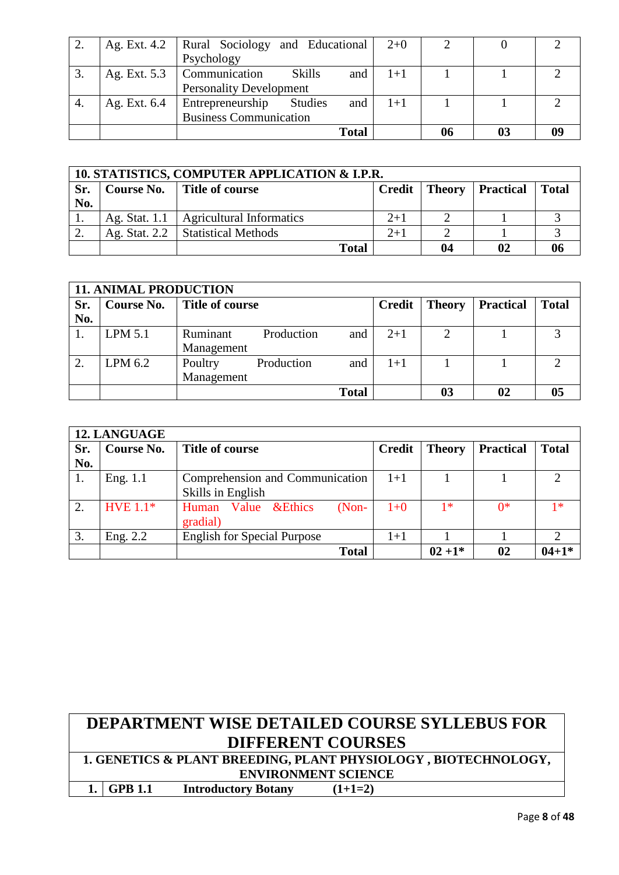|    | Ag. Ext. 4.2 |                                    | Rural Sociology and Educational |         |  |  |
|----|--------------|------------------------------------|---------------------------------|---------|--|--|
|    |              | Psychology                         |                                 |         |  |  |
|    | Ag. Ext. 5.3 | <b>Skills</b><br>Communication     | and                             | $1 + 1$ |  |  |
|    |              | <b>Personality Development</b>     |                                 |         |  |  |
| 4. | Ag. Ext. 6.4 | Entrepreneurship<br><b>Studies</b> | and                             | $1 + 1$ |  |  |
|    |              | <b>Business Communication</b>      |                                 |         |  |  |
|    |              |                                    | <b>Total</b>                    |         |  |  |

|     | 10. STATISTICS, COMPUTER APPLICATION & I.P.R. |                                          |                                      |    |    |  |  |  |
|-----|-----------------------------------------------|------------------------------------------|--------------------------------------|----|----|--|--|--|
| Sr. |                                               | Course No.   Title of course             | Total<br>Credit   Theory   Practical |    |    |  |  |  |
| No. |                                               |                                          |                                      |    |    |  |  |  |
| 1.  |                                               | Ag. Stat. 1.1   Agricultural Informatics | $2+1$                                |    |    |  |  |  |
| ۷.  |                                               | Ag. Stat. $2.2$   Statistical Methods    | $2+1$                                |    |    |  |  |  |
|     |                                               | <b>Total</b>                             |                                      | 04 | 02 |  |  |  |

|     | <b>11. ANIMAL PRODUCTION</b> |                 |            |              |               |               |                  |              |
|-----|------------------------------|-----------------|------------|--------------|---------------|---------------|------------------|--------------|
| Sr. | Course No.                   | Title of course |            |              | <b>Credit</b> | <b>Theory</b> | <b>Practical</b> | <b>Total</b> |
| No. |                              |                 |            |              |               |               |                  |              |
|     | LPM 5.1                      | Ruminant        | Production | and          | $2+1$         | ↑             |                  |              |
|     |                              | Management      |            |              |               |               |                  |              |
| 2.  | LPM 6.2                      | Poultry         | Production | and          | 1+1           |               |                  | ◠            |
|     |                              | Management      |            |              |               |               |                  |              |
|     |                              |                 |            | <b>Total</b> |               | 03            | 02               |              |

|     | <b>12. LANGUAGE</b> |                                                |               |               |                  |                             |  |
|-----|---------------------|------------------------------------------------|---------------|---------------|------------------|-----------------------------|--|
| Sr. | Course No.          | <b>Title of course</b>                         | <b>Credit</b> | <b>Theory</b> | <b>Practical</b> | <b>Total</b>                |  |
| No. |                     |                                                |               |               |                  |                             |  |
| 1.  | Eng. $1.1$          | Comprehension and Communication                | $1+1$         |               |                  | າ                           |  |
|     |                     | Skills in English                              |               |               |                  |                             |  |
| 2.  | HVE $1.1*$          | Value & Ethics<br>$(Non-$<br>Human<br>gradial) | $1 + 0$       | 1*            | $0^*$            | $1*$                        |  |
|     |                     |                                                |               |               |                  | $\mathcal{D}_{\mathcal{L}}$ |  |
| 3.  | Eng. 2.2            | <b>English for Special Purpose</b>             | $1+1$         |               |                  |                             |  |
|     |                     | <b>Total</b>                                   |               | $02 + 1*$     | 02               | $04 + 1*$                   |  |

|                            | <b>DEPARTMENT WISE DETAILED COURSE SYLLEBUS FOR</b>            |           |  |  |  |
|----------------------------|----------------------------------------------------------------|-----------|--|--|--|
| <b>DIFFERENT COURSES</b>   |                                                                |           |  |  |  |
|                            | 1. GENETICS & PLANT BREEDING, PLANT PHYSIOLOGY, BIOTECHNOLOGY, |           |  |  |  |
| <b>ENVIRONMENT SCIENCE</b> |                                                                |           |  |  |  |
| $1.$ GPB 1.1               | <b>Introductory Botany</b>                                     | $(1+1=2)$ |  |  |  |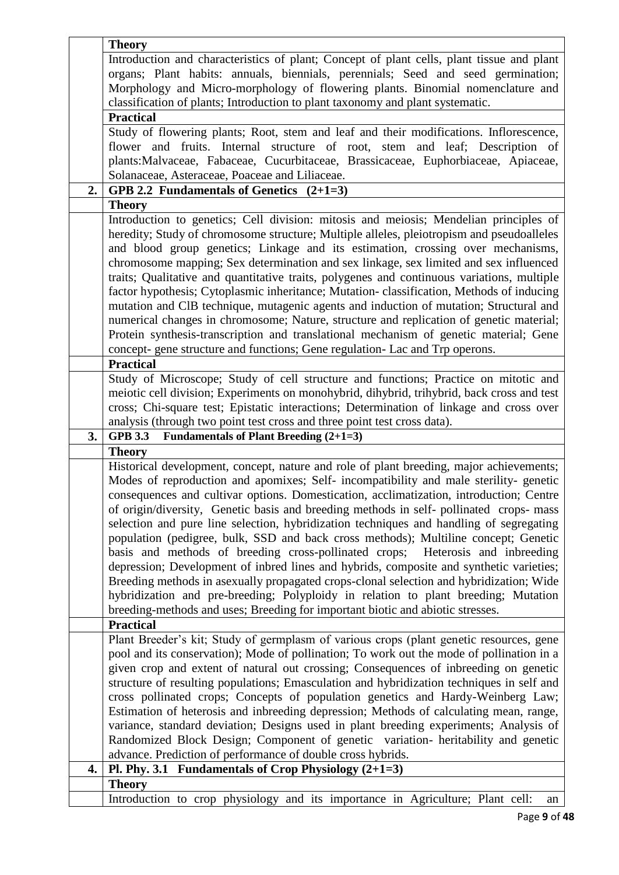|    | <b>Theory</b>                                                                                                                                    |
|----|--------------------------------------------------------------------------------------------------------------------------------------------------|
|    | Introduction and characteristics of plant; Concept of plant cells, plant tissue and plant                                                        |
|    | organs; Plant habits: annuals, biennials, perennials; Seed and seed germination;                                                                 |
|    | Morphology and Micro-morphology of flowering plants. Binomial nomenclature and                                                                   |
|    | classification of plants; Introduction to plant taxonomy and plant systematic.                                                                   |
|    | <b>Practical</b>                                                                                                                                 |
|    | Study of flowering plants; Root, stem and leaf and their modifications. Inflorescence,                                                           |
|    | flower and fruits. Internal structure of root, stem and leaf; Description of                                                                     |
|    | plants: Malvaceae, Fabaceae, Cucurbitaceae, Brassicaceae, Euphorbiaceae, Apiaceae,                                                               |
|    | Solanaceae, Asteraceae, Poaceae and Liliaceae.                                                                                                   |
| 2. | GPB 2.2 Fundamentals of Genetics $(2+1=3)$                                                                                                       |
|    | <b>Theory</b>                                                                                                                                    |
|    | Introduction to genetics; Cell division: mitosis and meiosis; Mendelian principles of                                                            |
|    | heredity; Study of chromosome structure; Multiple alleles, pleiotropism and pseudoalleles                                                        |
|    | and blood group genetics; Linkage and its estimation, crossing over mechanisms,                                                                  |
|    | chromosome mapping; Sex determination and sex linkage, sex limited and sex influenced                                                            |
|    | traits; Qualitative and quantitative traits, polygenes and continuous variations, multiple                                                       |
|    | factor hypothesis; Cytoplasmic inheritance; Mutation-classification, Methods of inducing                                                         |
|    | mutation and CIB technique, mutagenic agents and induction of mutation; Structural and                                                           |
|    | numerical changes in chromosome; Nature, structure and replication of genetic material;                                                          |
|    | Protein synthesis-transcription and translational mechanism of genetic material; Gene                                                            |
|    | concept- gene structure and functions; Gene regulation- Lac and Trp operons.                                                                     |
|    | <b>Practical</b>                                                                                                                                 |
|    | Study of Microscope; Study of cell structure and functions; Practice on mitotic and                                                              |
|    | meiotic cell division; Experiments on monohybrid, dihybrid, trihybrid, back cross and test                                                       |
|    | cross; Chi-square test; Epistatic interactions; Determination of linkage and cross over                                                          |
|    | analysis (through two point test cross and three point test cross data).                                                                         |
| 3. | <b>Fundamentals of Plant Breeding (2+1=3)</b><br><b>GPB 3.3</b>                                                                                  |
|    | <b>Theory</b>                                                                                                                                    |
|    | Historical development, concept, nature and role of plant breeding, major achievements;                                                          |
|    | Modes of reproduction and apomixes; Self- incompatibility and male sterility- genetic                                                            |
|    | consequences and cultivar options. Domestication, acclimatization, introduction; Centre                                                          |
|    | of origin/diversity, Genetic basis and breeding methods in self-pollinated crops-mass                                                            |
|    | selection and pure line selection, hybridization techniques and handling of segregating                                                          |
|    | population (pedigree, bulk, SSD and back cross methods); Multiline concept; Genetic                                                              |
|    | basis and methods of breeding cross-pollinated crops; Heterosis and inbreeding                                                                   |
|    | depression; Development of inbred lines and hybrids, composite and synthetic varieties;                                                          |
|    | Breeding methods in asexually propagated crops-clonal selection and hybridization; Wide                                                          |
|    | hybridization and pre-breeding; Polyploidy in relation to plant breeding; Mutation                                                               |
|    | breeding-methods and uses; Breeding for important biotic and abiotic stresses.                                                                   |
|    | <b>Practical</b>                                                                                                                                 |
|    | Plant Breeder's kit; Study of germplasm of various crops (plant genetic resources, gene                                                          |
|    | pool and its conservation); Mode of pollination; To work out the mode of pollination in a                                                        |
|    | given crop and extent of natural out crossing; Consequences of inbreeding on genetic                                                             |
|    | structure of resulting populations; Emasculation and hybridization techniques in self and                                                        |
|    | cross pollinated crops; Concepts of population genetics and Hardy-Weinberg Law;                                                                  |
|    | Estimation of heterosis and inbreeding depression; Methods of calculating mean, range,                                                           |
|    | variance, standard deviation; Designs used in plant breeding experiments; Analysis of                                                            |
|    |                                                                                                                                                  |
|    | Randomized Block Design; Component of genetic variation- heritability and genetic<br>advance. Prediction of performance of double cross hybrids. |
| 4. | Pl. Phy. 3.1 Fundamentals of Crop Physiology $(2+1=3)$                                                                                           |
|    | <b>Theory</b>                                                                                                                                    |
|    | Introduction to crop physiology and its importance in Agriculture; Plant cell:<br>an                                                             |
|    |                                                                                                                                                  |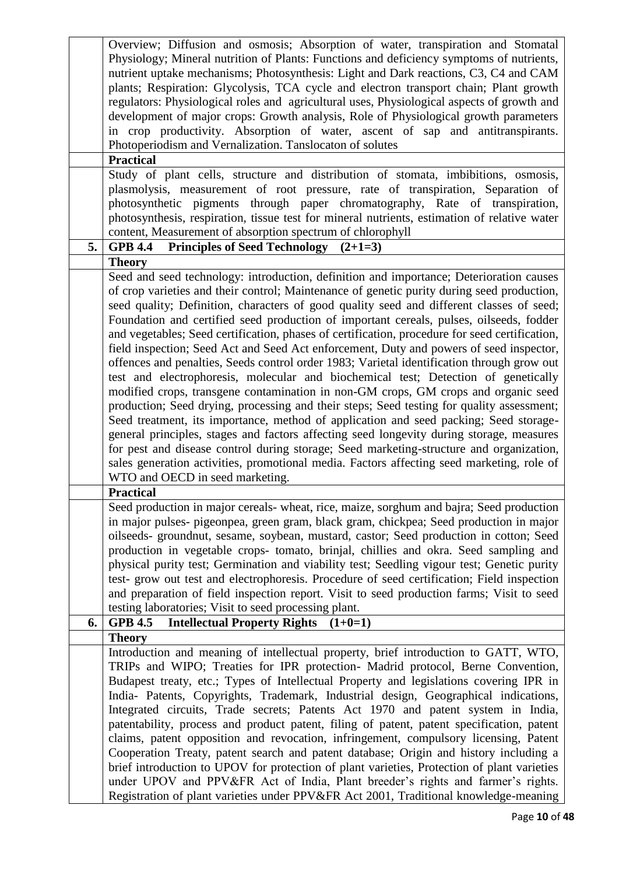|    | Overview; Diffusion and osmosis; Absorption of water, transpiration and Stomatal               |
|----|------------------------------------------------------------------------------------------------|
|    | Physiology; Mineral nutrition of Plants: Functions and deficiency symptoms of nutrients,       |
|    | nutrient uptake mechanisms; Photosynthesis: Light and Dark reactions, C3, C4 and CAM           |
|    | plants; Respiration: Glycolysis, TCA cycle and electron transport chain; Plant growth          |
|    | regulators: Physiological roles and agricultural uses, Physiological aspects of growth and     |
|    | development of major crops: Growth analysis, Role of Physiological growth parameters           |
|    |                                                                                                |
|    | in crop productivity. Absorption of water, ascent of sap and antitranspirants.                 |
|    | Photoperiodism and Vernalization. Tanslocaton of solutes                                       |
|    | <b>Practical</b>                                                                               |
|    | Study of plant cells, structure and distribution of stomata, imbibitions, osmosis,             |
|    | plasmolysis, measurement of root pressure, rate of transpiration, Separation of                |
|    | photosynthetic pigments through paper chromatography, Rate of transpiration,                   |
|    | photosynthesis, respiration, tissue test for mineral nutrients, estimation of relative water   |
|    | content, Measurement of absorption spectrum of chlorophyll                                     |
| 5. | Principles of Seed Technology $(2+1=3)$<br><b>GPB 4.4</b>                                      |
|    | <b>Theory</b>                                                                                  |
|    | Seed and seed technology: introduction, definition and importance; Deterioration causes        |
|    | of crop varieties and their control; Maintenance of genetic purity during seed production,     |
|    | seed quality; Definition, characters of good quality seed and different classes of seed;       |
|    | Foundation and certified seed production of important cereals, pulses, oilseeds, fodder        |
|    | and vegetables; Seed certification, phases of certification, procedure for seed certification, |
|    | field inspection; Seed Act and Seed Act enforcement, Duty and powers of seed inspector,        |
|    | offences and penalties, Seeds control order 1983; Varietal identification through grow out     |
|    | test and electrophoresis, molecular and biochemical test; Detection of genetically             |
|    |                                                                                                |
|    | modified crops, transgene contamination in non-GM crops, GM crops and organic seed             |
|    | production; Seed drying, processing and their steps; Seed testing for quality assessment;      |
|    | Seed treatment, its importance, method of application and seed packing; Seed storage-          |
|    | general principles, stages and factors affecting seed longevity during storage, measures       |
|    | for pest and disease control during storage; Seed marketing-structure and organization,        |
|    | sales generation activities, promotional media. Factors affecting seed marketing, role of      |
|    | WTO and OECD in seed marketing.                                                                |
|    | <b>Practical</b>                                                                               |
|    | Seed production in major cereals- wheat, rice, maize, sorghum and bajra; Seed production       |
|    | in major pulses- pigeonpea, green gram, black gram, chickpea; Seed production in major         |
|    | oilseeds- groundnut, sesame, soybean, mustard, castor; Seed production in cotton; Seed         |
|    | production in vegetable crops- tomato, brinjal, chillies and okra. Seed sampling and           |
|    | physical purity test; Germination and viability test; Seedling vigour test; Genetic purity     |
|    | test-grow out test and electrophoresis. Procedure of seed certification; Field inspection      |
|    | and preparation of field inspection report. Visit to seed production farms; Visit to seed      |
|    | testing laboratories; Visit to seed processing plant.                                          |
| 6. | <b>Intellectual Property Rights</b><br><b>GPB 4.5</b><br>$(1+0=1)$                             |
|    | <b>Theory</b>                                                                                  |
|    | Introduction and meaning of intellectual property, brief introduction to GATT, WTO,            |
|    | TRIPs and WIPO; Treaties for IPR protection- Madrid protocol, Berne Convention,                |
|    | Budapest treaty, etc.; Types of Intellectual Property and legislations covering IPR in         |
|    | India- Patents, Copyrights, Trademark, Industrial design, Geographical indications,            |
|    | Integrated circuits, Trade secrets; Patents Act 1970 and patent system in India,               |
|    | patentability, process and product patent, filing of patent, patent specification, patent      |
|    | claims, patent opposition and revocation, infringement, compulsory licensing, Patent           |
|    |                                                                                                |
|    | Cooperation Treaty, patent search and patent database; Origin and history including a          |
|    | brief introduction to UPOV for protection of plant varieties, Protection of plant varieties    |
|    | under UPOV and PPV&FR Act of India, Plant breeder's rights and farmer's rights.                |
|    | Registration of plant varieties under PPV&FR Act 2001, Traditional knowledge-meaning           |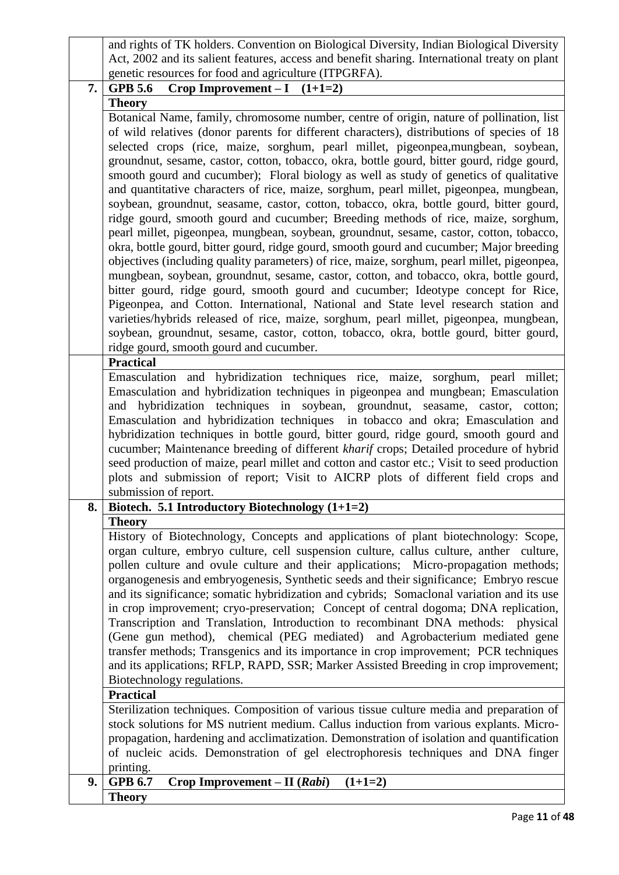|    | and rights of TK holders. Convention on Biological Diversity, Indian Biological Diversity                                                                                        |
|----|----------------------------------------------------------------------------------------------------------------------------------------------------------------------------------|
|    | Act, 2002 and its salient features, access and benefit sharing. International treaty on plant                                                                                    |
|    | genetic resources for food and agriculture (ITPGRFA).                                                                                                                            |
| 7. | Crop Improvement $-I$ $(1+1=2)$<br><b>GPB 5.6</b>                                                                                                                                |
|    | <b>Theory</b>                                                                                                                                                                    |
|    | Botanical Name, family, chromosome number, centre of origin, nature of pollination, list                                                                                         |
|    | of wild relatives (donor parents for different characters), distributions of species of 18                                                                                       |
|    | selected crops (rice, maize, sorghum, pearl millet, pigeonpea, mungbean, soybean,                                                                                                |
|    | groundnut, sesame, castor, cotton, tobacco, okra, bottle gourd, bitter gourd, ridge gourd,                                                                                       |
|    | smooth gourd and cucumber); Floral biology as well as study of genetics of qualitative                                                                                           |
|    | and quantitative characters of rice, maize, sorghum, pearl millet, pigeonpea, mungbean,                                                                                          |
|    | soybean, groundnut, seasame, castor, cotton, tobacco, okra, bottle gourd, bitter gourd,                                                                                          |
|    | ridge gourd, smooth gourd and cucumber; Breeding methods of rice, maize, sorghum,                                                                                                |
|    | pearl millet, pigeonpea, mungbean, soybean, groundnut, sesame, castor, cotton, tobacco,                                                                                          |
|    | okra, bottle gourd, bitter gourd, ridge gourd, smooth gourd and cucumber; Major breeding                                                                                         |
|    | objectives (including quality parameters) of rice, maize, sorghum, pearl millet, pigeonpea,                                                                                      |
|    | mungbean, soybean, groundnut, sesame, castor, cotton, and tobacco, okra, bottle gourd,                                                                                           |
|    | bitter gourd, ridge gourd, smooth gourd and cucumber; Ideotype concept for Rice,                                                                                                 |
|    | Pigeonpea, and Cotton. International, National and State level research station and                                                                                              |
|    | varieties/hybrids released of rice, maize, sorghum, pearl millet, pigeonpea, mungbean,                                                                                           |
|    | soybean, groundnut, sesame, castor, cotton, tobacco, okra, bottle gourd, bitter gourd,                                                                                           |
|    | ridge gourd, smooth gourd and cucumber.                                                                                                                                          |
|    | <b>Practical</b>                                                                                                                                                                 |
|    | Emasculation and hybridization techniques rice, maize, sorghum, pearl millet;                                                                                                    |
|    | Emasculation and hybridization techniques in pigeonpea and mungbean; Emasculation                                                                                                |
|    | and hybridization techniques in soybean, groundnut, seasame, castor, cotton;                                                                                                     |
|    | Emasculation and hybridization techniques in tobacco and okra; Emasculation and                                                                                                  |
|    | hybridization techniques in bottle gourd, bitter gourd, ridge gourd, smooth gourd and                                                                                            |
|    | cucumber; Maintenance breeding of different kharif crops; Detailed procedure of hybrid                                                                                           |
|    | seed production of maize, pearl millet and cotton and castor etc.; Visit to seed production                                                                                      |
|    | plots and submission of report; Visit to AICRP plots of different field crops and                                                                                                |
|    | submission of report.                                                                                                                                                            |
| 8. | Biotech. 5.1 Introductory Biotechnology $(1+1=2)$                                                                                                                                |
|    | <b>Theory</b>                                                                                                                                                                    |
|    | History of Biotechnology, Concepts and applications of plant biotechnology: Scope,                                                                                               |
|    | organ culture, embryo culture, cell suspension culture, callus culture, anther culture,                                                                                          |
|    | pollen culture and ovule culture and their applications; Micro-propagation methods;                                                                                              |
|    | organogenesis and embryogenesis, Synthetic seeds and their significance; Embryo rescue                                                                                           |
|    | and its significance; somatic hybridization and cybrids; Somaclonal variation and its use<br>in crop improvement; cryo-preservation; Concept of central dogoma; DNA replication, |
|    | Transcription and Translation, Introduction to recombinant DNA methods: physical                                                                                                 |
|    | (Gene gun method), chemical (PEG mediated) and Agrobacterium mediated gene                                                                                                       |
|    | transfer methods; Transgenics and its importance in crop improvement; PCR techniques                                                                                             |
|    | and its applications; RFLP, RAPD, SSR; Marker Assisted Breeding in crop improvement;                                                                                             |
|    | Biotechnology regulations.                                                                                                                                                       |
|    | <b>Practical</b>                                                                                                                                                                 |
|    | Sterilization techniques. Composition of various tissue culture media and preparation of                                                                                         |
|    | stock solutions for MS nutrient medium. Callus induction from various explants. Micro-                                                                                           |
|    | propagation, hardening and acclimatization. Demonstration of isolation and quantification                                                                                        |
|    | of nucleic acids. Demonstration of gel electrophoresis techniques and DNA finger                                                                                                 |
|    | printing.                                                                                                                                                                        |
| 9. | <b>GPB 6.7</b><br>$Crop$ Improvement – II ( <i>Rabi</i> )<br>$(1+1=2)$                                                                                                           |
|    | <b>Theory</b>                                                                                                                                                                    |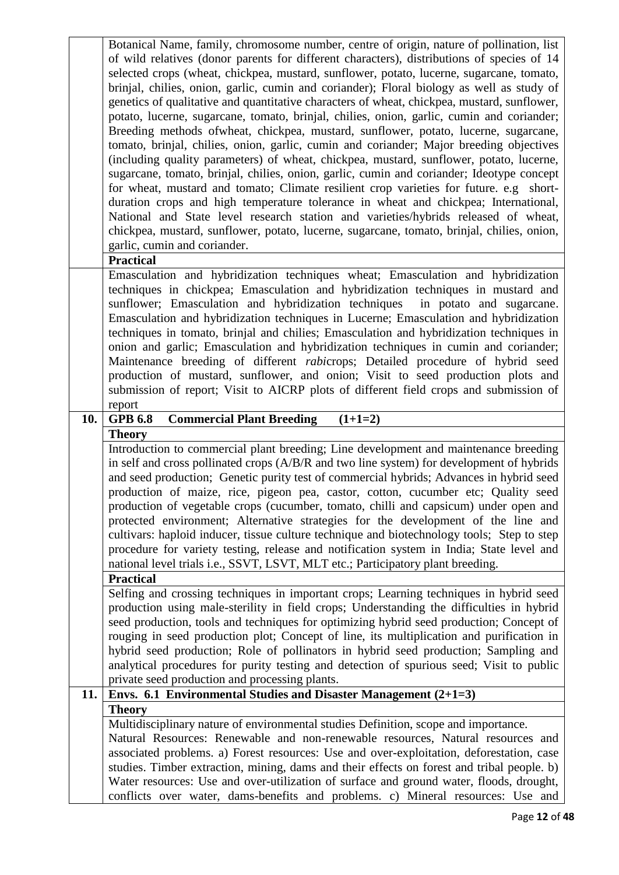|     | Botanical Name, family, chromosome number, centre of origin, nature of pollination, list                                                                                               |
|-----|----------------------------------------------------------------------------------------------------------------------------------------------------------------------------------------|
|     | of wild relatives (donor parents for different characters), distributions of species of 14<br>selected crops (wheat, chickpea, mustard, sunflower, potato, lucerne, sugarcane, tomato, |
|     | brinjal, chilies, onion, garlic, cumin and coriander); Floral biology as well as study of                                                                                              |
|     | genetics of qualitative and quantitative characters of wheat, chickpea, mustard, sunflower,                                                                                            |
|     | potato, lucerne, sugarcane, tomato, brinjal, chilies, onion, garlic, cumin and coriander;                                                                                              |
|     | Breeding methods of wheat, chickpea, mustard, sunflower, potato, lucerne, sugarcane,                                                                                                   |
|     | tomato, brinjal, chilies, onion, garlic, cumin and coriander; Major breeding objectives                                                                                                |
|     | (including quality parameters) of wheat, chickpea, mustard, sunflower, potato, lucerne,                                                                                                |
|     | sugarcane, tomato, brinjal, chilies, onion, garlic, cumin and coriander; Ideotype concept                                                                                              |
|     | for wheat, mustard and tomato; Climate resilient crop varieties for future. e.g short-                                                                                                 |
|     | duration crops and high temperature tolerance in wheat and chickpea; International,                                                                                                    |
|     | National and State level research station and varieties/hybrids released of wheat,                                                                                                     |
|     | chickpea, mustard, sunflower, potato, lucerne, sugarcane, tomato, brinjal, chilies, onion,                                                                                             |
|     | garlic, cumin and coriander.                                                                                                                                                           |
|     | <b>Practical</b>                                                                                                                                                                       |
|     | Emasculation and hybridization techniques wheat; Emasculation and hybridization                                                                                                        |
|     | techniques in chickpea; Emasculation and hybridization techniques in mustard and                                                                                                       |
|     | sunflower; Emasculation and hybridization techniques<br>in potato and sugarcane.                                                                                                       |
|     | Emasculation and hybridization techniques in Lucerne; Emasculation and hybridization                                                                                                   |
|     | techniques in tomato, brinjal and chilies; Emasculation and hybridization techniques in                                                                                                |
|     | onion and garlic; Emasculation and hybridization techniques in cumin and coriander;<br>Maintenance breeding of different rabicrops; Detailed procedure of hybrid seed                  |
|     | production of mustard, sunflower, and onion; Visit to seed production plots and                                                                                                        |
|     | submission of report; Visit to AICRP plots of different field crops and submission of                                                                                                  |
|     | report                                                                                                                                                                                 |
|     |                                                                                                                                                                                        |
| 10. | <b>GPB 6.8</b>                                                                                                                                                                         |
|     | <b>Commercial Plant Breeding</b><br>$(1+1=2)$<br><b>Theory</b>                                                                                                                         |
|     | Introduction to commercial plant breeding; Line development and maintenance breeding                                                                                                   |
|     | in self and cross pollinated crops (A/B/R and two line system) for development of hybrids                                                                                              |
|     | and seed production; Genetic purity test of commercial hybrids; Advances in hybrid seed                                                                                                |
|     | production of maize, rice, pigeon pea, castor, cotton, cucumber etc; Quality seed                                                                                                      |
|     | production of vegetable crops (cucumber, tomato, chilli and capsicum) under open and                                                                                                   |
|     | protected environment; Alternative strategies for the development of the line and                                                                                                      |
|     | cultivars: haploid inducer, tissue culture technique and biotechnology tools; Step to step                                                                                             |
|     | procedure for variety testing, release and notification system in India; State level and                                                                                               |
|     | national level trials i.e., SSVT, LSVT, MLT etc.; Participatory plant breeding.                                                                                                        |
|     | <b>Practical</b>                                                                                                                                                                       |
|     | Selfing and crossing techniques in important crops; Learning techniques in hybrid seed                                                                                                 |
|     | production using male-sterility in field crops; Understanding the difficulties in hybrid                                                                                               |
|     | seed production, tools and techniques for optimizing hybrid seed production; Concept of                                                                                                |
|     | rouging in seed production plot; Concept of line, its multiplication and purification in                                                                                               |
|     | hybrid seed production; Role of pollinators in hybrid seed production; Sampling and<br>analytical procedures for purity testing and detection of spurious seed; Visit to public        |
|     | private seed production and processing plants.                                                                                                                                         |
| 11. | Envs. 6.1 Environmental Studies and Disaster Management $(2+1=3)$                                                                                                                      |
|     | <b>Theory</b>                                                                                                                                                                          |
|     | Multidisciplinary nature of environmental studies Definition, scope and importance.                                                                                                    |
|     | Natural Resources: Renewable and non-renewable resources, Natural resources and                                                                                                        |
|     | associated problems. a) Forest resources: Use and over-exploitation, deforestation, case                                                                                               |
|     | studies. Timber extraction, mining, dams and their effects on forest and tribal people. b)                                                                                             |
|     | Water resources: Use and over-utilization of surface and ground water, floods, drought,<br>conflicts over water, dams-benefits and problems. c) Mineral resources: Use and             |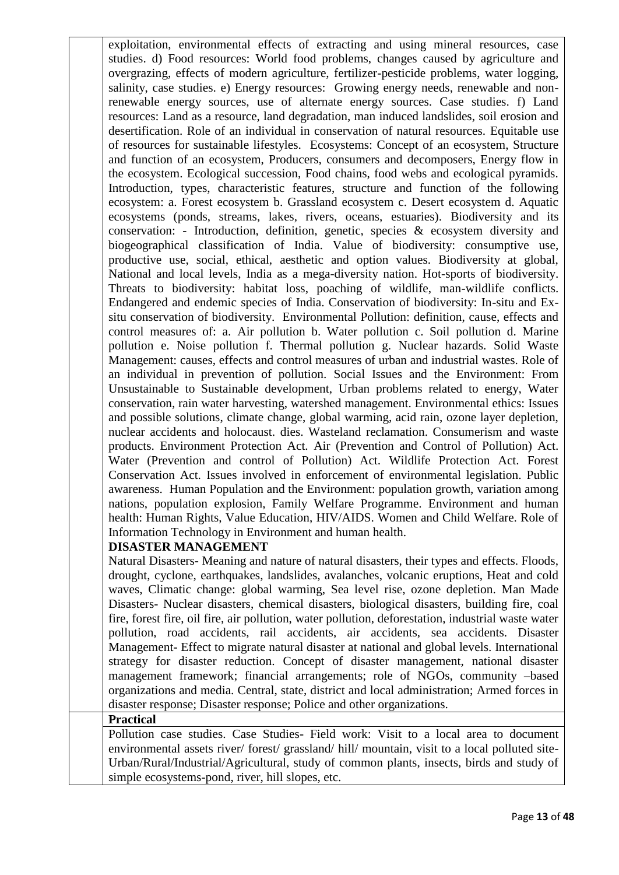exploitation, environmental effects of extracting and using mineral resources, case studies. d) Food resources: World food problems, changes caused by agriculture and overgrazing, effects of modern agriculture, fertilizer-pesticide problems, water logging, salinity, case studies. e) Energy resources: Growing energy needs, renewable and nonrenewable energy sources, use of alternate energy sources. Case studies. f) Land resources: Land as a resource, land degradation, man induced landslides, soil erosion and desertification. Role of an individual in conservation of natural resources. Equitable use of resources for sustainable lifestyles. Ecosystems: Concept of an ecosystem, Structure and function of an ecosystem, Producers, consumers and decomposers, Energy flow in the ecosystem. Ecological succession, Food chains, food webs and ecological pyramids. Introduction, types, characteristic features, structure and function of the following ecosystem: a. Forest ecosystem b. Grassland ecosystem c. Desert ecosystem d. Aquatic ecosystems (ponds, streams, lakes, rivers, oceans, estuaries). Biodiversity and its conservation: - Introduction, definition, genetic, species & ecosystem diversity and biogeographical classification of India. Value of biodiversity: consumptive use, productive use, social, ethical, aesthetic and option values. Biodiversity at global, National and local levels, India as a mega-diversity nation. Hot-sports of biodiversity. Threats to biodiversity: habitat loss, poaching of wildlife, man-wildlife conflicts. Endangered and endemic species of India. Conservation of biodiversity: In-situ and Exsitu conservation of biodiversity. Environmental Pollution: definition, cause, effects and control measures of: a. Air pollution b. Water pollution c. Soil pollution d. Marine pollution e. Noise pollution f. Thermal pollution g. Nuclear hazards. Solid Waste Management: causes, effects and control measures of urban and industrial wastes. Role of an individual in prevention of pollution. Social Issues and the Environment: From Unsustainable to Sustainable development, Urban problems related to energy, Water conservation, rain water harvesting, watershed management. Environmental ethics: Issues and possible solutions, climate change, global warming, acid rain, ozone layer depletion, nuclear accidents and holocaust. dies. Wasteland reclamation. Consumerism and waste products. Environment Protection Act. Air (Prevention and Control of Pollution) Act. Water (Prevention and control of Pollution) Act. Wildlife Protection Act. Forest Conservation Act. Issues involved in enforcement of environmental legislation. Public awareness. Human Population and the Environment: population growth, variation among nations, population explosion, Family Welfare Programme. Environment and human health: Human Rights, Value Education, HIV/AIDS. Women and Child Welfare. Role of Information Technology in Environment and human health.

# **DISASTER MANAGEMENT**

Natural Disasters- Meaning and nature of natural disasters, their types and effects. Floods, drought, cyclone, earthquakes, landslides, avalanches, volcanic eruptions, Heat and cold waves, Climatic change: global warming, Sea level rise, ozone depletion. Man Made Disasters- Nuclear disasters, chemical disasters, biological disasters, building fire, coal fire, forest fire, oil fire, air pollution, water pollution, deforestation, industrial waste water pollution, road accidents, rail accidents, air accidents, sea accidents. Disaster Management- Effect to migrate natural disaster at national and global levels. International strategy for disaster reduction. Concept of disaster management, national disaster management framework; financial arrangements; role of NGOs, community –based organizations and media. Central, state, district and local administration; Armed forces in disaster response; Disaster response; Police and other organizations.

#### **Practical**

Pollution case studies. Case Studies- Field work: Visit to a local area to document environmental assets river/ forest/ grassland/ hill/ mountain, visit to a local polluted site-Urban/Rural/Industrial/Agricultural, study of common plants, insects, birds and study of simple ecosystems-pond, river, hill slopes, etc.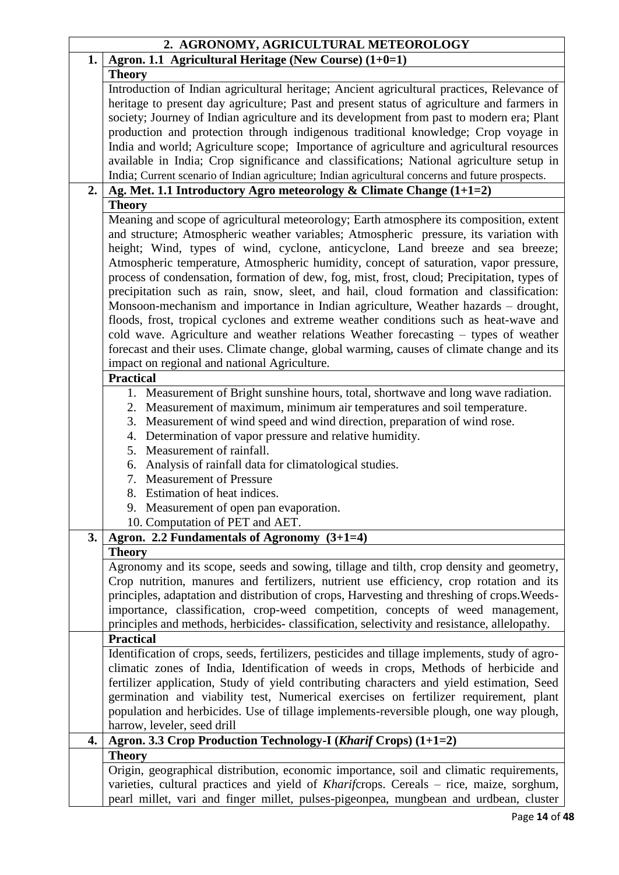|    | 2. AGRONOMY, AGRICULTURAL METEOROLOGY                                                                                                                                                                                                                                                                                                                                                                                                                                                                                                                 |
|----|-------------------------------------------------------------------------------------------------------------------------------------------------------------------------------------------------------------------------------------------------------------------------------------------------------------------------------------------------------------------------------------------------------------------------------------------------------------------------------------------------------------------------------------------------------|
| 1. | Agron. 1.1 Agricultural Heritage (New Course) $(1+0=1)$                                                                                                                                                                                                                                                                                                                                                                                                                                                                                               |
|    | <b>Theory</b>                                                                                                                                                                                                                                                                                                                                                                                                                                                                                                                                         |
|    | Introduction of Indian agricultural heritage; Ancient agricultural practices, Relevance of<br>heritage to present day agriculture; Past and present status of agriculture and farmers in<br>society; Journey of Indian agriculture and its development from past to modern era; Plant                                                                                                                                                                                                                                                                 |
|    | production and protection through indigenous traditional knowledge; Crop voyage in<br>India and world; Agriculture scope; Importance of agriculture and agricultural resources                                                                                                                                                                                                                                                                                                                                                                        |
|    | available in India; Crop significance and classifications; National agriculture setup in<br>India; Current scenario of Indian agriculture; Indian agricultural concerns and future prospects.                                                                                                                                                                                                                                                                                                                                                         |
| 2. | Ag. Met. 1.1 Introductory Agro meteorology & Climate Change $(1+1=2)$                                                                                                                                                                                                                                                                                                                                                                                                                                                                                 |
|    | <b>Theory</b>                                                                                                                                                                                                                                                                                                                                                                                                                                                                                                                                         |
|    | Meaning and scope of agricultural meteorology; Earth atmosphere its composition, extent<br>and structure; Atmospheric weather variables; Atmospheric pressure, its variation with<br>height; Wind, types of wind, cyclone, anticyclone, Land breeze and sea breeze;<br>Atmospheric temperature, Atmospheric humidity, concept of saturation, vapor pressure,<br>process of condensation, formation of dew, fog, mist, frost, cloud; Precipitation, types of<br>precipitation such as rain, snow, sleet, and hail, cloud formation and classification: |
|    | Monsoon-mechanism and importance in Indian agriculture, Weather hazards – drought,<br>floods, frost, tropical cyclones and extreme weather conditions such as heat-wave and<br>cold wave. Agriculture and weather relations Weather forecasting – types of weather                                                                                                                                                                                                                                                                                    |
|    | forecast and their uses. Climate change, global warming, causes of climate change and its<br>impact on regional and national Agriculture.<br><b>Practical</b>                                                                                                                                                                                                                                                                                                                                                                                         |
|    |                                                                                                                                                                                                                                                                                                                                                                                                                                                                                                                                                       |
|    | 1. Measurement of Bright sunshine hours, total, shortwave and long wave radiation.<br>2. Measurement of maximum, minimum air temperatures and soil temperature.<br>Measurement of wind speed and wind direction, preparation of wind rose.<br>3.<br>4. Determination of vapor pressure and relative humidity.                                                                                                                                                                                                                                         |
|    | 5. Measurement of rainfall.                                                                                                                                                                                                                                                                                                                                                                                                                                                                                                                           |
|    | 6. Analysis of rainfall data for climatological studies.                                                                                                                                                                                                                                                                                                                                                                                                                                                                                              |
|    | 7. Measurement of Pressure                                                                                                                                                                                                                                                                                                                                                                                                                                                                                                                            |
|    | 8. Estimation of heat indices.                                                                                                                                                                                                                                                                                                                                                                                                                                                                                                                        |
|    | 9. Measurement of open pan evaporation.                                                                                                                                                                                                                                                                                                                                                                                                                                                                                                               |
|    | 10. Computation of PET and AET.                                                                                                                                                                                                                                                                                                                                                                                                                                                                                                                       |
| 3. | Agron. 2.2 Fundamentals of Agronomy $(3+1=4)$                                                                                                                                                                                                                                                                                                                                                                                                                                                                                                         |
|    | <b>Theory</b>                                                                                                                                                                                                                                                                                                                                                                                                                                                                                                                                         |
|    | Agronomy and its scope, seeds and sowing, tillage and tilth, crop density and geometry,<br>Crop nutrition, manures and fertilizers, nutrient use efficiency, crop rotation and its<br>principles, adaptation and distribution of crops, Harvesting and threshing of crops. Weeds-                                                                                                                                                                                                                                                                     |
|    | importance, classification, crop-weed competition, concepts of weed management,                                                                                                                                                                                                                                                                                                                                                                                                                                                                       |
|    | principles and methods, herbicides-classification, selectivity and resistance, allelopathy.                                                                                                                                                                                                                                                                                                                                                                                                                                                           |
|    | <b>Practical</b>                                                                                                                                                                                                                                                                                                                                                                                                                                                                                                                                      |
|    | Identification of crops, seeds, fertilizers, pesticides and tillage implements, study of agro-                                                                                                                                                                                                                                                                                                                                                                                                                                                        |
|    | climatic zones of India, Identification of weeds in crops, Methods of herbicide and<br>fertilizer application, Study of yield contributing characters and yield estimation, Seed<br>germination and viability test, Numerical exercises on fertilizer requirement, plant                                                                                                                                                                                                                                                                              |
|    | population and herbicides. Use of tillage implements-reversible plough, one way plough,                                                                                                                                                                                                                                                                                                                                                                                                                                                               |
|    | harrow, leveler, seed drill                                                                                                                                                                                                                                                                                                                                                                                                                                                                                                                           |
| 4. | Agron. 3.3 Crop Production Technology-I (Kharif Crops) (1+1=2)                                                                                                                                                                                                                                                                                                                                                                                                                                                                                        |
|    | <b>Theory</b>                                                                                                                                                                                                                                                                                                                                                                                                                                                                                                                                         |
|    | Origin, geographical distribution, economic importance, soil and climatic requirements,<br>varieties, cultural practices and yield of Kharifcrops. Cereals - rice, maize, sorghum,<br>pearl millet, vari and finger millet, pulses-pigeonpea, mungbean and urdbean, cluster                                                                                                                                                                                                                                                                           |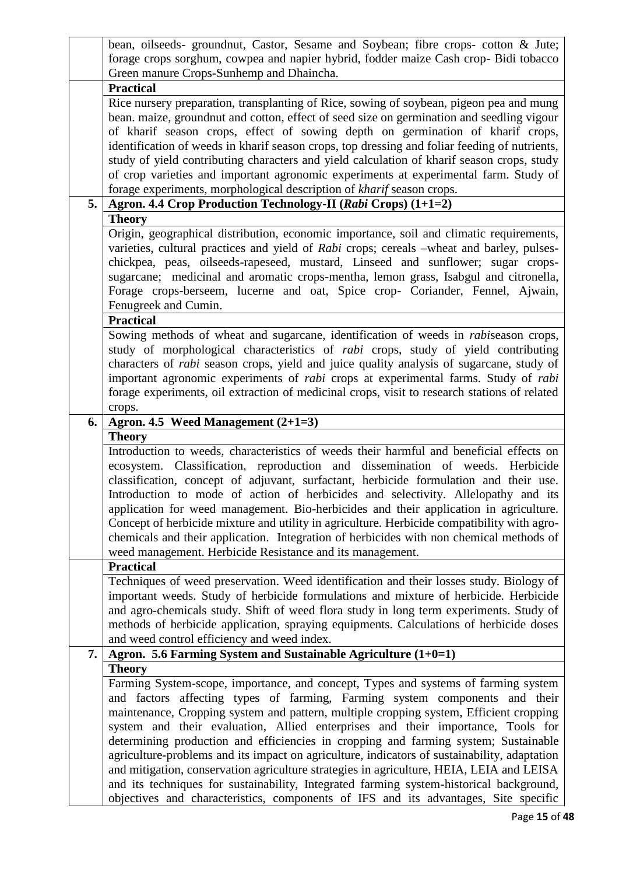|    | bean, oilseeds- groundnut, Castor, Sesame and Soybean; fibre crops- cotton & Jute;                                                                                                  |
|----|-------------------------------------------------------------------------------------------------------------------------------------------------------------------------------------|
|    | forage crops sorghum, cowpea and napier hybrid, fodder maize Cash crop- Bidi tobacco                                                                                                |
|    | Green manure Crops-Sunhemp and Dhaincha.                                                                                                                                            |
|    | <b>Practical</b>                                                                                                                                                                    |
|    | Rice nursery preparation, transplanting of Rice, sowing of soybean, pigeon pea and mung                                                                                             |
|    | bean. maize, groundnut and cotton, effect of seed size on germination and seedling vigour                                                                                           |
|    | of kharif season crops, effect of sowing depth on germination of kharif crops,                                                                                                      |
|    | identification of weeds in kharif season crops, top dressing and foliar feeding of nutrients,                                                                                       |
|    | study of yield contributing characters and yield calculation of kharif season crops, study                                                                                          |
|    | of crop varieties and important agronomic experiments at experimental farm. Study of                                                                                                |
|    | forage experiments, morphological description of kharif season crops.                                                                                                               |
| 5. | Agron. 4.4 Crop Production Technology-II (Rabi Crops) (1+1=2)                                                                                                                       |
|    | <b>Theory</b>                                                                                                                                                                       |
|    | Origin, geographical distribution, economic importance, soil and climatic requirements,                                                                                             |
|    | varieties, cultural practices and yield of Rabi crops; cereals -wheat and barley, pulses-                                                                                           |
|    | chickpea, peas, oilseeds-rapeseed, mustard, Linseed and sunflower; sugar crops-                                                                                                     |
|    | sugarcane; medicinal and aromatic crops-mentha, lemon grass, Isabgul and citronella,                                                                                                |
|    | Forage crops-berseem, lucerne and oat, Spice crop- Coriander, Fennel, Ajwain,                                                                                                       |
|    | Fenugreek and Cumin.                                                                                                                                                                |
|    | <b>Practical</b>                                                                                                                                                                    |
|    | Sowing methods of wheat and sugarcane, identification of weeds in rabiseason crops,                                                                                                 |
|    | study of morphological characteristics of <i>rabi</i> crops, study of yield contributing                                                                                            |
|    | characters of <i>rabi</i> season crops, yield and juice quality analysis of sugarcane, study of                                                                                     |
|    | important agronomic experiments of <i>rabi</i> crops at experimental farms. Study of <i>rabi</i>                                                                                    |
|    | forage experiments, oil extraction of medicinal crops, visit to research stations of related                                                                                        |
|    | crops.                                                                                                                                                                              |
| 6. |                                                                                                                                                                                     |
|    |                                                                                                                                                                                     |
|    | Agron. 4.5 Weed Management (2+1=3)                                                                                                                                                  |
|    | <b>Theory</b>                                                                                                                                                                       |
|    | Introduction to weeds, characteristics of weeds their harmful and beneficial effects on                                                                                             |
|    | ecosystem. Classification, reproduction and dissemination of weeds. Herbicide                                                                                                       |
|    | classification, concept of adjuvant, surfactant, herbicide formulation and their use.                                                                                               |
|    | Introduction to mode of action of herbicides and selectivity. Allelopathy and its                                                                                                   |
|    | application for weed management. Bio-herbicides and their application in agriculture.                                                                                               |
|    | Concept of herbicide mixture and utility in agriculture. Herbicide compatibility with agro-                                                                                         |
|    | chemicals and their application. Integration of herbicides with non chemical methods of                                                                                             |
|    | weed management. Herbicide Resistance and its management.<br><b>Practical</b>                                                                                                       |
|    |                                                                                                                                                                                     |
|    | Techniques of weed preservation. Weed identification and their losses study. Biology of                                                                                             |
|    | important weeds. Study of herbicide formulations and mixture of herbicide. Herbicide                                                                                                |
|    | and agro-chemicals study. Shift of weed flora study in long term experiments. Study of                                                                                              |
|    | methods of herbicide application, spraying equipments. Calculations of herbicide doses                                                                                              |
|    | and weed control efficiency and weed index.                                                                                                                                         |
| 7. | Agron. 5.6 Farming System and Sustainable Agriculture $(1+0=1)$                                                                                                                     |
|    | <b>Theory</b>                                                                                                                                                                       |
|    | Farming System-scope, importance, and concept, Types and systems of farming system                                                                                                  |
|    | and factors affecting types of farming, Farming system components and their                                                                                                         |
|    | maintenance, Cropping system and pattern, multiple cropping system, Efficient cropping                                                                                              |
|    | system and their evaluation, Allied enterprises and their importance, Tools for                                                                                                     |
|    | determining production and efficiencies in cropping and farming system; Sustainable                                                                                                 |
|    | agriculture-problems and its impact on agriculture, indicators of sustainability, adaptation                                                                                        |
|    | and mitigation, conservation agriculture strategies in agriculture, HEIA, LEIA and LEISA<br>and its techniques for sustainability, Integrated farming system-historical background, |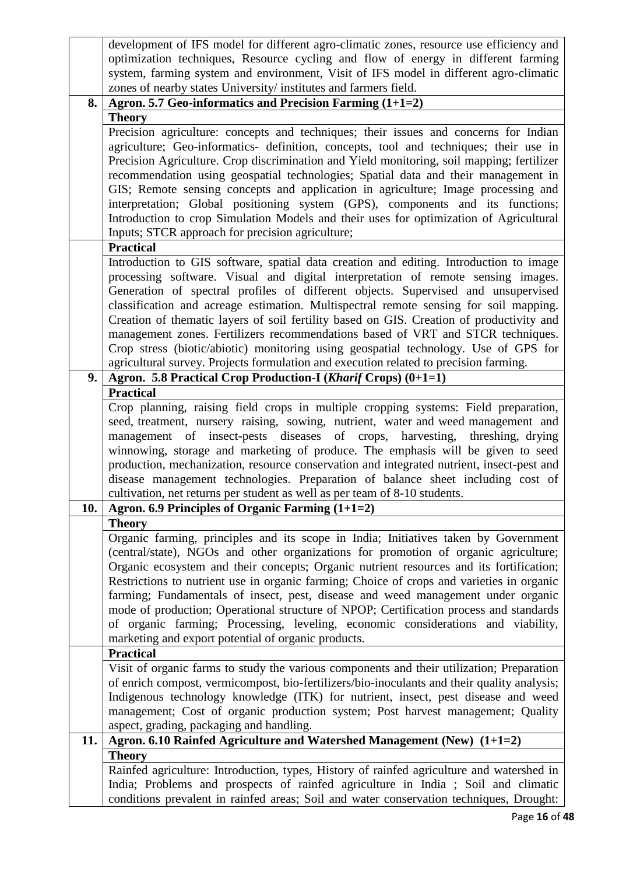|     | development of IFS model for different agro-climatic zones, resource use efficiency and     |
|-----|---------------------------------------------------------------------------------------------|
|     | optimization techniques, Resource cycling and flow of energy in different farming           |
|     | system, farming system and environment, Visit of IFS model in different agro-climatic       |
|     | zones of nearby states University/ institutes and farmers field.                            |
| 8.  | Agron. 5.7 Geo-informatics and Precision Farming $(1+1=2)$                                  |
|     | <b>Theory</b>                                                                               |
|     | Precision agriculture: concepts and techniques; their issues and concerns for Indian        |
|     |                                                                                             |
|     | agriculture; Geo-informatics- definition, concepts, tool and techniques; their use in       |
|     | Precision Agriculture. Crop discrimination and Yield monitoring, soil mapping; fertilizer   |
|     | recommendation using geospatial technologies; Spatial data and their management in          |
|     | GIS; Remote sensing concepts and application in agriculture; Image processing and           |
|     | interpretation; Global positioning system (GPS), components and its functions;              |
|     | Introduction to crop Simulation Models and their uses for optimization of Agricultural      |
|     | Inputs; STCR approach for precision agriculture;                                            |
|     | <b>Practical</b>                                                                            |
|     | Introduction to GIS software, spatial data creation and editing. Introduction to image      |
|     | processing software. Visual and digital interpretation of remote sensing images.            |
|     | Generation of spectral profiles of different objects. Supervised and unsupervised           |
|     | classification and acreage estimation. Multispectral remote sensing for soil mapping.       |
|     | Creation of thematic layers of soil fertility based on GIS. Creation of productivity and    |
|     | management zones. Fertilizers recommendations based of VRT and STCR techniques.             |
|     | Crop stress (biotic/abiotic) monitoring using geospatial technology. Use of GPS for         |
|     | agricultural survey. Projects formulation and execution related to precision farming.       |
| 9.  | Agron. 5.8 Practical Crop Production-I (Kharif Crops) (0+1=1)                               |
|     | <b>Practical</b>                                                                            |
|     |                                                                                             |
|     | Crop planning, raising field crops in multiple cropping systems: Field preparation,         |
|     | seed, treatment, nursery raising, sowing, nutrient, water and weed management and           |
|     | management of insect-pests diseases of crops, harvesting, threshing, drying                 |
|     | winnowing, storage and marketing of produce. The emphasis will be given to seed             |
|     | production, mechanization, resource conservation and integrated nutrient, insect-pest and   |
|     | disease management technologies. Preparation of balance sheet including cost of             |
|     | cultivation, net returns per student as well as per team of 8-10 students.                  |
| 10. | Agron. 6.9 Principles of Organic Farming (1+1=2)                                            |
|     | <b>Theory</b>                                                                               |
|     | Organic farming, principles and its scope in India; Initiatives taken by Government         |
|     | (central/state), NGOs and other organizations for promotion of organic agriculture;         |
|     | Organic ecosystem and their concepts; Organic nutrient resources and its fortification;     |
|     | Restrictions to nutrient use in organic farming; Choice of crops and varieties in organic   |
|     | farming; Fundamentals of insect, pest, disease and weed management under organic            |
|     | mode of production; Operational structure of NPOP; Certification process and standards      |
|     | of organic farming; Processing, leveling, economic considerations and viability,            |
|     | marketing and export potential of organic products.                                         |
|     | <b>Practical</b>                                                                            |
|     | Visit of organic farms to study the various components and their utilization; Preparation   |
|     | of enrich compost, vermicompost, bio-fertilizers/bio-inoculants and their quality analysis; |
|     | Indigenous technology knowledge (ITK) for nutrient, insect, pest disease and weed           |
|     | management; Cost of organic production system; Post harvest management; Quality             |
|     | aspect, grading, packaging and handling.                                                    |
| 11. | Agron. 6.10 Rainfed Agriculture and Watershed Management (New) (1+1=2)                      |
|     |                                                                                             |
|     | <b>Theory</b>                                                                               |
|     | Rainfed agriculture: Introduction, types, History of rainfed agriculture and watershed in   |
|     | India; Problems and prospects of rainfed agriculture in India; Soil and climatic            |
|     | conditions prevalent in rainfed areas; Soil and water conservation techniques, Drought:     |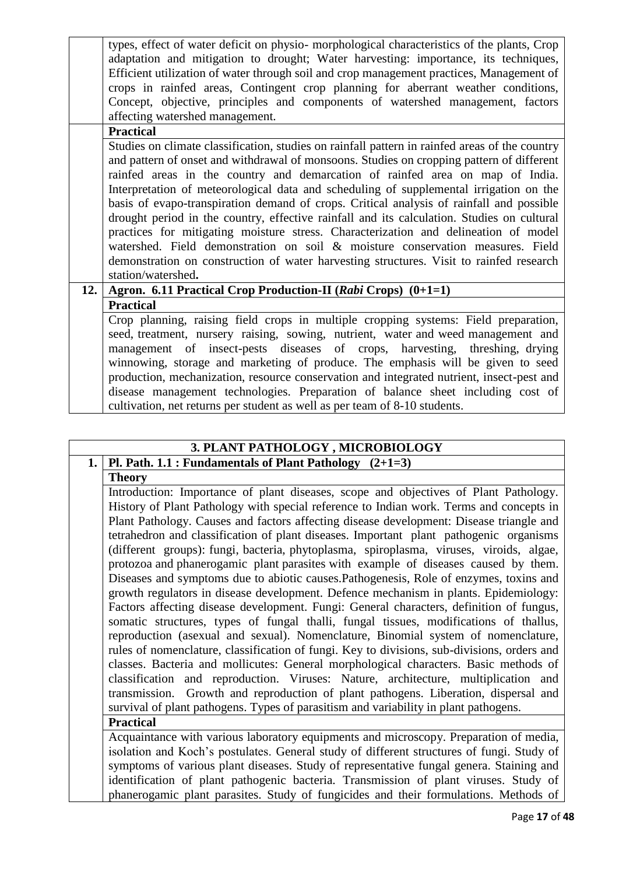|     | types, effect of water deficit on physio- morphological characteristics of the plants, Crop    |
|-----|------------------------------------------------------------------------------------------------|
|     | adaptation and mitigation to drought; Water harvesting: importance, its techniques,            |
|     | Efficient utilization of water through soil and crop management practices, Management of       |
|     | crops in rainfed areas, Contingent crop planning for aberrant weather conditions,              |
|     | Concept, objective, principles and components of watershed management, factors                 |
|     | affecting watershed management.                                                                |
|     | <b>Practical</b>                                                                               |
|     | Studies on climate classification, studies on rainfall pattern in rainfed areas of the country |
|     | and pattern of onset and withdrawal of monsoons. Studies on cropping pattern of different      |
|     | rainfed areas in the country and demarcation of rainfed area on map of India.                  |
|     | Interpretation of meteorological data and scheduling of supplemental irrigation on the         |
|     | basis of evapo-transpiration demand of crops. Critical analysis of rainfall and possible       |
|     | drought period in the country, effective rainfall and its calculation. Studies on cultural     |
|     | practices for mitigating moisture stress. Characterization and delineation of model            |
|     | watershed. Field demonstration on soil & moisture conservation measures. Field                 |
|     | demonstration on construction of water harvesting structures. Visit to rainfed research        |
|     | station/watershed.                                                                             |
| 12. | Agron. 6.11 Practical Crop Production-II (Rabi Crops) (0+1=1)                                  |
|     | <b>Practical</b>                                                                               |
|     | Crop planning, raising field crops in multiple cropping systems: Field preparation,            |
|     | seed, treatment, nursery raising, sowing, nutrient, water and weed management and              |
|     | management of insect-pests diseases of crops, harvesting, threshing, drying                    |
|     | winnowing, storage and marketing of produce. The emphasis will be given to seed                |
|     | production, mechanization, resource conservation and integrated nutrient, insect-pest and      |
|     | disease management technologies. Preparation of balance sheet including cost of                |
|     | cultivation, net returns per student as well as per team of 8-10 students.                     |

#### **3. PLANT PATHOLOGY , MICROBIOLOGY 1. Pl. Path. 1.1 : Fundamentals of Plant Pathology (2+1=3)**

# **Theory**

Introduction: Importance of plant diseases, scope and objectives of Plant Pathology. History of Plant Pathology with special reference to Indian work. Terms and concepts in Plant Pathology. Causes and factors affecting disease development: Disease triangle and tetrahedron and classification of plant diseases. Important plant pathogenic organisms (different groups): fungi, bacteria, phytoplasma, spiroplasma, viruses, viroids, algae, protozoa and phanerogamic plant parasites with example of diseases caused by them. Diseases and symptoms due to abiotic causes.Pathogenesis, Role of enzymes, toxins and growth regulators in disease development. Defence mechanism in plants. Epidemiology: Factors affecting disease development. Fungi: General characters, definition of fungus, somatic structures, types of fungal thalli, fungal tissues, modifications of thallus, reproduction (asexual and sexual). Nomenclature, Binomial system of nomenclature, rules of nomenclature, classification of fungi. Key to divisions, sub-divisions, orders and classes. Bacteria and mollicutes: General morphological characters. Basic methods of classification and reproduction. Viruses: Nature, architecture, multiplication and transmission. Growth and reproduction of plant pathogens. Liberation, dispersal and survival of plant pathogens. Types of parasitism and variability in plant pathogens.

# **Practical**

Acquaintance with various laboratory equipments and microscopy. Preparation of media, isolation and Koch's postulates. General study of different structures of fungi. Study of symptoms of various plant diseases. Study of representative fungal genera. Staining and identification of plant pathogenic bacteria. Transmission of plant viruses. Study of phanerogamic plant parasites. Study of fungicides and their formulations. Methods of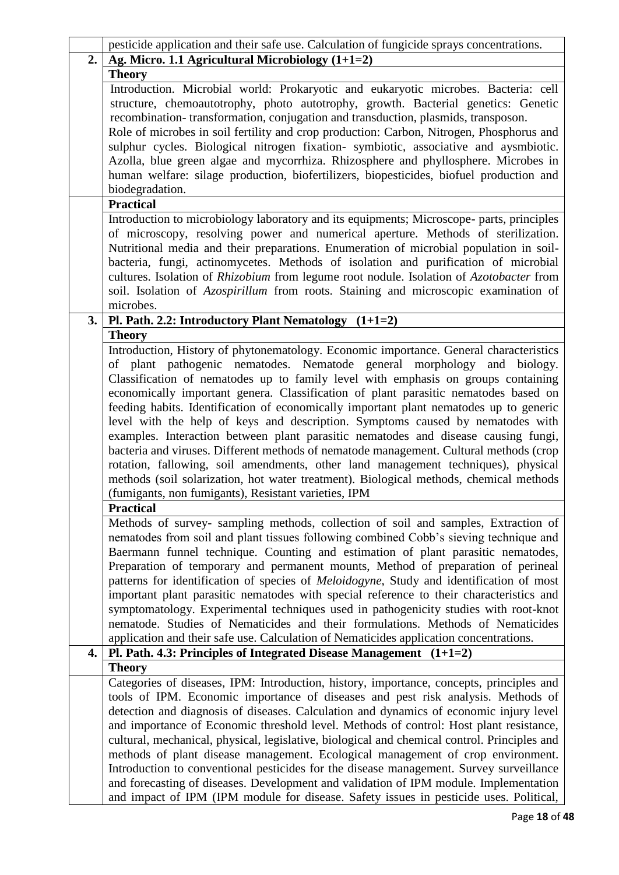|    | pesticide application and their safe use. Calculation of fungicide sprays concentrations.       |
|----|-------------------------------------------------------------------------------------------------|
| 2. | Ag. Micro. 1.1 Agricultural Microbiology (1+1=2)                                                |
|    | <b>Theory</b>                                                                                   |
|    | Introduction. Microbial world: Prokaryotic and eukaryotic microbes. Bacteria: cell              |
|    | structure, chemoautotrophy, photo autotrophy, growth. Bacterial genetics: Genetic               |
|    | recombination-transformation, conjugation and transduction, plasmids, transposon.               |
|    | Role of microbes in soil fertility and crop production: Carbon, Nitrogen, Phosphorus and        |
|    | sulphur cycles. Biological nitrogen fixation- symbiotic, associative and aysmbiotic.            |
|    |                                                                                                 |
|    | Azolla, blue green algae and mycorrhiza. Rhizosphere and phyllosphere. Microbes in              |
|    | human welfare: silage production, biofertilizers, biopesticides, biofuel production and         |
|    | biodegradation.                                                                                 |
|    | <b>Practical</b>                                                                                |
|    | Introduction to microbiology laboratory and its equipments; Microscope- parts, principles       |
|    | of microscopy, resolving power and numerical aperture. Methods of sterilization.                |
|    | Nutritional media and their preparations. Enumeration of microbial population in soil-          |
|    | bacteria, fungi, actinomycetes. Methods of isolation and purification of microbial              |
|    | cultures. Isolation of Rhizobium from legume root nodule. Isolation of Azotobacter from         |
|    | soil. Isolation of Azospirillum from roots. Staining and microscopic examination of             |
|    | microbes.                                                                                       |
| 3. | Pl. Path. 2.2: Introductory Plant Nematology $(1+1=2)$                                          |
|    | <b>Theory</b>                                                                                   |
|    | Introduction, History of phytonematology. Economic importance. General characteristics          |
|    | of plant pathogenic nematodes. Nematode general morphology and biology.                         |
|    |                                                                                                 |
|    | Classification of nematodes up to family level with emphasis on groups containing               |
|    | economically important genera. Classification of plant parasitic nematodes based on             |
|    | feeding habits. Identification of economically important plant nematodes up to generic          |
|    | level with the help of keys and description. Symptoms caused by nematodes with                  |
|    | examples. Interaction between plant parasitic nematodes and disease causing fungi,              |
|    | bacteria and viruses. Different methods of nematode management. Cultural methods (crop          |
|    | rotation, fallowing, soil amendments, other land management techniques), physical               |
|    | methods (soil solarization, hot water treatment). Biological methods, chemical methods          |
|    | (fumigants, non fumigants), Resistant varieties, IPM                                            |
|    | <b>Practical</b>                                                                                |
|    | Methods of survey- sampling methods, collection of soil and samples, Extraction of              |
|    | nematodes from soil and plant tissues following combined Cobb's sieving technique and           |
|    | Baermann funnel technique. Counting and estimation of plant parasitic nematodes,                |
|    | Preparation of temporary and permanent mounts, Method of preparation of perineal                |
|    | patterns for identification of species of <i>Meloidogyne</i> , Study and identification of most |
|    | important plant parasitic nematodes with special reference to their characteristics and         |
|    | symptomatology. Experimental techniques used in pathogenicity studies with root-knot            |
|    | nematode. Studies of Nematicides and their formulations. Methods of Nematicides                 |
|    | application and their safe use. Calculation of Nematicides application concentrations.          |
| 4. | Pl. Path. 4.3: Principles of Integrated Disease Management $(1+1=2)$                            |
|    | <b>Theory</b>                                                                                   |
|    | Categories of diseases, IPM: Introduction, history, importance, concepts, principles and        |
|    |                                                                                                 |
|    | tools of IPM. Economic importance of diseases and pest risk analysis. Methods of                |
|    | detection and diagnosis of diseases. Calculation and dynamics of economic injury level          |
|    | and importance of Economic threshold level. Methods of control: Host plant resistance,          |
|    | cultural, mechanical, physical, legislative, biological and chemical control. Principles and    |
|    | methods of plant disease management. Ecological management of crop environment.                 |
|    | Introduction to conventional pesticides for the disease management. Survey surveillance         |
|    | and forecasting of diseases. Development and validation of IPM module. Implementation           |
|    | and impact of IPM (IPM module for disease. Safety issues in pesticide uses. Political,          |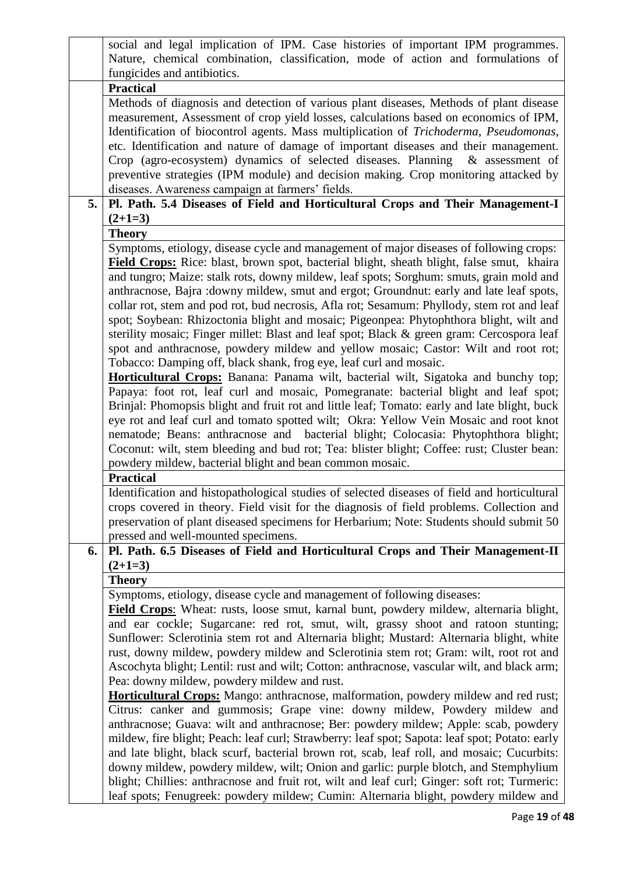|    | social and legal implication of IPM. Case histories of important IPM programmes.<br>Nature, chemical combination, classification, mode of action and formulations of                                |
|----|-----------------------------------------------------------------------------------------------------------------------------------------------------------------------------------------------------|
|    | fungicides and antibiotics.                                                                                                                                                                         |
|    | <b>Practical</b><br>Methods of diagnosis and detection of various plant diseases, Methods of plant disease<br>measurement, Assessment of crop yield losses, calculations based on economics of IPM, |
|    | Identification of biocontrol agents. Mass multiplication of Trichoderma, Pseudomonas,                                                                                                               |
|    | etc. Identification and nature of damage of important diseases and their management.<br>Crop (agro-ecosystem) dynamics of selected diseases. Planning & assessment of                               |
|    | preventive strategies (IPM module) and decision making. Crop monitoring attacked by                                                                                                                 |
|    | diseases. Awareness campaign at farmers' fields.                                                                                                                                                    |
| 5. | Pl. Path. 5.4 Diseases of Field and Horticultural Crops and Their Management-I                                                                                                                      |
|    | $(2+1=3)$                                                                                                                                                                                           |
|    | <b>Theory</b>                                                                                                                                                                                       |
|    | Symptoms, etiology, disease cycle and management of major diseases of following crops:                                                                                                              |
|    | Field Crops: Rice: blast, brown spot, bacterial blight, sheath blight, false smut, khaira                                                                                                           |
|    | and tungro; Maize: stalk rots, downy mildew, leaf spots; Sorghum: smuts, grain mold and                                                                                                             |
|    | anthracnose, Bajra : downy mildew, smut and ergot; Groundnut: early and late leaf spots,                                                                                                            |
|    | collar rot, stem and pod rot, bud necrosis, Afla rot; Sesamum: Phyllody, stem rot and leaf                                                                                                          |
|    | spot; Soybean: Rhizoctonia blight and mosaic; Pigeonpea: Phytophthora blight, wilt and                                                                                                              |
|    | sterility mosaic; Finger millet: Blast and leaf spot; Black & green gram: Cercospora leaf                                                                                                           |
|    | spot and anthracnose, powdery mildew and yellow mosaic; Castor: Wilt and root rot;                                                                                                                  |
|    | Tobacco: Damping off, black shank, frog eye, leaf curl and mosaic.                                                                                                                                  |
|    | <b>Horticultural Crops:</b> Banana: Panama wilt, bacterial wilt, Sigatoka and bunchy top;<br>Papaya: foot rot, leaf curl and mosaic, Pomegranate: bacterial blight and leaf spot;                   |
|    | Brinjal: Phomopsis blight and fruit rot and little leaf; Tomato: early and late blight, buck                                                                                                        |
|    | eye rot and leaf curl and tomato spotted wilt; Okra: Yellow Vein Mosaic and root knot                                                                                                               |
|    | nematode; Beans: anthracnose and bacterial blight; Colocasia: Phytophthora blight;                                                                                                                  |
|    | Coconut: wilt, stem bleeding and bud rot; Tea: blister blight; Coffee: rust; Cluster bean:                                                                                                          |
|    | powdery mildew, bacterial blight and bean common mosaic.                                                                                                                                            |
|    | <b>Practical</b>                                                                                                                                                                                    |
|    | Identification and histopathological studies of selected diseases of field and horticultural                                                                                                        |
|    | crops covered in theory. Field visit for the diagnosis of field problems. Collection and                                                                                                            |
|    | preservation of plant diseased specimens for Herbarium; Note: Students should submit 50                                                                                                             |
|    | pressed and well-mounted specimens.                                                                                                                                                                 |
| 6. | Pl. Path. 6.5 Diseases of Field and Horticultural Crops and Their Management-II                                                                                                                     |
|    | $(2+1=3)$<br><b>Theory</b>                                                                                                                                                                          |
|    | Symptoms, etiology, disease cycle and management of following diseases:                                                                                                                             |
|    | Field Crops: Wheat: rusts, loose smut, karnal bunt, powdery mildew, alternaria blight,                                                                                                              |
|    | and ear cockle; Sugarcane: red rot, smut, wilt, grassy shoot and ratoon stunting;                                                                                                                   |
|    | Sunflower: Sclerotinia stem rot and Alternaria blight; Mustard: Alternaria blight, white                                                                                                            |
|    | rust, downy mildew, powdery mildew and Sclerotinia stem rot; Gram: wilt, root rot and                                                                                                               |
|    | Ascochyta blight; Lentil: rust and wilt; Cotton: anthracnose, vascular wilt, and black arm;                                                                                                         |
|    | Pea: downy mildew, powdery mildew and rust.                                                                                                                                                         |
|    | <b>Horticultural Crops:</b> Mango: anthracnose, malformation, powdery mildew and red rust;                                                                                                          |
|    | Citrus: canker and gummosis; Grape vine: downy mildew, Powdery mildew and                                                                                                                           |
|    | anthracnose; Guava: wilt and anthracnose; Ber: powdery mildew; Apple: scab, powdery                                                                                                                 |
|    | mildew, fire blight; Peach: leaf curl; Strawberry: leaf spot; Sapota: leaf spot; Potato: early                                                                                                      |
|    | and late blight, black scurf, bacterial brown rot, scab, leaf roll, and mosaic; Cucurbits:                                                                                                          |
|    | downy mildew, powdery mildew, wilt; Onion and garlic: purple blotch, and Stemphylium                                                                                                                |
|    | blight; Chillies: anthracnose and fruit rot, wilt and leaf curl; Ginger: soft rot; Turmeric:                                                                                                        |
|    | leaf spots; Fenugreek: powdery mildew; Cumin: Alternaria blight, powdery mildew and                                                                                                                 |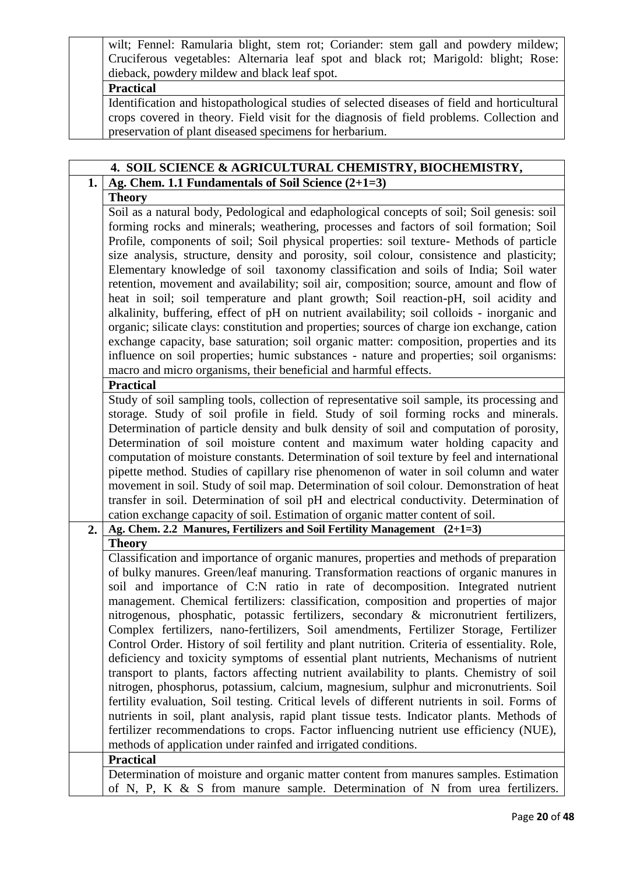wilt; Fennel: Ramularia blight, stem rot; Coriander: stem gall and powdery mildew; Cruciferous vegetables: Alternaria leaf spot and black rot; Marigold: blight; Rose: dieback, powdery mildew and black leaf spot.

#### **Practical**

Identification and histopathological studies of selected diseases of field and horticultural crops covered in theory. Field visit for the diagnosis of field problems. Collection and preservation of plant diseased specimens for herbarium.

|    | 4. SOIL SCIENCE & AGRICULTURAL CHEMISTRY, BIOCHEMISTRY,                                                                                                                            |
|----|------------------------------------------------------------------------------------------------------------------------------------------------------------------------------------|
| 1. | Ag. Chem. 1.1 Fundamentals of Soil Science $(2+1=3)$                                                                                                                               |
|    | <b>Theory</b>                                                                                                                                                                      |
|    | Soil as a natural body, Pedological and edaphological concepts of soil; Soil genesis: soil                                                                                         |
|    | forming rocks and minerals; weathering, processes and factors of soil formation; Soil                                                                                              |
|    | Profile, components of soil; Soil physical properties: soil texture- Methods of particle                                                                                           |
|    | size analysis, structure, density and porosity, soil colour, consistence and plasticity;                                                                                           |
|    | Elementary knowledge of soil taxonomy classification and soils of India; Soil water                                                                                                |
|    | retention, movement and availability; soil air, composition; source, amount and flow of                                                                                            |
|    | heat in soil; soil temperature and plant growth; Soil reaction-pH, soil acidity and                                                                                                |
|    | alkalinity, buffering, effect of pH on nutrient availability; soil colloids - inorganic and                                                                                        |
|    | organic; silicate clays: constitution and properties; sources of charge ion exchange, cation                                                                                       |
|    | exchange capacity, base saturation; soil organic matter: composition, properties and its                                                                                           |
|    | influence on soil properties; humic substances - nature and properties; soil organisms:                                                                                            |
|    | macro and micro organisms, their beneficial and harmful effects.                                                                                                                   |
|    | <b>Practical</b>                                                                                                                                                                   |
|    | Study of soil sampling tools, collection of representative soil sample, its processing and                                                                                         |
|    | storage. Study of soil profile in field. Study of soil forming rocks and minerals.                                                                                                 |
|    | Determination of particle density and bulk density of soil and computation of porosity,                                                                                            |
|    | Determination of soil moisture content and maximum water holding capacity and                                                                                                      |
|    | computation of moisture constants. Determination of soil texture by feel and international                                                                                         |
|    | pipette method. Studies of capillary rise phenomenon of water in soil column and water                                                                                             |
|    | movement in soil. Study of soil map. Determination of soil colour. Demonstration of heat                                                                                           |
|    | transfer in soil. Determination of soil pH and electrical conductivity. Determination of                                                                                           |
|    | cation exchange capacity of soil. Estimation of organic matter content of soil.                                                                                                    |
| 2. | Ag. Chem. 2.2 Manures, Fertilizers and Soil Fertility Management (2+1=3)                                                                                                           |
|    | <b>Theory</b>                                                                                                                                                                      |
|    | Classification and importance of organic manures, properties and methods of preparation                                                                                            |
|    | of bulky manures. Green/leaf manuring. Transformation reactions of organic manures in                                                                                              |
|    | soil and importance of C:N ratio in rate of decomposition. Integrated nutrient                                                                                                     |
|    | management. Chemical fertilizers: classification, composition and properties of major                                                                                              |
|    | nitrogenous, phosphatic, potassic fertilizers, secondary & micronutrient fertilizers,                                                                                              |
|    | Complex fertilizers, nano-fertilizers, Soil amendments, Fertilizer Storage, Fertilizer                                                                                             |
|    | Control Order. History of soil fertility and plant nutrition. Criteria of essentiality. Role,                                                                                      |
|    | deficiency and toxicity symptoms of essential plant nutrients, Mechanisms of nutrient                                                                                              |
|    | transport to plants, factors affecting nutrient availability to plants. Chemistry of soil<br>nitrogen, phosphorus, potassium, calcium, magnesium, sulphur and micronutrients. Soil |
|    | fertility evaluation, Soil testing. Critical levels of different nutrients in soil. Forms of                                                                                       |
|    | nutrients in soil, plant analysis, rapid plant tissue tests. Indicator plants. Methods of                                                                                          |
|    | fertilizer recommendations to crops. Factor influencing nutrient use efficiency (NUE),                                                                                             |
|    | methods of application under rainfed and irrigated conditions.                                                                                                                     |
|    | <b>Practical</b>                                                                                                                                                                   |
|    | Determination of moisture and organic matter content from manures samples. Estimation                                                                                              |
|    | of N, P, K & S from manure sample. Determination of N from urea fertilizers.                                                                                                       |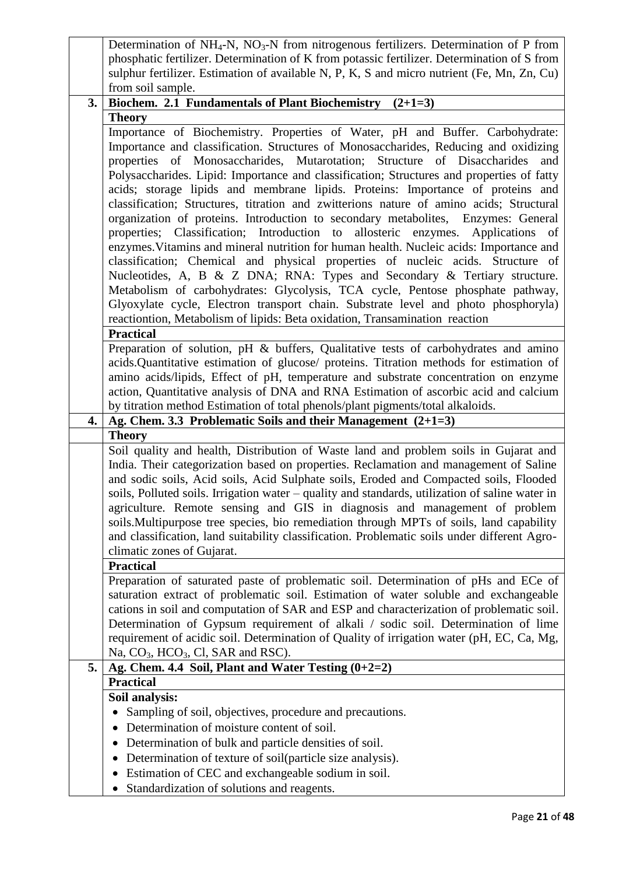|    | Determination of $NH_4$ -N, $NO_3$ -N from nitrogenous fertilizers. Determination of P from                                                                                   |
|----|-------------------------------------------------------------------------------------------------------------------------------------------------------------------------------|
|    | phosphatic fertilizer. Determination of K from potassic fertilizer. Determination of S from                                                                                   |
|    | sulphur fertilizer. Estimation of available N, P, K, S and micro nutrient (Fe, Mn, Zn, Cu)                                                                                    |
|    | from soil sample.                                                                                                                                                             |
| 3. | <b>Biochem. 2.1 Fundamentals of Plant Biochemistry</b><br>$(2+1=3)$                                                                                                           |
|    | <b>Theory</b>                                                                                                                                                                 |
|    | Importance of Biochemistry. Properties of Water, pH and Buffer. Carbohydrate:                                                                                                 |
|    | Importance and classification. Structures of Monosaccharides, Reducing and oxidizing                                                                                          |
|    | properties of Monosaccharides, Mutarotation; Structure of Disaccharides and                                                                                                   |
|    | Polysaccharides. Lipid: Importance and classification; Structures and properties of fatty                                                                                     |
|    | acids; storage lipids and membrane lipids. Proteins: Importance of proteins and                                                                                               |
|    | classification; Structures, titration and zwitterions nature of amino acids; Structural                                                                                       |
|    | organization of proteins. Introduction to secondary metabolites, Enzymes: General                                                                                             |
|    | properties; Classification; Introduction to allosteric enzymes. Applications of                                                                                               |
|    | enzymes. Vitamins and mineral nutrition for human health. Nucleic acids: Importance and                                                                                       |
|    | classification; Chemical and physical properties of nucleic acids. Structure of                                                                                               |
|    | Nucleotides, A, B & Z DNA; RNA: Types and Secondary & Tertiary structure.                                                                                                     |
|    | Metabolism of carbohydrates: Glycolysis, TCA cycle, Pentose phosphate pathway,                                                                                                |
|    | Glyoxylate cycle, Electron transport chain. Substrate level and photo phosphoryla)                                                                                            |
|    | reactiontion, Metabolism of lipids: Beta oxidation, Transamination reaction                                                                                                   |
|    | <b>Practical</b>                                                                                                                                                              |
|    | Preparation of solution, pH & buffers, Qualitative tests of carbohydrates and amino                                                                                           |
|    | acids.Quantitative estimation of glucose/ proteins. Titration methods for estimation of                                                                                       |
|    | amino acids/lipids, Effect of pH, temperature and substrate concentration on enzyme                                                                                           |
|    | action, Quantitative analysis of DNA and RNA Estimation of ascorbic acid and calcium                                                                                          |
| 4. | by titration method Estimation of total phenols/plant pigments/total alkaloids.<br>Ag. Chem. 3.3 Problematic Soils and their Management $(2+1=3)$                             |
|    | <b>Theory</b>                                                                                                                                                                 |
|    |                                                                                                                                                                               |
|    |                                                                                                                                                                               |
|    | Soil quality and health, Distribution of Waste land and problem soils in Gujarat and                                                                                          |
|    | India. Their categorization based on properties. Reclamation and management of Saline                                                                                         |
|    | and sodic soils, Acid soils, Acid Sulphate soils, Eroded and Compacted soils, Flooded                                                                                         |
|    | soils, Polluted soils. Irrigation water – quality and standards, utilization of saline water in<br>agriculture. Remote sensing and GIS in diagnosis and management of problem |
|    | soils. Multipurpose tree species, bio remediation through MPTs of soils, land capability                                                                                      |
|    | and classification, land suitability classification. Problematic soils under different Agro-                                                                                  |
|    | climatic zones of Gujarat.                                                                                                                                                    |
|    | <b>Practical</b>                                                                                                                                                              |
|    | Preparation of saturated paste of problematic soil. Determination of pHs and ECe of                                                                                           |
|    | saturation extract of problematic soil. Estimation of water soluble and exchangeable                                                                                          |
|    | cations in soil and computation of SAR and ESP and characterization of problematic soil.                                                                                      |
|    | Determination of Gypsum requirement of alkali / sodic soil. Determination of lime                                                                                             |
|    | requirement of acidic soil. Determination of Quality of irrigation water (pH, EC, Ca, Mg,                                                                                     |
|    | Na, $CO_3$ , $HCO_3$ , Cl, SAR and RSC).                                                                                                                                      |
| 5. | Ag. Chem. 4.4 Soil, Plant and Water Testing $(0+2=2)$                                                                                                                         |
|    | <b>Practical</b>                                                                                                                                                              |
|    | Soil analysis:                                                                                                                                                                |
|    | Sampling of soil, objectives, procedure and precautions.                                                                                                                      |
|    | Determination of moisture content of soil.<br>٠                                                                                                                               |
|    | Determination of bulk and particle densities of soil.                                                                                                                         |
|    | Determination of texture of soil(particle size analysis).                                                                                                                     |
|    | Estimation of CEC and exchangeable sodium in soil.<br>٠<br>Standardization of solutions and reagents.<br>$\bullet$                                                            |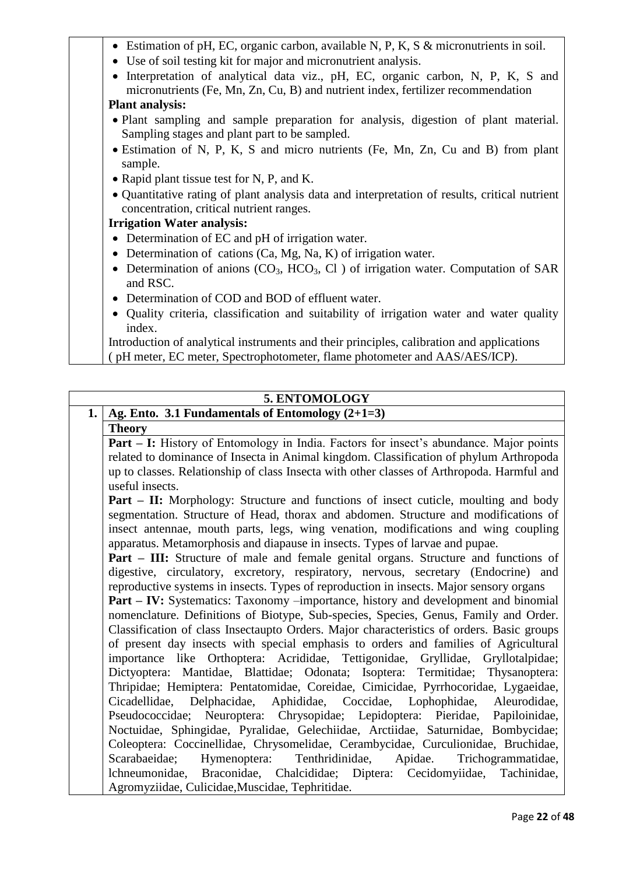| • Estimation of pH, EC, organic carbon, available N, P, K, S $\&$ micronutrients in soil.        |
|--------------------------------------------------------------------------------------------------|
| • Use of soil testing kit for major and micronutrient analysis.                                  |
| Interpretation of analytical data viz., pH, EC, organic carbon, N, P, K, S and                   |
| micronutrients (Fe, Mn, Zn, Cu, B) and nutrient index, fertilizer recommendation                 |
| <b>Plant analysis:</b>                                                                           |
| • Plant sampling and sample preparation for analysis, digestion of plant material.               |
| Sampling stages and plant part to be sampled.                                                    |
| • Estimation of N, P, K, S and micro nutrients (Fe, Mn, Zn, Cu and B) from plant                 |
|                                                                                                  |
| sample.                                                                                          |
| • Rapid plant tissue test for N, P, and K.                                                       |
| • Quantitative rating of plant analysis data and interpretation of results, critical nutrient    |
| concentration, critical nutrient ranges.                                                         |
| <b>Irrigation Water analysis:</b>                                                                |
| • Determination of EC and pH of irrigation water.                                                |
|                                                                                                  |
| • Determination of cations $(Ca, Mg, Na, K)$ of irrigation water.                                |
| Determination of anions $(CO_3, HCO_3, Cl)$ of irrigation water. Computation of SAR<br>$\bullet$ |
| and RSC.                                                                                         |
| Determination of COD and BOD of effluent water.                                                  |
| • Quality criteria, classification and suitability of irrigation water and water quality         |
| index.                                                                                           |
| Introduction of analytical instruments and their principles, calibration and applications        |
|                                                                                                  |
| (pH meter, EC meter, Spectrophotometer, flame photometer and AAS/AES/ICP).                       |

# **5. ENTOMOLOGY**

| 1.   Ag. Ento. 3.1 Fundamentals of Entomology $(2+1=3)$ |  |
|---------------------------------------------------------|--|
| <b>Theory</b>                                           |  |

**Part – I:** History of Entomology in India. Factors for insect's abundance. Major points related to dominance of Insecta in Animal kingdom. Classification of phylum Arthropoda up to classes. Relationship of class Insecta with other classes of Arthropoda. Harmful and useful insects.

**Part – II:** Morphology: Structure and functions of insect cuticle, moulting and body segmentation. Structure of Head, thorax and abdomen. Structure and modifications of insect antennae, mouth parts, legs, wing venation, modifications and wing coupling apparatus. Metamorphosis and diapause in insects. Types of larvae and pupae.

**Part – III:** Structure of male and female genital organs. Structure and functions of digestive, circulatory, excretory, respiratory, nervous, secretary (Endocrine) and reproductive systems in insects. Types of reproduction in insects. Major sensory organs

**Part – IV:** Systematics: Taxonomy –importance, history and development and binomial nomenclature. Definitions of Biotype, Sub-species, Species, Genus, Family and Order. Classification of class Insectaupto Orders. Major characteristics of orders. Basic groups of present day insects with special emphasis to orders and families of Agricultural importance like Orthoptera: Acrididae, Tettigonidae, Gryllidae, Gryllotalpidae; Dictyoptera: Mantidae, Blattidae; Odonata; Isoptera: Termitidae; Thysanoptera: Thripidae; Hemiptera: Pentatomidae, Coreidae, Cimicidae, Pyrrhocoridae, Lygaeidae, Cicadellidae, Delphacidae, Aphididae, Coccidae, Lophophidae, Aleurodidae, Pseudococcidae; Neuroptera: Chrysopidae; Lepidoptera: Pieridae, Papiloinidae, Noctuidae, Sphingidae, Pyralidae, Gelechiidae, Arctiidae, Saturnidae, Bombycidae; Coleoptera: Coccinellidae, Chrysomelidae, Cerambycidae, Curculionidae, Bruchidae, Scarabaeidae; Hymenoptera: Tenthridinidae, Apidae. Trichogrammatidae, lchneumonidae, Braconidae, Chalcididae; Diptera: Cecidomyiidae, Tachinidae, Agromyziidae, Culicidae,Muscidae, Tephritidae.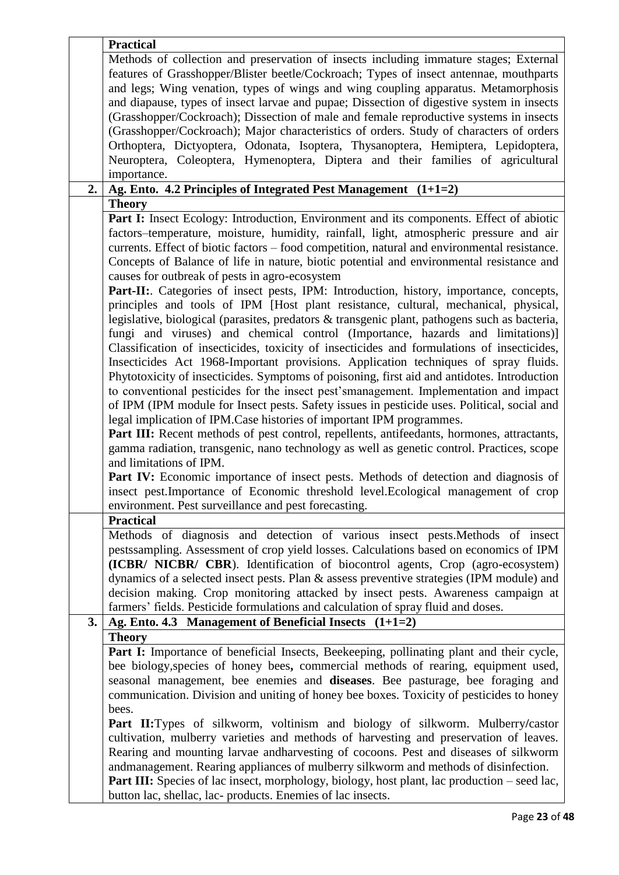| Methods of collection and preservation of insects including immature stages; External<br>features of Grasshopper/Blister beetle/Cockroach; Types of insect antennae, mouthparts<br>and legs; Wing venation, types of wings and wing coupling apparatus. Metamorphosis<br>and diapause, types of insect larvae and pupae; Dissection of digestive system in insects<br>(Grasshopper/Cockroach); Dissection of male and female reproductive systems in insects<br>(Grasshopper/Cockroach); Major characteristics of orders. Study of characters of orders<br>Orthoptera, Dictyoptera, Odonata, Isoptera, Thysanoptera, Hemiptera, Lepidoptera,<br>Neuroptera, Coleoptera, Hymenoptera, Diptera and their families of agricultural<br>importance.<br>2.<br>Ag. Ento. 4.2 Principles of Integrated Pest Management $(1+1=2)$<br><b>Theory</b><br>Part I: Insect Ecology: Introduction, Environment and its components. Effect of abiotic<br>factors-temperature, moisture, humidity, rainfall, light, atmospheric pressure and air<br>currents. Effect of biotic factors – food competition, natural and environmental resistance.<br>Concepts of Balance of life in nature, biotic potential and environmental resistance and<br>causes for outbreak of pests in agro-ecosystem<br>Part-II: Categories of insect pests, IPM: Introduction, history, importance, concepts,<br>principles and tools of IPM [Host plant resistance, cultural, mechanical, physical,<br>legislative, biological (parasites, predators & transgenic plant, pathogens such as bacteria, |
|----------------------------------------------------------------------------------------------------------------------------------------------------------------------------------------------------------------------------------------------------------------------------------------------------------------------------------------------------------------------------------------------------------------------------------------------------------------------------------------------------------------------------------------------------------------------------------------------------------------------------------------------------------------------------------------------------------------------------------------------------------------------------------------------------------------------------------------------------------------------------------------------------------------------------------------------------------------------------------------------------------------------------------------------------------------------------------------------------------------------------------------------------------------------------------------------------------------------------------------------------------------------------------------------------------------------------------------------------------------------------------------------------------------------------------------------------------------------------------------------------------------------------------------------------------------|
|                                                                                                                                                                                                                                                                                                                                                                                                                                                                                                                                                                                                                                                                                                                                                                                                                                                                                                                                                                                                                                                                                                                                                                                                                                                                                                                                                                                                                                                                                                                                                                |
|                                                                                                                                                                                                                                                                                                                                                                                                                                                                                                                                                                                                                                                                                                                                                                                                                                                                                                                                                                                                                                                                                                                                                                                                                                                                                                                                                                                                                                                                                                                                                                |
|                                                                                                                                                                                                                                                                                                                                                                                                                                                                                                                                                                                                                                                                                                                                                                                                                                                                                                                                                                                                                                                                                                                                                                                                                                                                                                                                                                                                                                                                                                                                                                |
|                                                                                                                                                                                                                                                                                                                                                                                                                                                                                                                                                                                                                                                                                                                                                                                                                                                                                                                                                                                                                                                                                                                                                                                                                                                                                                                                                                                                                                                                                                                                                                |
|                                                                                                                                                                                                                                                                                                                                                                                                                                                                                                                                                                                                                                                                                                                                                                                                                                                                                                                                                                                                                                                                                                                                                                                                                                                                                                                                                                                                                                                                                                                                                                |
|                                                                                                                                                                                                                                                                                                                                                                                                                                                                                                                                                                                                                                                                                                                                                                                                                                                                                                                                                                                                                                                                                                                                                                                                                                                                                                                                                                                                                                                                                                                                                                |
|                                                                                                                                                                                                                                                                                                                                                                                                                                                                                                                                                                                                                                                                                                                                                                                                                                                                                                                                                                                                                                                                                                                                                                                                                                                                                                                                                                                                                                                                                                                                                                |
|                                                                                                                                                                                                                                                                                                                                                                                                                                                                                                                                                                                                                                                                                                                                                                                                                                                                                                                                                                                                                                                                                                                                                                                                                                                                                                                                                                                                                                                                                                                                                                |
|                                                                                                                                                                                                                                                                                                                                                                                                                                                                                                                                                                                                                                                                                                                                                                                                                                                                                                                                                                                                                                                                                                                                                                                                                                                                                                                                                                                                                                                                                                                                                                |
|                                                                                                                                                                                                                                                                                                                                                                                                                                                                                                                                                                                                                                                                                                                                                                                                                                                                                                                                                                                                                                                                                                                                                                                                                                                                                                                                                                                                                                                                                                                                                                |
|                                                                                                                                                                                                                                                                                                                                                                                                                                                                                                                                                                                                                                                                                                                                                                                                                                                                                                                                                                                                                                                                                                                                                                                                                                                                                                                                                                                                                                                                                                                                                                |
|                                                                                                                                                                                                                                                                                                                                                                                                                                                                                                                                                                                                                                                                                                                                                                                                                                                                                                                                                                                                                                                                                                                                                                                                                                                                                                                                                                                                                                                                                                                                                                |
|                                                                                                                                                                                                                                                                                                                                                                                                                                                                                                                                                                                                                                                                                                                                                                                                                                                                                                                                                                                                                                                                                                                                                                                                                                                                                                                                                                                                                                                                                                                                                                |
|                                                                                                                                                                                                                                                                                                                                                                                                                                                                                                                                                                                                                                                                                                                                                                                                                                                                                                                                                                                                                                                                                                                                                                                                                                                                                                                                                                                                                                                                                                                                                                |
|                                                                                                                                                                                                                                                                                                                                                                                                                                                                                                                                                                                                                                                                                                                                                                                                                                                                                                                                                                                                                                                                                                                                                                                                                                                                                                                                                                                                                                                                                                                                                                |
|                                                                                                                                                                                                                                                                                                                                                                                                                                                                                                                                                                                                                                                                                                                                                                                                                                                                                                                                                                                                                                                                                                                                                                                                                                                                                                                                                                                                                                                                                                                                                                |
|                                                                                                                                                                                                                                                                                                                                                                                                                                                                                                                                                                                                                                                                                                                                                                                                                                                                                                                                                                                                                                                                                                                                                                                                                                                                                                                                                                                                                                                                                                                                                                |
|                                                                                                                                                                                                                                                                                                                                                                                                                                                                                                                                                                                                                                                                                                                                                                                                                                                                                                                                                                                                                                                                                                                                                                                                                                                                                                                                                                                                                                                                                                                                                                |
|                                                                                                                                                                                                                                                                                                                                                                                                                                                                                                                                                                                                                                                                                                                                                                                                                                                                                                                                                                                                                                                                                                                                                                                                                                                                                                                                                                                                                                                                                                                                                                |
|                                                                                                                                                                                                                                                                                                                                                                                                                                                                                                                                                                                                                                                                                                                                                                                                                                                                                                                                                                                                                                                                                                                                                                                                                                                                                                                                                                                                                                                                                                                                                                |
|                                                                                                                                                                                                                                                                                                                                                                                                                                                                                                                                                                                                                                                                                                                                                                                                                                                                                                                                                                                                                                                                                                                                                                                                                                                                                                                                                                                                                                                                                                                                                                |
| fungi and viruses) and chemical control (Importance, hazards and limitations)]                                                                                                                                                                                                                                                                                                                                                                                                                                                                                                                                                                                                                                                                                                                                                                                                                                                                                                                                                                                                                                                                                                                                                                                                                                                                                                                                                                                                                                                                                 |
| Classification of insecticides, toxicity of insecticides and formulations of insecticides,                                                                                                                                                                                                                                                                                                                                                                                                                                                                                                                                                                                                                                                                                                                                                                                                                                                                                                                                                                                                                                                                                                                                                                                                                                                                                                                                                                                                                                                                     |
| Insecticides Act 1968-Important provisions. Application techniques of spray fluids.                                                                                                                                                                                                                                                                                                                                                                                                                                                                                                                                                                                                                                                                                                                                                                                                                                                                                                                                                                                                                                                                                                                                                                                                                                                                                                                                                                                                                                                                            |
| Phytotoxicity of insecticides. Symptoms of poisoning, first aid and antidotes. Introduction                                                                                                                                                                                                                                                                                                                                                                                                                                                                                                                                                                                                                                                                                                                                                                                                                                                                                                                                                                                                                                                                                                                                                                                                                                                                                                                                                                                                                                                                    |
| to conventional pesticides for the insect pest'smanagement. Implementation and impact                                                                                                                                                                                                                                                                                                                                                                                                                                                                                                                                                                                                                                                                                                                                                                                                                                                                                                                                                                                                                                                                                                                                                                                                                                                                                                                                                                                                                                                                          |
| of IPM (IPM module for Insect pests. Safety issues in pesticide uses. Political, social and                                                                                                                                                                                                                                                                                                                                                                                                                                                                                                                                                                                                                                                                                                                                                                                                                                                                                                                                                                                                                                                                                                                                                                                                                                                                                                                                                                                                                                                                    |
| legal implication of IPM. Case histories of important IPM programmes.                                                                                                                                                                                                                                                                                                                                                                                                                                                                                                                                                                                                                                                                                                                                                                                                                                                                                                                                                                                                                                                                                                                                                                                                                                                                                                                                                                                                                                                                                          |
| Part III: Recent methods of pest control, repellents, antifeedants, hormones, attractants,                                                                                                                                                                                                                                                                                                                                                                                                                                                                                                                                                                                                                                                                                                                                                                                                                                                                                                                                                                                                                                                                                                                                                                                                                                                                                                                                                                                                                                                                     |
| gamma radiation, transgenic, nano technology as well as genetic control. Practices, scope                                                                                                                                                                                                                                                                                                                                                                                                                                                                                                                                                                                                                                                                                                                                                                                                                                                                                                                                                                                                                                                                                                                                                                                                                                                                                                                                                                                                                                                                      |
| and limitations of IPM.                                                                                                                                                                                                                                                                                                                                                                                                                                                                                                                                                                                                                                                                                                                                                                                                                                                                                                                                                                                                                                                                                                                                                                                                                                                                                                                                                                                                                                                                                                                                        |
|                                                                                                                                                                                                                                                                                                                                                                                                                                                                                                                                                                                                                                                                                                                                                                                                                                                                                                                                                                                                                                                                                                                                                                                                                                                                                                                                                                                                                                                                                                                                                                |
| Part IV: Economic importance of insect pests. Methods of detection and diagnosis of                                                                                                                                                                                                                                                                                                                                                                                                                                                                                                                                                                                                                                                                                                                                                                                                                                                                                                                                                                                                                                                                                                                                                                                                                                                                                                                                                                                                                                                                            |
| insect pest.Importance of Economic threshold level.Ecological management of crop                                                                                                                                                                                                                                                                                                                                                                                                                                                                                                                                                                                                                                                                                                                                                                                                                                                                                                                                                                                                                                                                                                                                                                                                                                                                                                                                                                                                                                                                               |
| environment. Pest surveillance and pest forecasting.                                                                                                                                                                                                                                                                                                                                                                                                                                                                                                                                                                                                                                                                                                                                                                                                                                                                                                                                                                                                                                                                                                                                                                                                                                                                                                                                                                                                                                                                                                           |
| <b>Practical</b>                                                                                                                                                                                                                                                                                                                                                                                                                                                                                                                                                                                                                                                                                                                                                                                                                                                                                                                                                                                                                                                                                                                                                                                                                                                                                                                                                                                                                                                                                                                                               |
| Methods of diagnosis and detection of various insect pests. Methods of insect                                                                                                                                                                                                                                                                                                                                                                                                                                                                                                                                                                                                                                                                                                                                                                                                                                                                                                                                                                                                                                                                                                                                                                                                                                                                                                                                                                                                                                                                                  |
| pestssampling. Assessment of crop yield losses. Calculations based on economics of IPM                                                                                                                                                                                                                                                                                                                                                                                                                                                                                                                                                                                                                                                                                                                                                                                                                                                                                                                                                                                                                                                                                                                                                                                                                                                                                                                                                                                                                                                                         |
| (ICBR/ NICBR/ CBR). Identification of biocontrol agents, Crop (agro-ecosystem)                                                                                                                                                                                                                                                                                                                                                                                                                                                                                                                                                                                                                                                                                                                                                                                                                                                                                                                                                                                                                                                                                                                                                                                                                                                                                                                                                                                                                                                                                 |
| dynamics of a selected insect pests. Plan & assess preventive strategies (IPM module) and                                                                                                                                                                                                                                                                                                                                                                                                                                                                                                                                                                                                                                                                                                                                                                                                                                                                                                                                                                                                                                                                                                                                                                                                                                                                                                                                                                                                                                                                      |
| decision making. Crop monitoring attacked by insect pests. Awareness campaign at                                                                                                                                                                                                                                                                                                                                                                                                                                                                                                                                                                                                                                                                                                                                                                                                                                                                                                                                                                                                                                                                                                                                                                                                                                                                                                                                                                                                                                                                               |
| farmers' fields. Pesticide formulations and calculation of spray fluid and doses.                                                                                                                                                                                                                                                                                                                                                                                                                                                                                                                                                                                                                                                                                                                                                                                                                                                                                                                                                                                                                                                                                                                                                                                                                                                                                                                                                                                                                                                                              |
| Ag. Ento. 4.3 Management of Beneficial Insects $(1+1=2)$<br>3.                                                                                                                                                                                                                                                                                                                                                                                                                                                                                                                                                                                                                                                                                                                                                                                                                                                                                                                                                                                                                                                                                                                                                                                                                                                                                                                                                                                                                                                                                                 |
| <b>Theory</b>                                                                                                                                                                                                                                                                                                                                                                                                                                                                                                                                                                                                                                                                                                                                                                                                                                                                                                                                                                                                                                                                                                                                                                                                                                                                                                                                                                                                                                                                                                                                                  |
| Part I: Importance of beneficial Insects, Beekeeping, pollinating plant and their cycle,                                                                                                                                                                                                                                                                                                                                                                                                                                                                                                                                                                                                                                                                                                                                                                                                                                                                                                                                                                                                                                                                                                                                                                                                                                                                                                                                                                                                                                                                       |
| bee biology, species of honey bees, commercial methods of rearing, equipment used,                                                                                                                                                                                                                                                                                                                                                                                                                                                                                                                                                                                                                                                                                                                                                                                                                                                                                                                                                                                                                                                                                                                                                                                                                                                                                                                                                                                                                                                                             |
| seasonal management, bee enemies and diseases. Bee pasturage, bee foraging and                                                                                                                                                                                                                                                                                                                                                                                                                                                                                                                                                                                                                                                                                                                                                                                                                                                                                                                                                                                                                                                                                                                                                                                                                                                                                                                                                                                                                                                                                 |
|                                                                                                                                                                                                                                                                                                                                                                                                                                                                                                                                                                                                                                                                                                                                                                                                                                                                                                                                                                                                                                                                                                                                                                                                                                                                                                                                                                                                                                                                                                                                                                |
| communication. Division and uniting of honey bee boxes. Toxicity of pesticides to honey                                                                                                                                                                                                                                                                                                                                                                                                                                                                                                                                                                                                                                                                                                                                                                                                                                                                                                                                                                                                                                                                                                                                                                                                                                                                                                                                                                                                                                                                        |
| bees.                                                                                                                                                                                                                                                                                                                                                                                                                                                                                                                                                                                                                                                                                                                                                                                                                                                                                                                                                                                                                                                                                                                                                                                                                                                                                                                                                                                                                                                                                                                                                          |
| <b>Part II:</b> Types of silkworm, voltinism and biology of silkworm. Mulberry/castor                                                                                                                                                                                                                                                                                                                                                                                                                                                                                                                                                                                                                                                                                                                                                                                                                                                                                                                                                                                                                                                                                                                                                                                                                                                                                                                                                                                                                                                                          |
| cultivation, mulberry varieties and methods of harvesting and preservation of leaves.                                                                                                                                                                                                                                                                                                                                                                                                                                                                                                                                                                                                                                                                                                                                                                                                                                                                                                                                                                                                                                                                                                                                                                                                                                                                                                                                                                                                                                                                          |
| Rearing and mounting larvae and harvesting of cocoons. Pest and diseases of silkworm                                                                                                                                                                                                                                                                                                                                                                                                                                                                                                                                                                                                                                                                                                                                                                                                                                                                                                                                                                                                                                                                                                                                                                                                                                                                                                                                                                                                                                                                           |
| andmanagement. Rearing appliances of mulberry silkworm and methods of disinfection.                                                                                                                                                                                                                                                                                                                                                                                                                                                                                                                                                                                                                                                                                                                                                                                                                                                                                                                                                                                                                                                                                                                                                                                                                                                                                                                                                                                                                                                                            |
| <b>Part III:</b> Species of lac insect, morphology, biology, host plant, lac production – seed lac,                                                                                                                                                                                                                                                                                                                                                                                                                                                                                                                                                                                                                                                                                                                                                                                                                                                                                                                                                                                                                                                                                                                                                                                                                                                                                                                                                                                                                                                            |
| button lac, shellac, lac- products. Enemies of lac insects.                                                                                                                                                                                                                                                                                                                                                                                                                                                                                                                                                                                                                                                                                                                                                                                                                                                                                                                                                                                                                                                                                                                                                                                                                                                                                                                                                                                                                                                                                                    |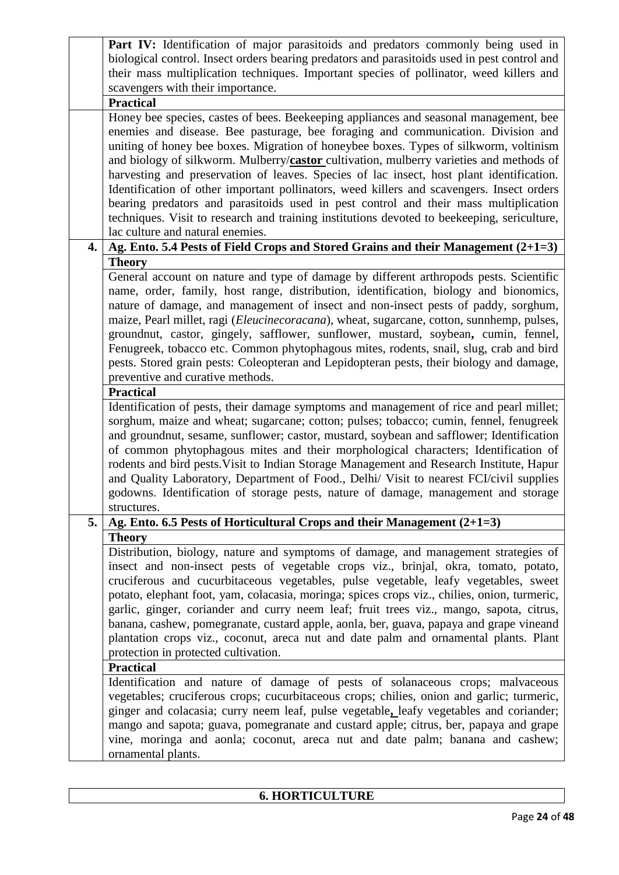|                  | Part IV: Identification of major parasitoids and predators commonly being used in                                                                                                  |
|------------------|------------------------------------------------------------------------------------------------------------------------------------------------------------------------------------|
|                  | biological control. Insect orders bearing predators and parasitoids used in pest control and                                                                                       |
|                  | their mass multiplication techniques. Important species of pollinator, weed killers and                                                                                            |
|                  | scavengers with their importance.                                                                                                                                                  |
|                  | <b>Practical</b>                                                                                                                                                                   |
|                  | Honey bee species, castes of bees. Beekeeping appliances and seasonal management, bee                                                                                              |
|                  | enemies and disease. Bee pasturage, bee foraging and communication. Division and                                                                                                   |
|                  | uniting of honey bee boxes. Migration of honeybee boxes. Types of silkworm, voltinism                                                                                              |
|                  | and biology of silkworm. Mulberry/castor cultivation, mulberry varieties and methods of                                                                                            |
|                  | harvesting and preservation of leaves. Species of lac insect, host plant identification.                                                                                           |
|                  | Identification of other important pollinators, weed killers and scavengers. Insect orders<br>bearing predators and parasitoids used in pest control and their mass multiplication  |
|                  | techniques. Visit to research and training institutions devoted to beekeeping, sericulture,                                                                                        |
|                  | lac culture and natural enemies.                                                                                                                                                   |
| $\overline{4}$ . |                                                                                                                                                                                    |
|                  | Ag. Ento. 5.4 Pests of Field Crops and Stored Grains and their Management (2+1=3)                                                                                                  |
|                  | <b>Theory</b>                                                                                                                                                                      |
|                  | General account on nature and type of damage by different arthropods pests. Scientific<br>name, order, family, host range, distribution, identification, biology and bionomics,    |
|                  | nature of damage, and management of insect and non-insect pests of paddy, sorghum,                                                                                                 |
|                  | maize, Pearl millet, ragi (Eleucinecoracana), wheat, sugarcane, cotton, sunnhemp, pulses,                                                                                          |
|                  | groundnut, castor, gingely, safflower, sunflower, mustard, soybean, cumin, fennel,                                                                                                 |
|                  | Fenugreek, tobacco etc. Common phytophagous mites, rodents, snail, slug, crab and bird                                                                                             |
|                  | pests. Stored grain pests: Coleopteran and Lepidopteran pests, their biology and damage,                                                                                           |
|                  | preventive and curative methods.                                                                                                                                                   |
|                  | <b>Practical</b>                                                                                                                                                                   |
|                  | Identification of pests, their damage symptoms and management of rice and pearl millet;                                                                                            |
|                  | sorghum, maize and wheat; sugarcane; cotton; pulses; tobacco; cumin, fennel, fenugreek                                                                                             |
|                  | and groundnut, sesame, sunflower; castor, mustard, soybean and safflower; Identification                                                                                           |
|                  | of common phytophagous mites and their morphological characters; Identification of                                                                                                 |
|                  | rodents and bird pests. Visit to Indian Storage Management and Research Institute, Hapur                                                                                           |
|                  | and Quality Laboratory, Department of Food., Delhi/ Visit to nearest FCI/civil supplies                                                                                            |
|                  | godowns. Identification of storage pests, nature of damage, management and storage                                                                                                 |
|                  | structures.                                                                                                                                                                        |
| 5.               | Ag. Ento. 6.5 Pests of Horticultural Crops and their Management $(2+1=3)$                                                                                                          |
|                  | <b>Theory</b>                                                                                                                                                                      |
|                  | Distribution, biology, nature and symptoms of damage, and management strategies of                                                                                                 |
|                  | insect and non-insect pests of vegetable crops viz., brinjal, okra, tomato, potato,                                                                                                |
|                  | cruciferous and cucurbitaceous vegetables, pulse vegetable, leafy vegetables, sweet                                                                                                |
|                  | potato, elephant foot, yam, colacasia, moringa; spices crops viz., chilies, onion, turmeric,                                                                                       |
|                  | garlic, ginger, coriander and curry neem leaf; fruit trees viz., mango, sapota, citrus,<br>banana, cashew, pomegranate, custard apple, aonla, ber, guava, papaya and grape vineand |
|                  | plantation crops viz., coconut, areca nut and date palm and ornamental plants. Plant                                                                                               |
|                  | protection in protected cultivation.                                                                                                                                               |
|                  | <b>Practical</b>                                                                                                                                                                   |
|                  | Identification and nature of damage of pests of solanaceous crops; malvaceous                                                                                                      |
|                  | vegetables; cruciferous crops; cucurbitaceous crops; chilies, onion and garlic; turmeric,                                                                                          |
|                  | ginger and colacasia; curry neem leaf, pulse vegetable, leafy vegetables and coriander;                                                                                            |
|                  | mango and sapota; guava, pomegranate and custard apple; citrus, ber, papaya and grape                                                                                              |
|                  | vine, moringa and aonla; coconut, areca nut and date palm; banana and cashew;                                                                                                      |
|                  | ornamental plants.                                                                                                                                                                 |
|                  |                                                                                                                                                                                    |

# **6. HORTICULTURE**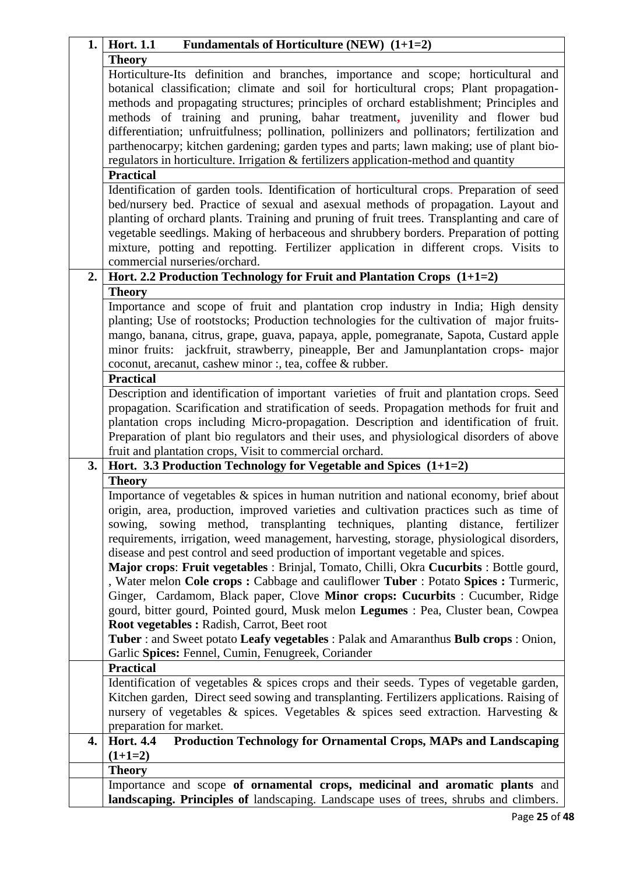|    | Fundamentals of Horticulture (NEW) $(1+1=2)$<br>1. Hort. 1.1                                                                                                                   |
|----|--------------------------------------------------------------------------------------------------------------------------------------------------------------------------------|
|    | <b>Theory</b>                                                                                                                                                                  |
|    | Horticulture-Its definition and branches, importance and scope; horticultural and                                                                                              |
|    | botanical classification; climate and soil for horticultural crops; Plant propagation-                                                                                         |
|    | methods and propagating structures; principles of orchard establishment; Principles and                                                                                        |
|    | methods of training and pruning, bahar treatment, juvenility and flower bud                                                                                                    |
|    | differentiation; unfruitfulness; pollination, pollinizers and pollinators; fertilization and                                                                                   |
|    | parthenocarpy; kitchen gardening; garden types and parts; lawn making; use of plant bio-                                                                                       |
|    | regulators in horticulture. Irrigation & fertilizers application-method and quantity                                                                                           |
|    | <b>Practical</b>                                                                                                                                                               |
|    | Identification of garden tools. Identification of horticultural crops. Preparation of seed                                                                                     |
|    | bed/nursery bed. Practice of sexual and asexual methods of propagation. Layout and                                                                                             |
|    | planting of orchard plants. Training and pruning of fruit trees. Transplanting and care of                                                                                     |
|    | vegetable seedlings. Making of herbaceous and shrubbery borders. Preparation of potting                                                                                        |
|    | mixture, potting and repotting. Fertilizer application in different crops. Visits to                                                                                           |
|    | commercial nurseries/orchard.                                                                                                                                                  |
| 2. | Hort. 2.2 Production Technology for Fruit and Plantation Crops (1+1=2)                                                                                                         |
|    | <b>Theory</b>                                                                                                                                                                  |
|    | Importance and scope of fruit and plantation crop industry in India; High density                                                                                              |
|    | planting; Use of rootstocks; Production technologies for the cultivation of major fruits-                                                                                      |
|    | mango, banana, citrus, grape, guava, papaya, apple, pomegranate, Sapota, Custard apple<br>minor fruits: jackfruit, strawberry, pineapple, Ber and Jamunplantation crops- major |
|    | coconut, arecanut, cashew minor :, tea, coffee & rubber.                                                                                                                       |
|    | <b>Practical</b>                                                                                                                                                               |
|    | Description and identification of important varieties of fruit and plantation crops. Seed                                                                                      |
|    | propagation. Scarification and stratification of seeds. Propagation methods for fruit and                                                                                      |
|    | plantation crops including Micro-propagation. Description and identification of fruit.                                                                                         |
|    | Preparation of plant bio regulators and their uses, and physiological disorders of above                                                                                       |
|    | fruit and plantation crops, Visit to commercial orchard.                                                                                                                       |
| 3. | Hort. 3.3 Production Technology for Vegetable and Spices $(1+1=2)$                                                                                                             |
|    | <b>Theory</b>                                                                                                                                                                  |
|    | Importance of vegetables & spices in human nutrition and national economy, brief about                                                                                         |
|    | origin, area, production, improved varieties and cultivation practices such as time of                                                                                         |
|    | sowing method, transplanting techniques, planting distance, fertilizer<br>sowing,                                                                                              |
|    | requirements, irrigation, weed management, harvesting, storage, physiological disorders,                                                                                       |
|    | disease and pest control and seed production of important vegetable and spices.                                                                                                |
|    | Major crops: Fruit vegetables : Brinjal, Tomato, Chilli, Okra Cucurbits : Bottle gourd,                                                                                        |
|    | , Water melon Cole crops: Cabbage and cauliflower Tuber: Potato Spices: Turmeric,                                                                                              |
|    | Ginger, Cardamom, Black paper, Clove Minor crops: Cucurbits : Cucumber, Ridge                                                                                                  |
|    | gourd, bitter gourd, Pointed gourd, Musk melon Legumes : Pea, Cluster bean, Cowpea                                                                                             |
|    | <b>Root vegetables: Radish, Carrot, Beet root</b>                                                                                                                              |
|    | Tuber : and Sweet potato Leafy vegetables : Palak and Amaranthus Bulb crops : Onion,                                                                                           |
|    | Garlic Spices: Fennel, Cumin, Fenugreek, Coriander<br><b>Practical</b>                                                                                                         |
|    | Identification of vegetables & spices crops and their seeds. Types of vegetable garden,                                                                                        |
|    | Kitchen garden, Direct seed sowing and transplanting. Fertilizers applications. Raising of                                                                                     |
|    | nursery of vegetables & spices. Vegetables & spices seed extraction. Harvesting &                                                                                              |
|    | preparation for market.                                                                                                                                                        |
| 4. | Production Technology for Ornamental Crops, MAPs and Landscaping<br><b>Hort. 4.4</b>                                                                                           |
|    | $(1+1=2)$                                                                                                                                                                      |
|    | <b>Theory</b>                                                                                                                                                                  |
|    | Importance and scope of ornamental crops, medicinal and aromatic plants and                                                                                                    |
|    | landscaping. Principles of landscaping. Landscape uses of trees, shrubs and climbers.                                                                                          |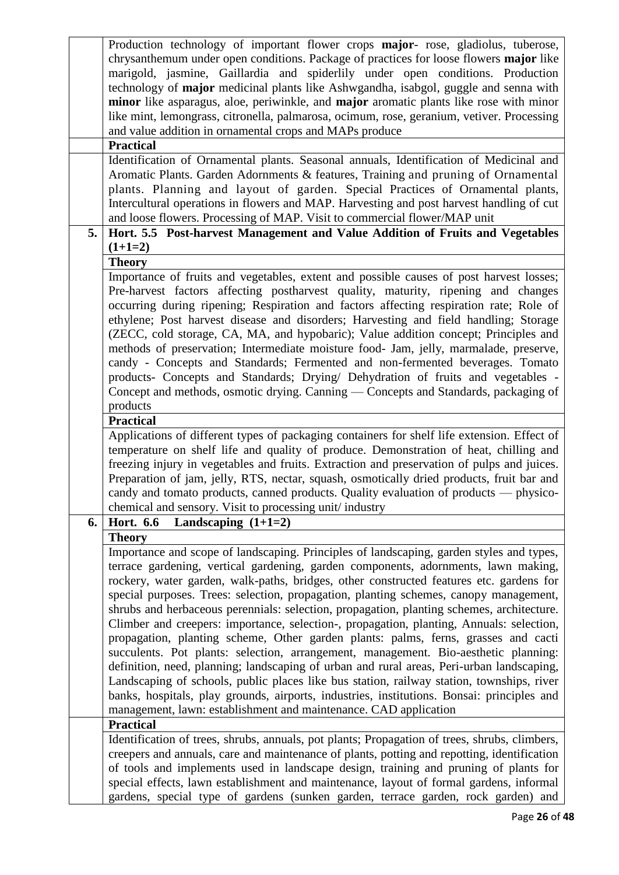|    | Production technology of important flower crops <b>major</b> - rose, gladiolus, tuberose,<br>chrysanthemum under open conditions. Package of practices for loose flowers major like     |
|----|-----------------------------------------------------------------------------------------------------------------------------------------------------------------------------------------|
|    | marigold, jasmine, Gaillardia and spiderlily under open conditions. Production                                                                                                          |
|    | technology of major medicinal plants like Ashwgandha, isabgol, guggle and senna with                                                                                                    |
|    | minor like asparagus, aloe, periwinkle, and major aromatic plants like rose with minor                                                                                                  |
|    | like mint, lemongrass, citronella, palmarosa, ocimum, rose, geranium, vetiver. Processing                                                                                               |
|    | and value addition in ornamental crops and MAPs produce                                                                                                                                 |
|    | <b>Practical</b>                                                                                                                                                                        |
|    | Identification of Ornamental plants. Seasonal annuals, Identification of Medicinal and                                                                                                  |
|    | Aromatic Plants. Garden Adornments & features, Training and pruning of Ornamental                                                                                                       |
|    | plants. Planning and layout of garden. Special Practices of Ornamental plants,                                                                                                          |
|    | Intercultural operations in flowers and MAP. Harvesting and post harvest handling of cut                                                                                                |
|    | and loose flowers. Processing of MAP. Visit to commercial flower/MAP unit                                                                                                               |
| 5. | Hort. 5.5 Post-harvest Management and Value Addition of Fruits and Vegetables                                                                                                           |
|    | $(1+1=2)$                                                                                                                                                                               |
|    | <b>Theory</b>                                                                                                                                                                           |
|    | Importance of fruits and vegetables, extent and possible causes of post harvest losses;                                                                                                 |
|    | Pre-harvest factors affecting postharvest quality, maturity, ripening and changes                                                                                                       |
|    | occurring during ripening; Respiration and factors affecting respiration rate; Role of                                                                                                  |
|    | ethylene; Post harvest disease and disorders; Harvesting and field handling; Storage                                                                                                    |
|    | (ZECC, cold storage, CA, MA, and hypobaric); Value addition concept; Principles and                                                                                                     |
|    | methods of preservation; Intermediate moisture food- Jam, jelly, marmalade, preserve,                                                                                                   |
|    | candy - Concepts and Standards; Fermented and non-fermented beverages. Tomato                                                                                                           |
|    | products- Concepts and Standards; Drying/ Dehydration of fruits and vegetables -                                                                                                        |
|    | Concept and methods, osmotic drying. Canning — Concepts and Standards, packaging of                                                                                                     |
|    | products                                                                                                                                                                                |
|    | <b>Practical</b>                                                                                                                                                                        |
|    | Applications of different types of packaging containers for shelf life extension. Effect of                                                                                             |
|    | temperature on shelf life and quality of produce. Demonstration of heat, chilling and                                                                                                   |
|    | freezing injury in vegetables and fruits. Extraction and preservation of pulps and juices.<br>Preparation of jam, jelly, RTS, nectar, squash, osmotically dried products, fruit bar and |
|    | candy and tomato products, canned products. Quality evaluation of products — physico-                                                                                                   |
|    | chemical and sensory. Visit to processing unit/industry                                                                                                                                 |
| 6. | <b>Hort. 6.6</b><br>Landscaping $(1+1=2)$                                                                                                                                               |
|    | <b>Theory</b>                                                                                                                                                                           |
|    | Importance and scope of landscaping. Principles of landscaping, garden styles and types,                                                                                                |
|    | terrace gardening, vertical gardening, garden components, adornments, lawn making,                                                                                                      |
|    | rockery, water garden, walk-paths, bridges, other constructed features etc. gardens for                                                                                                 |
|    | special purposes. Trees: selection, propagation, planting schemes, canopy management,                                                                                                   |
|    | shrubs and herbaceous perennials: selection, propagation, planting schemes, architecture.                                                                                               |
|    | Climber and creepers: importance, selection-, propagation, planting, Annuals: selection,                                                                                                |
|    | propagation, planting scheme, Other garden plants: palms, ferns, grasses and cacti                                                                                                      |
|    | succulents. Pot plants: selection, arrangement, management. Bio-aesthetic planning:                                                                                                     |
|    | definition, need, planning; landscaping of urban and rural areas, Peri-urban landscaping,                                                                                               |
|    | Landscaping of schools, public places like bus station, railway station, townships, river                                                                                               |
|    | banks, hospitals, play grounds, airports, industries, institutions. Bonsai: principles and                                                                                              |
|    | management, lawn: establishment and maintenance. CAD application                                                                                                                        |
|    | <b>Practical</b>                                                                                                                                                                        |
|    | Identification of trees, shrubs, annuals, pot plants; Propagation of trees, shrubs, climbers,                                                                                           |
|    | creepers and annuals, care and maintenance of plants, potting and repotting, identification                                                                                             |
|    | of tools and implements used in landscape design, training and pruning of plants for                                                                                                    |
|    | special effects, lawn establishment and maintenance, layout of formal gardens, informal                                                                                                 |
|    | gardens, special type of gardens (sunken garden, terrace garden, rock garden) and                                                                                                       |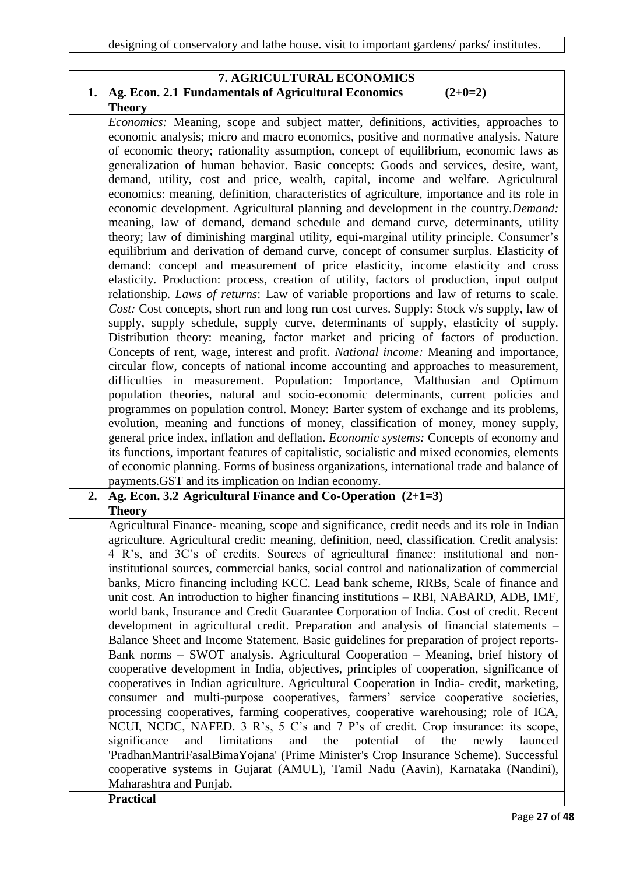|    | 7. AGRICULTURAL ECONOMICS                                                                                                                                                                                                                                                                                                                                                                                                                                                                                                                                                                                                                                                                                                                                                                                                                                                                                                                                                                                                                                                                                                                                                                                                                                                                                                                                                                                                                                                                                                                                                                                                                                                                                                                                                                                                                                                                                                                                                                                                                                                                                                                                                                            |
|----|------------------------------------------------------------------------------------------------------------------------------------------------------------------------------------------------------------------------------------------------------------------------------------------------------------------------------------------------------------------------------------------------------------------------------------------------------------------------------------------------------------------------------------------------------------------------------------------------------------------------------------------------------------------------------------------------------------------------------------------------------------------------------------------------------------------------------------------------------------------------------------------------------------------------------------------------------------------------------------------------------------------------------------------------------------------------------------------------------------------------------------------------------------------------------------------------------------------------------------------------------------------------------------------------------------------------------------------------------------------------------------------------------------------------------------------------------------------------------------------------------------------------------------------------------------------------------------------------------------------------------------------------------------------------------------------------------------------------------------------------------------------------------------------------------------------------------------------------------------------------------------------------------------------------------------------------------------------------------------------------------------------------------------------------------------------------------------------------------------------------------------------------------------------------------------------------------|
| 1. | Ag. Econ. 2.1 Fundamentals of Agricultural Economics<br>$(2+0=2)$                                                                                                                                                                                                                                                                                                                                                                                                                                                                                                                                                                                                                                                                                                                                                                                                                                                                                                                                                                                                                                                                                                                                                                                                                                                                                                                                                                                                                                                                                                                                                                                                                                                                                                                                                                                                                                                                                                                                                                                                                                                                                                                                    |
|    | <b>Theory</b>                                                                                                                                                                                                                                                                                                                                                                                                                                                                                                                                                                                                                                                                                                                                                                                                                                                                                                                                                                                                                                                                                                                                                                                                                                                                                                                                                                                                                                                                                                                                                                                                                                                                                                                                                                                                                                                                                                                                                                                                                                                                                                                                                                                        |
|    | Economics: Meaning, scope and subject matter, definitions, activities, approaches to<br>economic analysis; micro and macro economics, positive and normative analysis. Nature<br>of economic theory; rationality assumption, concept of equilibrium, economic laws as<br>generalization of human behavior. Basic concepts: Goods and services, desire, want,<br>demand, utility, cost and price, wealth, capital, income and welfare. Agricultural<br>economics: meaning, definition, characteristics of agriculture, importance and its role in<br>economic development. Agricultural planning and development in the country. Demand:<br>meaning, law of demand, demand schedule and demand curve, determinants, utility<br>theory; law of diminishing marginal utility, equi-marginal utility principle. Consumer's<br>equilibrium and derivation of demand curve, concept of consumer surplus. Elasticity of<br>demand: concept and measurement of price elasticity, income elasticity and cross<br>elasticity. Production: process, creation of utility, factors of production, input output<br>relationship. Laws of returns: Law of variable proportions and law of returns to scale.<br>Cost: Cost concepts, short run and long run cost curves. Supply: Stock v/s supply, law of<br>supply, supply schedule, supply curve, determinants of supply, elasticity of supply.<br>Distribution theory: meaning, factor market and pricing of factors of production.<br>Concepts of rent, wage, interest and profit. National income: Meaning and importance,<br>circular flow, concepts of national income accounting and approaches to measurement,<br>difficulties in measurement. Population: Importance, Malthusian and Optimum<br>population theories, natural and socio-economic determinants, current policies and<br>programmes on population control. Money: Barter system of exchange and its problems,<br>evolution, meaning and functions of money, classification of money, money supply,<br>general price index, inflation and deflation. Economic systems: Concepts of economy and<br>its functions, important features of capitalistic, socialistic and mixed economies, elements |
|    | of economic planning. Forms of business organizations, international trade and balance of<br>payments. GST and its implication on Indian economy.                                                                                                                                                                                                                                                                                                                                                                                                                                                                                                                                                                                                                                                                                                                                                                                                                                                                                                                                                                                                                                                                                                                                                                                                                                                                                                                                                                                                                                                                                                                                                                                                                                                                                                                                                                                                                                                                                                                                                                                                                                                    |
| 2. | Ag. Econ. 3.2 Agricultural Finance and Co-Operation $(2+1=3)$                                                                                                                                                                                                                                                                                                                                                                                                                                                                                                                                                                                                                                                                                                                                                                                                                                                                                                                                                                                                                                                                                                                                                                                                                                                                                                                                                                                                                                                                                                                                                                                                                                                                                                                                                                                                                                                                                                                                                                                                                                                                                                                                        |
|    | <b>Theory</b>                                                                                                                                                                                                                                                                                                                                                                                                                                                                                                                                                                                                                                                                                                                                                                                                                                                                                                                                                                                                                                                                                                                                                                                                                                                                                                                                                                                                                                                                                                                                                                                                                                                                                                                                                                                                                                                                                                                                                                                                                                                                                                                                                                                        |
|    | Agricultural Finance- meaning, scope and significance, credit needs and its role in Indian<br>agriculture. Agricultural credit: meaning, definition, need, classification. Credit analysis:<br>4 R's, and 3C's of credits. Sources of agricultural finance: institutional and non-<br>institutional sources, commercial banks, social control and nationalization of commercial<br>banks, Micro financing including KCC. Lead bank scheme, RRBs, Scale of finance and<br>unit cost. An introduction to higher financing institutions – RBI, NABARD, ADB, IMF,<br>world bank, Insurance and Credit Guarantee Corporation of India. Cost of credit. Recent<br>development in agricultural credit. Preparation and analysis of financial statements -<br>Balance Sheet and Income Statement. Basic guidelines for preparation of project reports-<br>Bank norms - SWOT analysis. Agricultural Cooperation - Meaning, brief history of<br>cooperative development in India, objectives, principles of cooperation, significance of<br>cooperatives in Indian agriculture. Agricultural Cooperation in India- credit, marketing,<br>consumer and multi-purpose cooperatives, farmers' service cooperative societies,<br>processing cooperatives, farming cooperatives, cooperative warehousing; role of ICA,<br>NCUI, NCDC, NAFED. 3 R's, 5 C's and 7 P's of credit. Crop insurance: its scope,<br>significance<br>and<br>limitations<br>potential<br>of<br>the<br>and<br>the<br>newly<br>launced<br>'PradhanMantriFasalBimaYojana' (Prime Minister's Crop Insurance Scheme). Successful<br>cooperative systems in Gujarat (AMUL), Tamil Nadu (Aavin), Karnataka (Nandini),<br>Maharashtra and Punjab.                                                                                                                                                                                                                                                                                                                                                                                                                                                                                                    |
|    | <b>Practical</b>                                                                                                                                                                                                                                                                                                                                                                                                                                                                                                                                                                                                                                                                                                                                                                                                                                                                                                                                                                                                                                                                                                                                                                                                                                                                                                                                                                                                                                                                                                                                                                                                                                                                                                                                                                                                                                                                                                                                                                                                                                                                                                                                                                                     |
|    |                                                                                                                                                                                                                                                                                                                                                                                                                                                                                                                                                                                                                                                                                                                                                                                                                                                                                                                                                                                                                                                                                                                                                                                                                                                                                                                                                                                                                                                                                                                                                                                                                                                                                                                                                                                                                                                                                                                                                                                                                                                                                                                                                                                                      |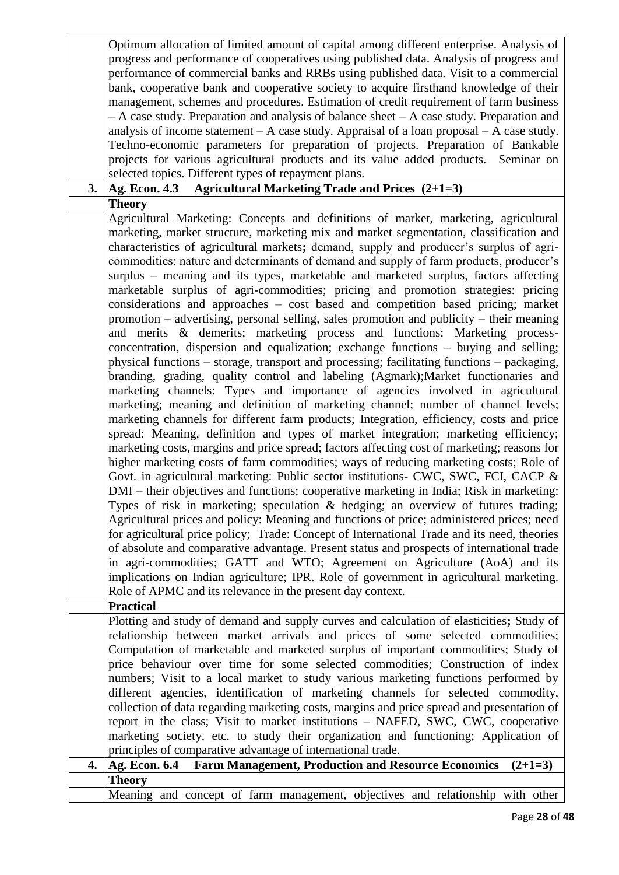|    | Optimum allocation of limited amount of capital among different enterprise. Analysis of                                                                                                  |
|----|------------------------------------------------------------------------------------------------------------------------------------------------------------------------------------------|
|    | progress and performance of cooperatives using published data. Analysis of progress and                                                                                                  |
|    | performance of commercial banks and RRBs using published data. Visit to a commercial                                                                                                     |
|    | bank, cooperative bank and cooperative society to acquire firsthand knowledge of their                                                                                                   |
|    | management, schemes and procedures. Estimation of credit requirement of farm business                                                                                                    |
|    | $-A$ case study. Preparation and analysis of balance sheet $-A$ case study. Preparation and                                                                                              |
|    | analysis of income statement $-A$ case study. Appraisal of a loan proposal $-A$ case study.                                                                                              |
|    | Techno-economic parameters for preparation of projects. Preparation of Bankable                                                                                                          |
|    | projects for various agricultural products and its value added products. Seminar on                                                                                                      |
| 3. | selected topics. Different types of repayment plans.<br>Ag. Econ. 4.3                                                                                                                    |
|    | <b>Agricultural Marketing Trade and Prices (2+1=3)</b><br><b>Theory</b>                                                                                                                  |
|    | Agricultural Marketing: Concepts and definitions of market, marketing, agricultural                                                                                                      |
|    | marketing, market structure, marketing mix and market segmentation, classification and                                                                                                   |
|    | characteristics of agricultural markets; demand, supply and producer's surplus of agri-                                                                                                  |
|    | commodities: nature and determinants of demand and supply of farm products, producer's                                                                                                   |
|    | surplus – meaning and its types, marketable and marketed surplus, factors affecting                                                                                                      |
|    | marketable surplus of agri-commodities; pricing and promotion strategies: pricing                                                                                                        |
|    | considerations and approaches - cost based and competition based pricing; market                                                                                                         |
|    | promotion - advertising, personal selling, sales promotion and publicity - their meaning                                                                                                 |
|    | and merits & demerits; marketing process and functions: Marketing process-                                                                                                               |
|    | concentration, dispersion and equalization; exchange functions – buying and selling;                                                                                                     |
|    | physical functions – storage, transport and processing; facilitating functions – packaging,                                                                                              |
|    | branding, grading, quality control and labeling (Agmark); Market functionaries and                                                                                                       |
|    | marketing channels: Types and importance of agencies involved in agricultural                                                                                                            |
|    | marketing; meaning and definition of marketing channel; number of channel levels;                                                                                                        |
|    | marketing channels for different farm products; Integration, efficiency, costs and price                                                                                                 |
|    | spread: Meaning, definition and types of market integration; marketing efficiency;                                                                                                       |
|    | marketing costs, margins and price spread; factors affecting cost of marketing; reasons for                                                                                              |
|    | higher marketing costs of farm commodities; ways of reducing marketing costs; Role of                                                                                                    |
|    | Govt. in agricultural marketing: Public sector institutions- CWC, SWC, FCI, CACP &                                                                                                       |
|    | DMI – their objectives and functions; cooperative marketing in India; Risk in marketing:                                                                                                 |
|    | Types of risk in marketing; speculation $\&$ hedging; an overview of futures trading;                                                                                                    |
|    |                                                                                                                                                                                          |
|    | Agricultural prices and policy: Meaning and functions of price; administered prices; need<br>for agricultural price policy; Trade: Concept of International Trade and its need, theories |
|    | of absolute and comparative advantage. Present status and prospects of international trade                                                                                               |
|    |                                                                                                                                                                                          |
|    | in agri-commodities; GATT and WTO; Agreement on Agriculture (AoA) and its                                                                                                                |
|    | implications on Indian agriculture; IPR. Role of government in agricultural marketing.                                                                                                   |
|    | Role of APMC and its relevance in the present day context.<br><b>Practical</b>                                                                                                           |
|    | Plotting and study of demand and supply curves and calculation of elasticities; Study of                                                                                                 |
|    | relationship between market arrivals and prices of some selected commodities;                                                                                                            |
|    | Computation of marketable and marketed surplus of important commodities; Study of                                                                                                        |
|    | price behaviour over time for some selected commodities; Construction of index                                                                                                           |
|    | numbers; Visit to a local market to study various marketing functions performed by                                                                                                       |
|    | different agencies, identification of marketing channels for selected commodity,                                                                                                         |
|    | collection of data regarding marketing costs, margins and price spread and presentation of                                                                                               |
|    | report in the class; Visit to market institutions - NAFED, SWC, CWC, cooperative                                                                                                         |
|    | marketing society, etc. to study their organization and functioning; Application of                                                                                                      |
|    | principles of comparative advantage of international trade.                                                                                                                              |
| 4. | <b>Farm Management, Production and Resource Economics</b><br>Ag. Econ. 6.4<br>$(2+1=3)$                                                                                                  |
|    | <b>Theory</b>                                                                                                                                                                            |
|    | Meaning and concept of farm management, objectives and relationship with other                                                                                                           |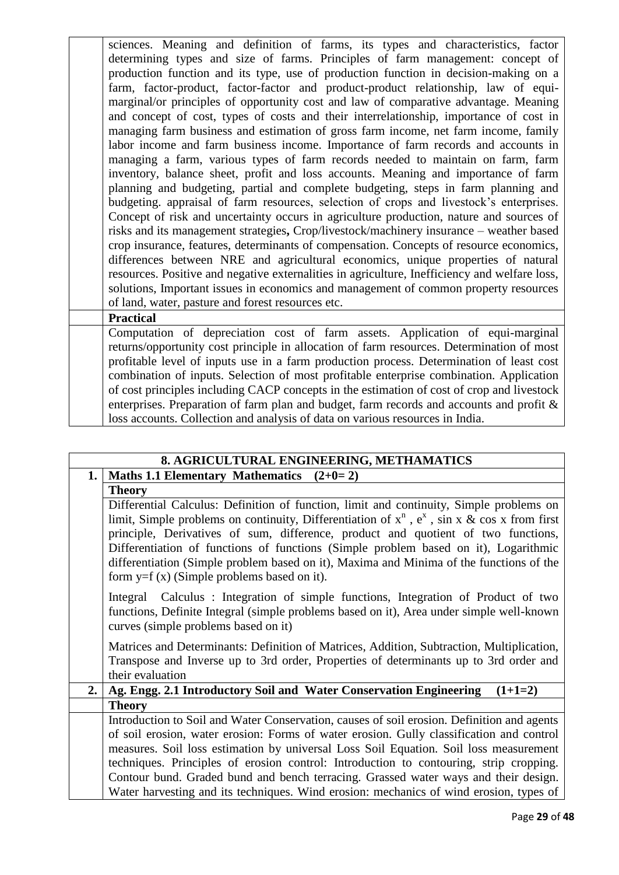sciences. Meaning and definition of farms, its types and characteristics, factor determining types and size of farms. Principles of farm management: concept of production function and its type, use of production function in decision-making on a farm, factor-product, factor-factor and product-product relationship, law of equimarginal/or principles of opportunity cost and law of comparative advantage. Meaning and concept of cost, types of costs and their interrelationship, importance of cost in managing farm business and estimation of gross farm income, net farm income, family labor income and farm business income. Importance of farm records and accounts in managing a farm, various types of farm records needed to maintain on farm, farm inventory, balance sheet, profit and loss accounts. Meaning and importance of farm planning and budgeting, partial and complete budgeting, steps in farm planning and budgeting. appraisal of farm resources, selection of crops and livestock's enterprises. Concept of risk and uncertainty occurs in agriculture production, nature and sources of risks and its management strategies**,** Crop/livestock/machinery insurance – weather based crop insurance, features, determinants of compensation. Concepts of resource economics, differences between NRE and agricultural economics, unique properties of natural resources. Positive and negative externalities in agriculture, Inefficiency and welfare loss, solutions, Important issues in economics and management of common property resources of land, water, pasture and forest resources etc. **Practical**

Computation of depreciation cost of farm assets. Application of equi-marginal returns/opportunity cost principle in allocation of farm resources. Determination of most profitable level of inputs use in a farm production process. Determination of least cost combination of inputs. Selection of most profitable enterprise combination. Application of cost principles including CACP concepts in the estimation of cost of crop and livestock enterprises. Preparation of farm plan and budget, farm records and accounts and profit & loss accounts. Collection and analysis of data on various resources in India.

|    | 8. AGRICULTURAL ENGINEERING, METHAMATICS                                                          |
|----|---------------------------------------------------------------------------------------------------|
| 1. | Maths 1.1 Elementary Mathematics $(2+0=2)$                                                        |
|    | <b>Theory</b>                                                                                     |
|    | Differential Calculus: Definition of function, limit and continuity, Simple problems on           |
|    | limit, Simple problems on continuity, Differentiation of $x^n$ , $e^x$ , sin x & cos x from first |
|    | principle, Derivatives of sum, difference, product and quotient of two functions,                 |
|    | Differentiation of functions of functions (Simple problem based on it), Logarithmic               |
|    | differentiation (Simple problem based on it), Maxima and Minima of the functions of the           |
|    | form $y=f(x)$ (Simple problems based on it).                                                      |
|    | Integral Calculus: Integration of simple functions, Integration of Product of two                 |
|    | functions, Definite Integral (simple problems based on it), Area under simple well-known          |
|    | curves (simple problems based on it)                                                              |
|    | Matrices and Determinants: Definition of Matrices, Addition, Subtraction, Multiplication,         |
|    | Transpose and Inverse up to 3rd order, Properties of determinants up to 3rd order and             |
|    | their evaluation                                                                                  |
| 2. | Ag. Engg. 2.1 Introductory Soil and Water Conservation Engineering<br>$(1+1=2)$                   |
|    | <b>Theory</b>                                                                                     |
|    |                                                                                                   |
|    | Introduction to Soil and Water Conservation, causes of soil erosion. Definition and agents        |
|    | of soil erosion, water erosion: Forms of water erosion. Gully classification and control          |
|    | measures. Soil loss estimation by universal Loss Soil Equation. Soil loss measurement             |
|    | techniques. Principles of erosion control: Introduction to contouring, strip cropping.            |
|    | Contour bund. Graded bund and bench terracing. Grassed water ways and their design.               |
|    | Water harvesting and its techniques. Wind erosion: mechanics of wind erosion, types of            |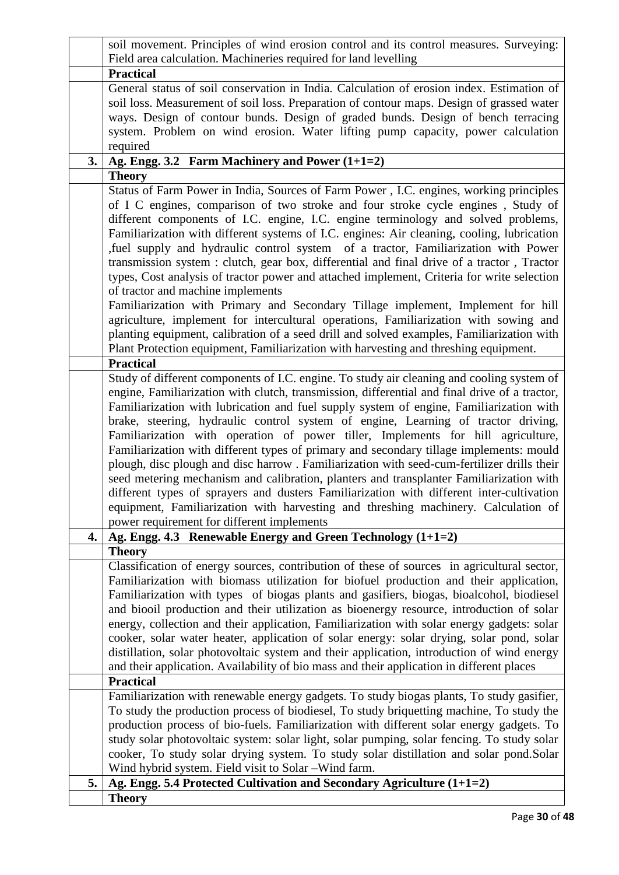|    | soil movement. Principles of wind erosion control and its control measures. Surveying:                                                                                                 |
|----|----------------------------------------------------------------------------------------------------------------------------------------------------------------------------------------|
|    | Field area calculation. Machineries required for land levelling                                                                                                                        |
|    | <b>Practical</b>                                                                                                                                                                       |
|    | General status of soil conservation in India. Calculation of erosion index. Estimation of                                                                                              |
|    | soil loss. Measurement of soil loss. Preparation of contour maps. Design of grassed water                                                                                              |
|    | ways. Design of contour bunds. Design of graded bunds. Design of bench terracing                                                                                                       |
|    | system. Problem on wind erosion. Water lifting pump capacity, power calculation                                                                                                        |
|    | required                                                                                                                                                                               |
| 3. | Ag. Engg. 3.2 Farm Machinery and Power $(1+1=2)$                                                                                                                                       |
|    | <b>Theory</b>                                                                                                                                                                          |
|    | Status of Farm Power in India, Sources of Farm Power, I.C. engines, working principles                                                                                                 |
|    | of I C engines, comparison of two stroke and four stroke cycle engines, Study of                                                                                                       |
|    | different components of I.C. engine, I.C. engine terminology and solved problems,                                                                                                      |
|    | Familiarization with different systems of I.C. engines: Air cleaning, cooling, lubrication<br>fuel supply and hydraulic control system of a tractor, Familiarization with Power        |
|    | transmission system : clutch, gear box, differential and final drive of a tractor, Tractor                                                                                             |
|    | types, Cost analysis of tractor power and attached implement, Criteria for write selection                                                                                             |
|    | of tractor and machine implements                                                                                                                                                      |
|    | Familiarization with Primary and Secondary Tillage implement, Implement for hill                                                                                                       |
|    | agriculture, implement for intercultural operations, Familiarization with sowing and                                                                                                   |
|    | planting equipment, calibration of a seed drill and solved examples, Familiarization with                                                                                              |
|    | Plant Protection equipment, Familiarization with harvesting and threshing equipment.                                                                                                   |
|    | <b>Practical</b>                                                                                                                                                                       |
|    | Study of different components of I.C. engine. To study air cleaning and cooling system of                                                                                              |
|    | engine, Familiarization with clutch, transmission, differential and final drive of a tractor,                                                                                          |
|    | Familiarization with lubrication and fuel supply system of engine, Familiarization with                                                                                                |
|    | brake, steering, hydraulic control system of engine, Learning of tractor driving,                                                                                                      |
|    | Familiarization with operation of power tiller, Implements for hill agriculture,                                                                                                       |
|    | Familiarization with different types of primary and secondary tillage implements: mould                                                                                                |
|    | plough, disc plough and disc harrow. Familiarization with seed-cum-fertilizer drills their                                                                                             |
|    | seed metering mechanism and calibration, planters and transplanter Familiarization with                                                                                                |
|    | different types of sprayers and dusters Familiarization with different inter-cultivation                                                                                               |
|    | equipment, Familiarization with harvesting and threshing machinery. Calculation of                                                                                                     |
|    | power requirement for different implements                                                                                                                                             |
| 4. | Ag. Engg. 4.3 Renewable Energy and Green Technology $(1+1=2)$                                                                                                                          |
|    | <b>Theory</b>                                                                                                                                                                          |
|    | Classification of energy sources, contribution of these of sources in agricultural sector,                                                                                             |
|    | Familiarization with biomass utilization for biofuel production and their application,                                                                                                 |
|    | Familiarization with types of biogas plants and gasifiers, biogas, bioalcohol, biodiesel                                                                                               |
|    | and biooil production and their utilization as bioenergy resource, introduction of solar                                                                                               |
|    | energy, collection and their application, Familiarization with solar energy gadgets: solar                                                                                             |
|    | cooker, solar water heater, application of solar energy: solar drying, solar pond, solar<br>distillation, solar photovoltaic system and their application, introduction of wind energy |
|    | and their application. Availability of bio mass and their application in different places                                                                                              |
|    | <b>Practical</b>                                                                                                                                                                       |
|    | Familiarization with renewable energy gadgets. To study biogas plants, To study gasifier,                                                                                              |
|    | To study the production process of biodiesel, To study briquetting machine, To study the                                                                                               |
|    | production process of bio-fuels. Familiarization with different solar energy gadgets. To                                                                                               |
|    | study solar photovoltaic system: solar light, solar pumping, solar fencing. To study solar                                                                                             |
|    | cooker, To study solar drying system. To study solar distillation and solar pond.Solar                                                                                                 |
|    | Wind hybrid system. Field visit to Solar - Wind farm.                                                                                                                                  |
| 5. | Ag. Engg. 5.4 Protected Cultivation and Secondary Agriculture (1+1=2)                                                                                                                  |
|    | <b>Theory</b>                                                                                                                                                                          |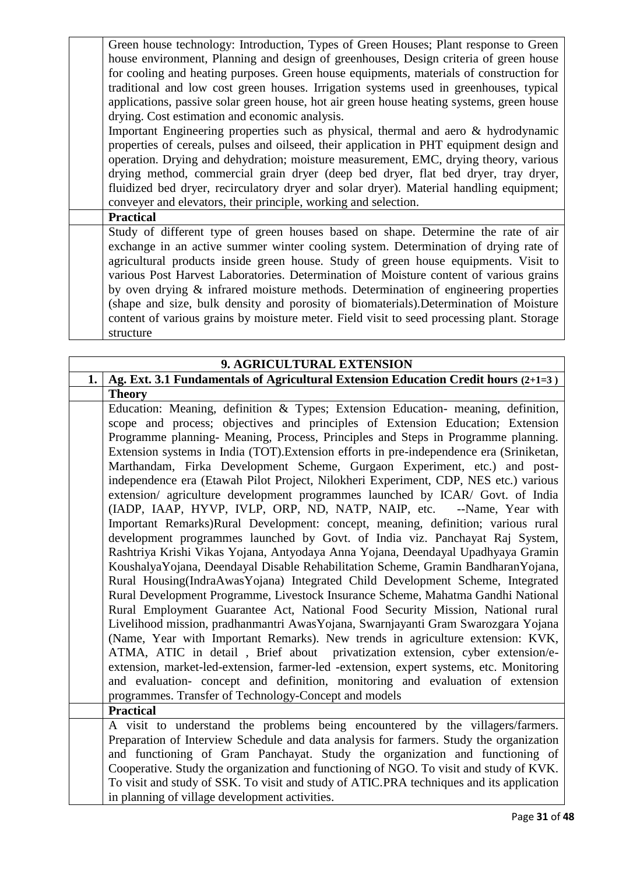Green house technology: Introduction, Types of Green Houses; Plant response to Green house environment, Planning and design of greenhouses, Design criteria of green house for cooling and heating purposes. Green house equipments, materials of construction for traditional and low cost green houses. Irrigation systems used in greenhouses, typical applications, passive solar green house, hot air green house heating systems, green house drying. Cost estimation and economic analysis.

Important Engineering properties such as physical, thermal and aero & hydrodynamic properties of cereals, pulses and oilseed, their application in PHT equipment design and operation. Drying and dehydration; moisture measurement, EMC, drying theory, various drying method, commercial grain dryer (deep bed dryer, flat bed dryer, tray dryer, fluidized bed dryer, recirculatory dryer and solar dryer). Material handling equipment: conveyer and elevators, their principle, working and selection.

**Practical**

Study of different type of green houses based on shape. Determine the rate of air exchange in an active summer winter cooling system. Determination of drying rate of agricultural products inside green house. Study of green house equipments. Visit to various Post Harvest Laboratories. Determination of Moisture content of various grains by oven drying & infrared moisture methods. Determination of engineering properties (shape and size, bulk density and porosity of biomaterials).Determination of Moisture content of various grains by moisture meter. Field visit to seed processing plant. Storage structure

|    | 9. AGRICULTURAL EXTENSION                                                                |  |
|----|------------------------------------------------------------------------------------------|--|
| 1. | Ag. Ext. 3.1 Fundamentals of Agricultural Extension Education Credit hours (2+1=3)       |  |
|    | <b>Theory</b>                                                                            |  |
|    | Education: Meaning, definition & Types; Extension Education- meaning, definition,        |  |
|    | scope and process; objectives and principles of Extension Education; Extension           |  |
|    | Programme planning- Meaning, Process, Principles and Steps in Programme planning.        |  |
|    | Extension systems in India (TOT). Extension efforts in pre-independence era (Sriniketan, |  |
|    | Marthandam, Firka Development Scheme, Gurgaon Experiment, etc.) and post-                |  |
|    | independence era (Etawah Pilot Project, Nilokheri Experiment, CDP, NES etc.) various     |  |
|    | extension/ agriculture development programmes launched by ICAR/ Govt. of India           |  |
|    | (IADP, IAAP, HYVP, IVLP, ORP, ND, NATP, NAIP, etc.<br>--Name, Year with                  |  |
|    | Important Remarks)Rural Development: concept, meaning, definition; various rural         |  |
|    | development programmes launched by Govt. of India viz. Panchayat Raj System,             |  |
|    | Rashtriya Krishi Vikas Yojana, Antyodaya Anna Yojana, Deendayal Upadhyaya Gramin         |  |
|    | Koushalya Yojana, Deendayal Disable Rehabilitation Scheme, Gramin Bandharan Yojana,      |  |
|    | Rural Housing(IndraAwasYojana) Integrated Child Development Scheme, Integrated           |  |
|    | Rural Development Programme, Livestock Insurance Scheme, Mahatma Gandhi National         |  |
|    | Rural Employment Guarantee Act, National Food Security Mission, National rural           |  |
|    | Livelihood mission, pradhanmantri AwasYojana, Swarnjayanti Gram Swarozgara Yojana        |  |
|    | (Name, Year with Important Remarks). New trends in agriculture extension: KVK,           |  |
|    | ATMA, ATIC in detail, Brief about privatization extension, cyber extension/e-            |  |
|    | extension, market-led-extension, farmer-led -extension, expert systems, etc. Monitoring  |  |
|    | and evaluation- concept and definition, monitoring and evaluation of extension           |  |
|    | programmes. Transfer of Technology-Concept and models                                    |  |
|    | <b>Practical</b>                                                                         |  |
|    | A visit to understand the problems being encountered by the villagers/farmers.           |  |
|    | Preparation of Interview Schedule and data analysis for farmers. Study the organization  |  |
|    | and functioning of Gram Panchayat. Study the organization and functioning of             |  |
|    | Cooperative. Study the organization and functioning of NGO. To visit and study of KVK.   |  |
|    | To visit and study of SSK. To visit and study of ATIC.PRA techniques and its application |  |
|    | in planning of village development activities.                                           |  |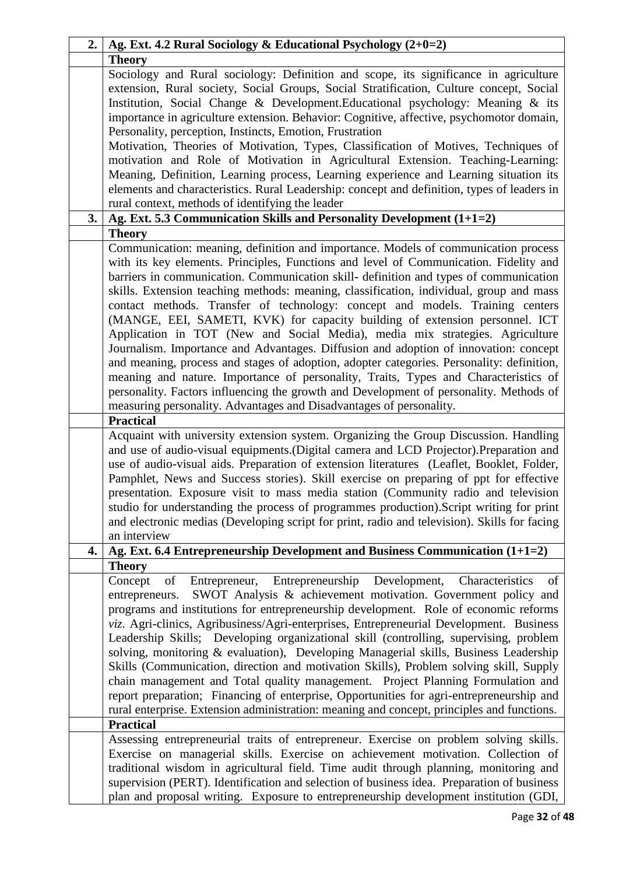| 2. | Ag. Ext. 4.2 Rural Sociology & Educational Psychology (2+0=2)                                                                                                                                                                                                                                                                                                                                                                                                                                                                                                                                                                                                                                                                                                                                                                                                                                                                                                                                                                                                                                                                                                                                                                                                                                                                                                                                                                                                                                                                                                                                                                             |
|----|-------------------------------------------------------------------------------------------------------------------------------------------------------------------------------------------------------------------------------------------------------------------------------------------------------------------------------------------------------------------------------------------------------------------------------------------------------------------------------------------------------------------------------------------------------------------------------------------------------------------------------------------------------------------------------------------------------------------------------------------------------------------------------------------------------------------------------------------------------------------------------------------------------------------------------------------------------------------------------------------------------------------------------------------------------------------------------------------------------------------------------------------------------------------------------------------------------------------------------------------------------------------------------------------------------------------------------------------------------------------------------------------------------------------------------------------------------------------------------------------------------------------------------------------------------------------------------------------------------------------------------------------|
|    | <b>Theory</b>                                                                                                                                                                                                                                                                                                                                                                                                                                                                                                                                                                                                                                                                                                                                                                                                                                                                                                                                                                                                                                                                                                                                                                                                                                                                                                                                                                                                                                                                                                                                                                                                                             |
|    | Sociology and Rural sociology: Definition and scope, its significance in agriculture<br>extension, Rural society, Social Groups, Social Stratification, Culture concept, Social<br>Institution, Social Change & Development. Educational psychology: Meaning & its<br>importance in agriculture extension. Behavior: Cognitive, affective, psychomotor domain,<br>Personality, perception, Instincts, Emotion, Frustration<br>Motivation, Theories of Motivation, Types, Classification of Motives, Techniques of                                                                                                                                                                                                                                                                                                                                                                                                                                                                                                                                                                                                                                                                                                                                                                                                                                                                                                                                                                                                                                                                                                                         |
|    | motivation and Role of Motivation in Agricultural Extension. Teaching-Learning:<br>Meaning, Definition, Learning process, Learning experience and Learning situation its<br>elements and characteristics. Rural Leadership: concept and definition, types of leaders in                                                                                                                                                                                                                                                                                                                                                                                                                                                                                                                                                                                                                                                                                                                                                                                                                                                                                                                                                                                                                                                                                                                                                                                                                                                                                                                                                                   |
|    | rural context, methods of identifying the leader                                                                                                                                                                                                                                                                                                                                                                                                                                                                                                                                                                                                                                                                                                                                                                                                                                                                                                                                                                                                                                                                                                                                                                                                                                                                                                                                                                                                                                                                                                                                                                                          |
| 3. | Ag. Ext. 5.3 Communication Skills and Personality Development (1+1=2)                                                                                                                                                                                                                                                                                                                                                                                                                                                                                                                                                                                                                                                                                                                                                                                                                                                                                                                                                                                                                                                                                                                                                                                                                                                                                                                                                                                                                                                                                                                                                                     |
|    | <b>Theory</b>                                                                                                                                                                                                                                                                                                                                                                                                                                                                                                                                                                                                                                                                                                                                                                                                                                                                                                                                                                                                                                                                                                                                                                                                                                                                                                                                                                                                                                                                                                                                                                                                                             |
|    | Communication: meaning, definition and importance. Models of communication process<br>with its key elements. Principles, Functions and level of Communication. Fidelity and<br>barriers in communication. Communication skill- definition and types of communication<br>skills. Extension teaching methods: meaning, classification, individual, group and mass<br>contact methods. Transfer of technology: concept and models. Training centers<br>(MANGE, EEI, SAMETI, KVK) for capacity building of extension personnel. ICT<br>Application in TOT (New and Social Media), media mix strategies. Agriculture<br>Journalism. Importance and Advantages. Diffusion and adoption of innovation: concept<br>and meaning, process and stages of adoption, adopter categories. Personality: definition,<br>meaning and nature. Importance of personality, Traits, Types and Characteristics of<br>personality. Factors influencing the growth and Development of personality. Methods of<br>measuring personality. Advantages and Disadvantages of personality.<br><b>Practical</b><br>Acquaint with university extension system. Organizing the Group Discussion. Handling<br>and use of audio-visual equipments.(Digital camera and LCD Projector).Preparation and<br>use of audio-visual aids. Preparation of extension literatures (Leaflet, Booklet, Folder,<br>Pamphlet, News and Success stories). Skill exercise on preparing of ppt for effective<br>presentation. Exposure visit to mass media station (Community radio and television<br>studio for understanding the process of programmes production). Script writing for print |
|    | and electronic medias (Developing script for print, radio and television). Skills for facing<br>an interview                                                                                                                                                                                                                                                                                                                                                                                                                                                                                                                                                                                                                                                                                                                                                                                                                                                                                                                                                                                                                                                                                                                                                                                                                                                                                                                                                                                                                                                                                                                              |
| 4. | Ag. Ext. 6.4 Entrepreneurship Development and Business Communication $(1+1=2)$                                                                                                                                                                                                                                                                                                                                                                                                                                                                                                                                                                                                                                                                                                                                                                                                                                                                                                                                                                                                                                                                                                                                                                                                                                                                                                                                                                                                                                                                                                                                                            |
|    |                                                                                                                                                                                                                                                                                                                                                                                                                                                                                                                                                                                                                                                                                                                                                                                                                                                                                                                                                                                                                                                                                                                                                                                                                                                                                                                                                                                                                                                                                                                                                                                                                                           |
|    | <b>Theory</b><br>of Entrepreneur, Entrepreneurship Development, Characteristics<br>Concept<br>of<br>SWOT Analysis & achievement motivation. Government policy and<br>entrepreneurs.<br>programs and institutions for entrepreneurship development. Role of economic reforms<br>viz. Agri-clinics, Agribusiness/Agri-enterprises, Entrepreneurial Development. Business<br>Leadership Skills; Developing organizational skill (controlling, supervising, problem<br>solving, monitoring & evaluation), Developing Managerial skills, Business Leadership<br>Skills (Communication, direction and motivation Skills), Problem solving skill, Supply<br>chain management and Total quality management. Project Planning Formulation and<br>report preparation; Financing of enterprise, Opportunities for agri-entrepreneurship and<br>rural enterprise. Extension administration: meaning and concept, principles and functions.<br><b>Practical</b>                                                                                                                                                                                                                                                                                                                                                                                                                                                                                                                                                                                                                                                                                        |
|    | Assessing entrepreneurial traits of entrepreneur. Exercise on problem solving skills.<br>Exercise on managerial skills. Exercise on achievement motivation. Collection of<br>traditional wisdom in agricultural field. Time audit through planning, monitoring and<br>supervision (PERT). Identification and selection of business idea. Preparation of business<br>plan and proposal writing. Exposure to entrepreneurship development institution (GDI,                                                                                                                                                                                                                                                                                                                                                                                                                                                                                                                                                                                                                                                                                                                                                                                                                                                                                                                                                                                                                                                                                                                                                                                 |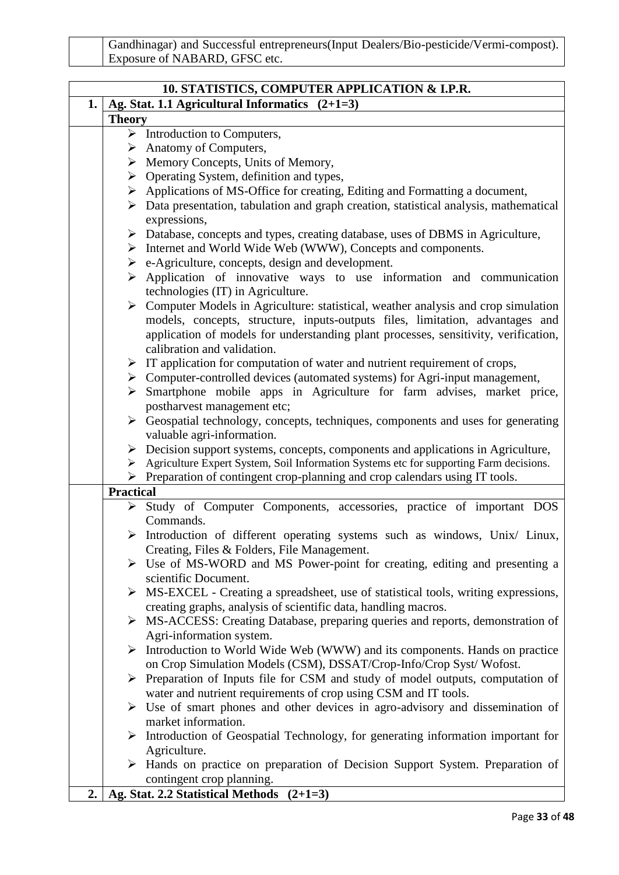| Gandhinagar) and Successful entrepreneurs (Input Dealers/Bio-pesticide/Vermi-compost). |
|----------------------------------------------------------------------------------------|
| Exposure of NABARD, GFSC etc.                                                          |

| 10. STATISTICS, COMPUTER APPLICATION & I.P.R. |                  |                                                                                                                                                  |  |  |  |  |
|-----------------------------------------------|------------------|--------------------------------------------------------------------------------------------------------------------------------------------------|--|--|--|--|
| 1.                                            |                  | Ag. Stat. 1.1 Agricultural Informatics $(2+1=3)$                                                                                                 |  |  |  |  |
|                                               | <b>Theory</b>    |                                                                                                                                                  |  |  |  |  |
|                                               |                  | $\triangleright$ Introduction to Computers,                                                                                                      |  |  |  |  |
|                                               |                  | $\triangleright$ Anatomy of Computers,                                                                                                           |  |  |  |  |
|                                               |                  | $\triangleright$ Memory Concepts, Units of Memory,                                                                                               |  |  |  |  |
|                                               |                  | $\triangleright$ Operating System, definition and types,                                                                                         |  |  |  |  |
|                                               |                  | > Applications of MS-Office for creating, Editing and Formatting a document,                                                                     |  |  |  |  |
|                                               |                  | $\triangleright$ Data presentation, tabulation and graph creation, statistical analysis, mathematical                                            |  |  |  |  |
|                                               |                  | expressions,                                                                                                                                     |  |  |  |  |
|                                               |                  | > Database, concepts and types, creating database, uses of DBMS in Agriculture,<br>> Internet and World Wide Web (WWW), Concepts and components. |  |  |  |  |
|                                               |                  | $\triangleright$ e-Agriculture, concepts, design and development.                                                                                |  |  |  |  |
|                                               |                  | $\triangleright$ Application of innovative ways to use information and communication                                                             |  |  |  |  |
|                                               |                  | technologies (IT) in Agriculture.                                                                                                                |  |  |  |  |
|                                               |                  | $\triangleright$ Computer Models in Agriculture: statistical, weather analysis and crop simulation                                               |  |  |  |  |
|                                               |                  | models, concepts, structure, inputs-outputs files, limitation, advantages and                                                                    |  |  |  |  |
|                                               |                  | application of models for understanding plant processes, sensitivity, verification,                                                              |  |  |  |  |
|                                               |                  | calibration and validation.                                                                                                                      |  |  |  |  |
|                                               |                  | $\triangleright$ IT application for computation of water and nutrient requirement of crops,                                                      |  |  |  |  |
|                                               |                  | > Computer-controlled devices (automated systems) for Agri-input management,                                                                     |  |  |  |  |
|                                               |                  | > Smartphone mobile apps in Agriculture for farm advises, market price,                                                                          |  |  |  |  |
|                                               |                  | postharvest management etc;                                                                                                                      |  |  |  |  |
|                                               |                  | $\triangleright$ Geospatial technology, concepts, techniques, components and uses for generating                                                 |  |  |  |  |
|                                               |                  | valuable agri-information.                                                                                                                       |  |  |  |  |
|                                               |                  | $\triangleright$ Decision support systems, concepts, components and applications in Agriculture,                                                 |  |  |  |  |
|                                               |                  | > Agriculture Expert System, Soil Information Systems etc for supporting Farm decisions.                                                         |  |  |  |  |
|                                               |                  | $\triangleright$ Preparation of contingent crop-planning and crop calendars using IT tools.                                                      |  |  |  |  |
|                                               | <b>Practical</b> |                                                                                                                                                  |  |  |  |  |
|                                               |                  | > Study of Computer Components, accessories, practice of important DOS<br>Commands.                                                              |  |  |  |  |
|                                               |                  | $\triangleright$ Introduction of different operating systems such as windows, Unix/ Linux,                                                       |  |  |  |  |
|                                               |                  | Creating, Files & Folders, File Management.                                                                                                      |  |  |  |  |
|                                               |                  | $\triangleright$ Use of MS-WORD and MS Power-point for creating, editing and presenting a                                                        |  |  |  |  |
|                                               |                  | scientific Document.                                                                                                                             |  |  |  |  |
|                                               |                  | > MS-EXCEL - Creating a spreadsheet, use of statistical tools, writing expressions,                                                              |  |  |  |  |
|                                               |                  | creating graphs, analysis of scientific data, handling macros.                                                                                   |  |  |  |  |
|                                               |                  | > MS-ACCESS: Creating Database, preparing queries and reports, demonstration of                                                                  |  |  |  |  |
|                                               |                  | Agri-information system.                                                                                                                         |  |  |  |  |
|                                               |                  | > Introduction to World Wide Web (WWW) and its components. Hands on practice                                                                     |  |  |  |  |
|                                               |                  | on Crop Simulation Models (CSM), DSSAT/Crop-Info/Crop Syst/Wofost.                                                                               |  |  |  |  |
|                                               |                  | $\triangleright$ Preparation of Inputs file for CSM and study of model outputs, computation of                                                   |  |  |  |  |
|                                               |                  | water and nutrient requirements of crop using CSM and IT tools.                                                                                  |  |  |  |  |
|                                               |                  | $\triangleright$ Use of smart phones and other devices in agro-advisory and dissemination of                                                     |  |  |  |  |
|                                               |                  | market information.                                                                                                                              |  |  |  |  |
|                                               |                  | $\triangleright$ Introduction of Geospatial Technology, for generating information important for                                                 |  |  |  |  |
|                                               |                  | Agriculture.                                                                                                                                     |  |  |  |  |
|                                               |                  | > Hands on practice on preparation of Decision Support System. Preparation of                                                                    |  |  |  |  |
|                                               |                  | contingent crop planning.                                                                                                                        |  |  |  |  |
| 2.                                            |                  | Ag. Stat. 2.2 Statistical Methods (2+1=3)                                                                                                        |  |  |  |  |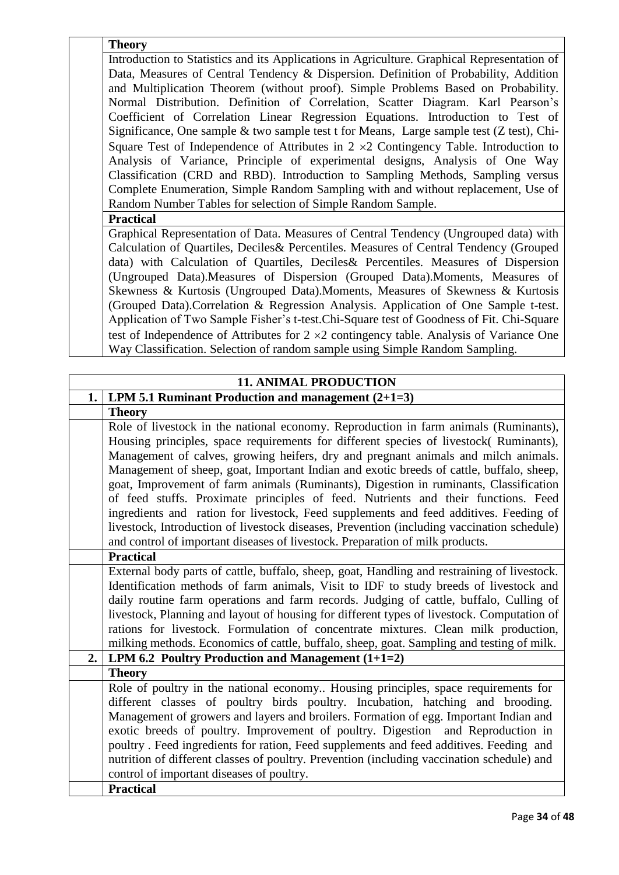**Theory**

Introduction to Statistics and its Applications in Agriculture. Graphical Representation of Data, Measures of Central Tendency & Dispersion. Definition of Probability, Addition and Multiplication Theorem (without proof). Simple Problems Based on Probability. Normal Distribution. Definition of Correlation, Scatter Diagram. Karl Pearson's Coefficient of Correlation Linear Regression Equations. Introduction to Test of Significance, One sample & two sample test t for Means, Large sample test (Z test), Chi-Square Test of Independence of Attributes in  $2 \times 2$  Contingency Table. Introduction to Analysis of Variance, Principle of experimental designs, Analysis of One Way Classification (CRD and RBD). Introduction to Sampling Methods, Sampling versus Complete Enumeration, Simple Random Sampling with and without replacement, Use of Random Number Tables for selection of Simple Random Sample.

**Practical**

Graphical Representation of Data. Measures of Central Tendency (Ungrouped data) with Calculation of Quartiles, Deciles& Percentiles. Measures of Central Tendency (Grouped data) with Calculation of Quartiles, Deciles& Percentiles. Measures of Dispersion (Ungrouped Data).Measures of Dispersion (Grouped Data).Moments, Measures of Skewness & Kurtosis (Ungrouped Data).Moments, Measures of Skewness & Kurtosis (Grouped Data).Correlation & Regression Analysis. Application of One Sample t-test. Application of Two Sample Fisher's t-test.Chi-Square test of Goodness of Fit. Chi-Square test of Independence of Attributes for  $2 \times 2$  contingency table. Analysis of Variance One Way Classification. Selection of random sample using Simple Random Sampling.

| <b>11. ANIMAL PRODUCTION</b> |                                                                                             |  |  |  |  |  |
|------------------------------|---------------------------------------------------------------------------------------------|--|--|--|--|--|
| 1.                           | LPM 5.1 Ruminant Production and management $(2+1=3)$                                        |  |  |  |  |  |
|                              | <b>Theory</b>                                                                               |  |  |  |  |  |
|                              | Role of livestock in the national economy. Reproduction in farm animals (Ruminants),        |  |  |  |  |  |
|                              | Housing principles, space requirements for different species of livestock(Ruminants),       |  |  |  |  |  |
|                              | Management of calves, growing heifers, dry and pregnant animals and milch animals.          |  |  |  |  |  |
|                              | Management of sheep, goat, Important Indian and exotic breeds of cattle, buffalo, sheep,    |  |  |  |  |  |
|                              | goat, Improvement of farm animals (Ruminants), Digestion in ruminants, Classification       |  |  |  |  |  |
|                              | of feed stuffs. Proximate principles of feed. Nutrients and their functions. Feed           |  |  |  |  |  |
|                              | ingredients and ration for livestock, Feed supplements and feed additives. Feeding of       |  |  |  |  |  |
|                              | livestock, Introduction of livestock diseases, Prevention (including vaccination schedule)  |  |  |  |  |  |
|                              | and control of important diseases of livestock. Preparation of milk products.               |  |  |  |  |  |
|                              | <b>Practical</b>                                                                            |  |  |  |  |  |
|                              | External body parts of cattle, buffalo, sheep, goat, Handling and restraining of livestock. |  |  |  |  |  |
|                              | Identification methods of farm animals, Visit to IDF to study breeds of livestock and       |  |  |  |  |  |
|                              | daily routine farm operations and farm records. Judging of cattle, buffalo, Culling of      |  |  |  |  |  |
|                              | livestock, Planning and layout of housing for different types of livestock. Computation of  |  |  |  |  |  |
|                              | rations for livestock. Formulation of concentrate mixtures. Clean milk production,          |  |  |  |  |  |
|                              | milking methods. Economics of cattle, buffalo, sheep, goat. Sampling and testing of milk.   |  |  |  |  |  |
| 2.                           | LPM 6.2 Poultry Production and Management $(1+1=2)$                                         |  |  |  |  |  |
|                              | <b>Theory</b>                                                                               |  |  |  |  |  |
|                              | Role of poultry in the national economy Housing principles, space requirements for          |  |  |  |  |  |
|                              | different classes of poultry birds poultry. Incubation, hatching and brooding.              |  |  |  |  |  |
|                              | Management of growers and layers and broilers. Formation of egg. Important Indian and       |  |  |  |  |  |
|                              | exotic breeds of poultry. Improvement of poultry. Digestion and Reproduction in             |  |  |  |  |  |
|                              | poultry. Feed ingredients for ration, Feed supplements and feed additives. Feeding and      |  |  |  |  |  |
|                              | nutrition of different classes of poultry. Prevention (including vaccination schedule) and  |  |  |  |  |  |
|                              | control of important diseases of poultry.                                                   |  |  |  |  |  |
|                              | <b>Practical</b>                                                                            |  |  |  |  |  |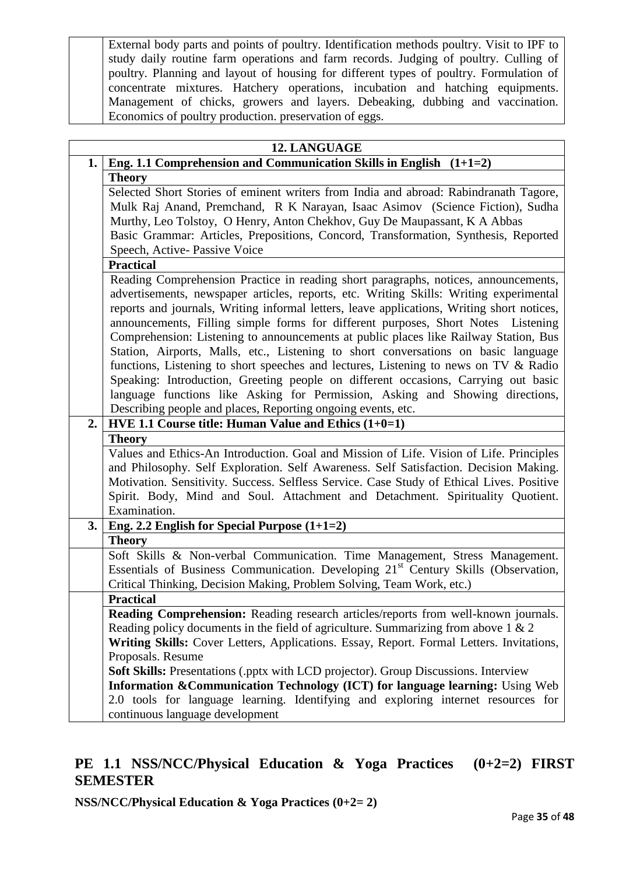External body parts and points of poultry. Identification methods poultry. Visit to IPF to study daily routine farm operations and farm records. Judging of poultry. Culling of poultry. Planning and layout of housing for different types of poultry. Formulation of concentrate mixtures. Hatchery operations, incubation and hatching equipments. Management of chicks, growers and layers. Debeaking, dubbing and vaccination. Economics of poultry production. preservation of eggs.

|    | 12. LANGUAGE                                                                                   |  |  |  |  |  |  |
|----|------------------------------------------------------------------------------------------------|--|--|--|--|--|--|
| 1. | Eng. 1.1 Comprehension and Communication Skills in English $(1+1=2)$                           |  |  |  |  |  |  |
|    | <b>Theory</b>                                                                                  |  |  |  |  |  |  |
|    | Selected Short Stories of eminent writers from India and abroad: Rabindranath Tagore,          |  |  |  |  |  |  |
|    | Mulk Raj Anand, Premchand, R K Narayan, Isaac Asimov (Science Fiction), Sudha                  |  |  |  |  |  |  |
|    | Murthy, Leo Tolstoy, O Henry, Anton Chekhov, Guy De Maupassant, K A Abbas                      |  |  |  |  |  |  |
|    | Basic Grammar: Articles, Prepositions, Concord, Transformation, Synthesis, Reported            |  |  |  |  |  |  |
|    | Speech, Active-Passive Voice                                                                   |  |  |  |  |  |  |
|    | <b>Practical</b>                                                                               |  |  |  |  |  |  |
|    | Reading Comprehension Practice in reading short paragraphs, notices, announcements,            |  |  |  |  |  |  |
|    | advertisements, newspaper articles, reports, etc. Writing Skills: Writing experimental         |  |  |  |  |  |  |
|    | reports and journals, Writing informal letters, leave applications, Writing short notices,     |  |  |  |  |  |  |
|    | announcements, Filling simple forms for different purposes, Short Notes Listening              |  |  |  |  |  |  |
|    | Comprehension: Listening to announcements at public places like Railway Station, Bus           |  |  |  |  |  |  |
|    | Station, Airports, Malls, etc., Listening to short conversations on basic language             |  |  |  |  |  |  |
|    | functions, Listening to short speeches and lectures, Listening to news on TV & Radio           |  |  |  |  |  |  |
|    | Speaking: Introduction, Greeting people on different occasions, Carrying out basic             |  |  |  |  |  |  |
|    | language functions like Asking for Permission, Asking and Showing directions,                  |  |  |  |  |  |  |
|    | Describing people and places, Reporting ongoing events, etc.                                   |  |  |  |  |  |  |
| 2. | $\overline{HVE}$ 1.1 Course title: Human Value and Ethics (1+0=1)                              |  |  |  |  |  |  |
|    | <b>Theory</b>                                                                                  |  |  |  |  |  |  |
|    | Values and Ethics-An Introduction. Goal and Mission of Life. Vision of Life. Principles        |  |  |  |  |  |  |
|    | and Philosophy. Self Exploration. Self Awareness. Self Satisfaction. Decision Making.          |  |  |  |  |  |  |
|    | Motivation. Sensitivity. Success. Selfless Service. Case Study of Ethical Lives. Positive      |  |  |  |  |  |  |
|    | Spirit. Body, Mind and Soul. Attachment and Detachment. Spirituality Quotient.                 |  |  |  |  |  |  |
|    | Examination.                                                                                   |  |  |  |  |  |  |
| 3. | Eng. 2.2 English for Special Purpose $(1+1=2)$                                                 |  |  |  |  |  |  |
|    | <b>Theory</b>                                                                                  |  |  |  |  |  |  |
|    | Soft Skills & Non-verbal Communication. Time Management, Stress Management.                    |  |  |  |  |  |  |
|    | Essentials of Business Communication. Developing 21 <sup>st</sup> Century Skills (Observation, |  |  |  |  |  |  |
|    | Critical Thinking, Decision Making, Problem Solving, Team Work, etc.)                          |  |  |  |  |  |  |
|    | <b>Practical</b>                                                                               |  |  |  |  |  |  |
|    | Reading Comprehension: Reading research articles/reports from well-known journals.             |  |  |  |  |  |  |
|    | Reading policy documents in the field of agriculture. Summarizing from above $1 \& 2$          |  |  |  |  |  |  |
|    | Writing Skills: Cover Letters, Applications. Essay, Report. Formal Letters. Invitations,       |  |  |  |  |  |  |
|    | Proposals. Resume                                                                              |  |  |  |  |  |  |
|    | Soft Skills: Presentations (.pptx with LCD projector). Group Discussions. Interview            |  |  |  |  |  |  |
|    | Information & Communication Technology (ICT) for language learning: Using Web                  |  |  |  |  |  |  |
|    | 2.0 tools for language learning. Identifying and exploring internet resources for              |  |  |  |  |  |  |
|    | continuous language development                                                                |  |  |  |  |  |  |

# **PE 1.1 NSS/NCC/Physical Education & Yoga Practices (0+2=2) FIRST SEMESTER**

**NSS/NCC/Physical Education & Yoga Practices (0+2= 2)**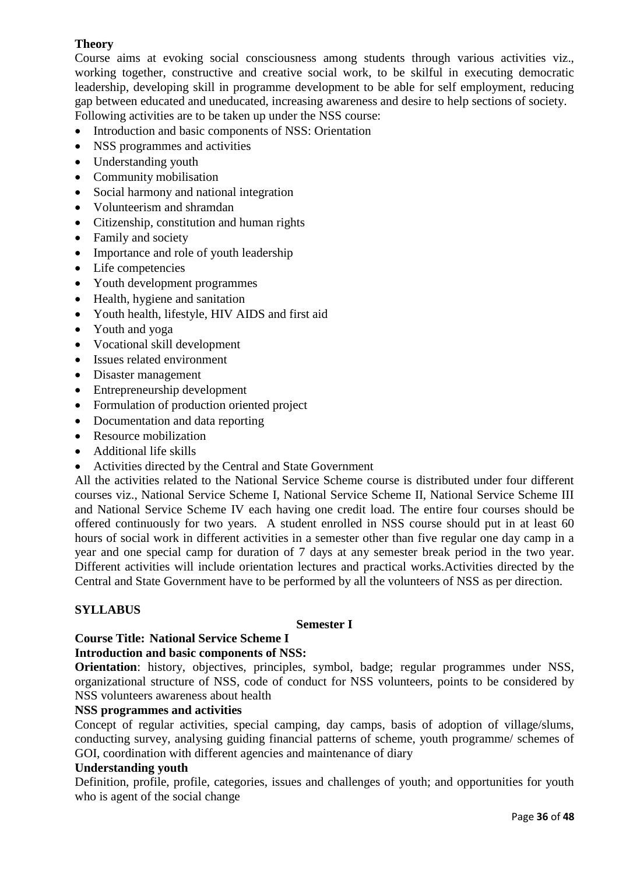# **Theory**

Course aims at evoking social consciousness among students through various activities viz., working together, constructive and creative social work, to be skilful in executing democratic leadership, developing skill in programme development to be able for self employment, reducing gap between educated and uneducated, increasing awareness and desire to help sections of society. Following activities are to be taken up under the NSS course:

- Introduction and basic components of NSS: Orientation
- NSS programmes and activities
- Understanding youth
- Community mobilisation
- Social harmony and national integration
- Volunteerism and shramdan
- Citizenship, constitution and human rights
- Family and society
- Importance and role of youth leadership
- Life competencies
- Youth development programmes
- Health, hygiene and sanitation
- Youth health, lifestyle, HIV AIDS and first aid
- Youth and yoga
- Vocational skill development
- Issues related environment
- Disaster management
- Entrepreneurship development
- Formulation of production oriented project
- Documentation and data reporting
- Resource mobilization
- Additional life skills
- Activities directed by the Central and State Government

All the activities related to the National Service Scheme course is distributed under four different courses viz., National Service Scheme I, National Service Scheme II, National Service Scheme III and National Service Scheme IV each having one credit load. The entire four courses should be offered continuously for two years. A student enrolled in NSS course should put in at least 60 hours of social work in different activities in a semester other than five regular one day camp in a year and one special camp for duration of 7 days at any semester break period in the two year. Different activities will include orientation lectures and practical works.Activities directed by the Central and State Government have to be performed by all the volunteers of NSS as per direction.

# **SYLLABUS**

#### **Semester I**

#### **Course Title: National Service Scheme I**

#### **Introduction and basic components of NSS:**

**Orientation**: history, objectives, principles, symbol, badge; regular programmes under NSS, organizational structure of NSS, code of conduct for NSS volunteers, points to be considered by NSS volunteers awareness about health

#### **NSS programmes and activities**

Concept of regular activities, special camping, day camps, basis of adoption of village/slums, conducting survey, analysing guiding financial patterns of scheme, youth programme/ schemes of GOI, coordination with different agencies and maintenance of diary

#### **Understanding youth**

Definition, profile, profile, categories, issues and challenges of youth; and opportunities for youth who is agent of the social change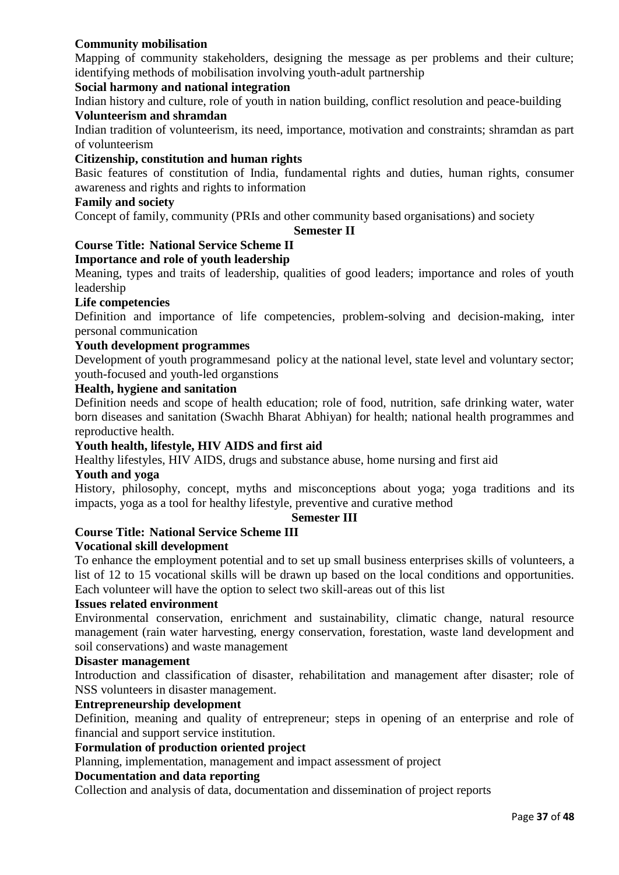# **Community mobilisation**

Mapping of community stakeholders, designing the message as per problems and their culture; identifying methods of mobilisation involving youth-adult partnership

#### **Social harmony and national integration**

Indian history and culture, role of youth in nation building, conflict resolution and peace-building

#### **Volunteerism and shramdan**

Indian tradition of volunteerism, its need, importance, motivation and constraints; shramdan as part of volunteerism

### **Citizenship, constitution and human rights**

Basic features of constitution of India, fundamental rights and duties, human rights, consumer awareness and rights and rights to information

#### **Family and society**

Concept of family, community (PRIs and other community based organisations) and society

#### **Semester II**

# **Course Title: National Service Scheme II**

#### **Importance and role of youth leadership**

Meaning, types and traits of leadership, qualities of good leaders; importance and roles of youth leadership

#### **Life competencies**

Definition and importance of life competencies, problem-solving and decision-making, inter personal communication

#### **Youth development programmes**

Development of youth programmesand policy at the national level, state level and voluntary sector; youth-focused and youth-led organstions

#### **Health, hygiene and sanitation**

Definition needs and scope of health education; role of food, nutrition, safe drinking water, water born diseases and sanitation (Swachh Bharat Abhiyan) for health; national health programmes and reproductive health.

#### **Youth health, lifestyle, HIV AIDS and first aid**

Healthy lifestyles, HIV AIDS, drugs and substance abuse, home nursing and first aid

#### **Youth and yoga**

History, philosophy, concept, myths and misconceptions about yoga; yoga traditions and its impacts, yoga as a tool for healthy lifestyle, preventive and curative method

#### **Semester III**

# **Course Title: National Service Scheme III**

### **Vocational skill development**

To enhance the employment potential and to set up small business enterprises skills of volunteers, a list of 12 to 15 vocational skills will be drawn up based on the local conditions and opportunities. Each volunteer will have the option to select two skill-areas out of this list

#### **Issues related environment**

Environmental conservation, enrichment and sustainability, climatic change, natural resource management (rain water harvesting, energy conservation, forestation, waste land development and soil conservations) and waste management

#### **Disaster management**

Introduction and classification of disaster, rehabilitation and management after disaster; role of NSS volunteers in disaster management.

#### **Entrepreneurship development**

Definition, meaning and quality of entrepreneur; steps in opening of an enterprise and role of financial and support service institution.

## **Formulation of production oriented project**

Planning, implementation, management and impact assessment of project

#### **Documentation and data reporting**

Collection and analysis of data, documentation and dissemination of project reports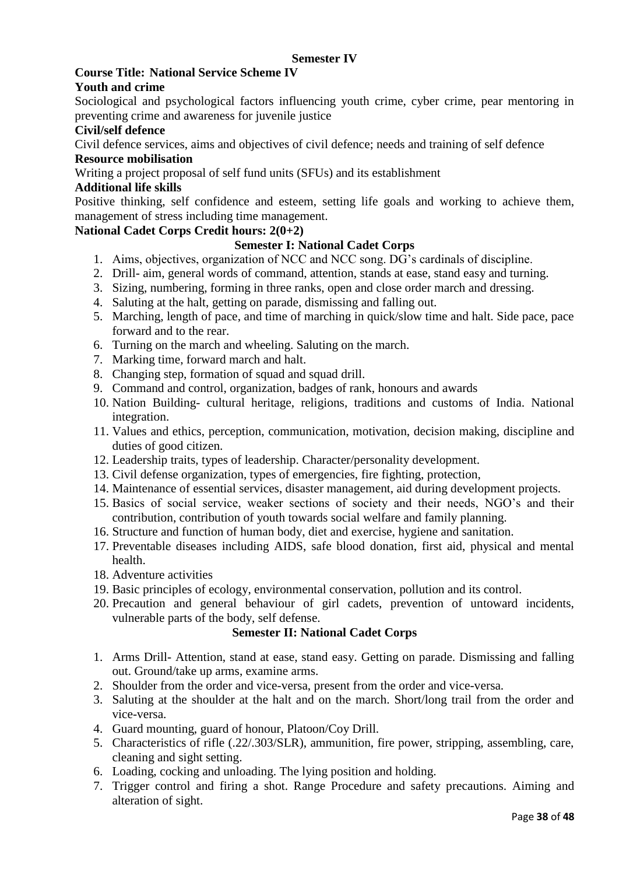# **Semester IV**

#### **Course Title: National Service Scheme IV Youth and crime**

Sociological and psychological factors influencing youth crime, cyber crime, pear mentoring in preventing crime and awareness for juvenile justice

# **Civil/self defence**

Civil defence services, aims and objectives of civil defence; needs and training of self defence **Resource mobilisation**

Writing a project proposal of self fund units (SFUs) and its establishment

## **Additional life skills**

Positive thinking, self confidence and esteem, setting life goals and working to achieve them, management of stress including time management.

# **National Cadet Corps Credit hours: 2(0+2)**

# **Semester I: National Cadet Corps**

- 1. Aims, objectives, organization of NCC and NCC song. DG's cardinals of discipline.
- 2. Drill- aim, general words of command, attention, stands at ease, stand easy and turning.
- 3. Sizing, numbering, forming in three ranks, open and close order march and dressing.
- 4. Saluting at the halt, getting on parade, dismissing and falling out.
- 5. Marching, length of pace, and time of marching in quick/slow time and halt. Side pace, pace forward and to the rear.
- 6. Turning on the march and wheeling. Saluting on the march.
- 7. Marking time, forward march and halt.
- 8. Changing step, formation of squad and squad drill.
- 9. Command and control, organization, badges of rank, honours and awards
- 10. Nation Building- cultural heritage, religions, traditions and customs of India. National integration.
- 11. Values and ethics, perception, communication, motivation, decision making, discipline and duties of good citizen.
- 12. Leadership traits, types of leadership. Character/personality development.
- 13. Civil defense organization, types of emergencies, fire fighting, protection,
- 14. Maintenance of essential services, disaster management, aid during development projects.
- 15. Basics of social service, weaker sections of society and their needs, NGO's and their contribution, contribution of youth towards social welfare and family planning.
- 16. Structure and function of human body, diet and exercise, hygiene and sanitation.
- 17. Preventable diseases including AIDS, safe blood donation, first aid, physical and mental health.
- 18. Adventure activities
- 19. Basic principles of ecology, environmental conservation, pollution and its control.
- 20. Precaution and general behaviour of girl cadets, prevention of untoward incidents, vulnerable parts of the body, self defense.

# **Semester II: National Cadet Corps**

- 1. Arms Drill- Attention, stand at ease, stand easy. Getting on parade. Dismissing and falling out. Ground/take up arms, examine arms.
- 2. Shoulder from the order and vice-versa, present from the order and vice-versa.
- 3. Saluting at the shoulder at the halt and on the march. Short/long trail from the order and vice-versa.
- 4. Guard mounting, guard of honour, Platoon/Coy Drill.
- 5. Characteristics of rifle (.22/.303/SLR), ammunition, fire power, stripping, assembling, care, cleaning and sight setting.
- 6. Loading, cocking and unloading. The lying position and holding.
- 7. Trigger control and firing a shot. Range Procedure and safety precautions. Aiming and alteration of sight.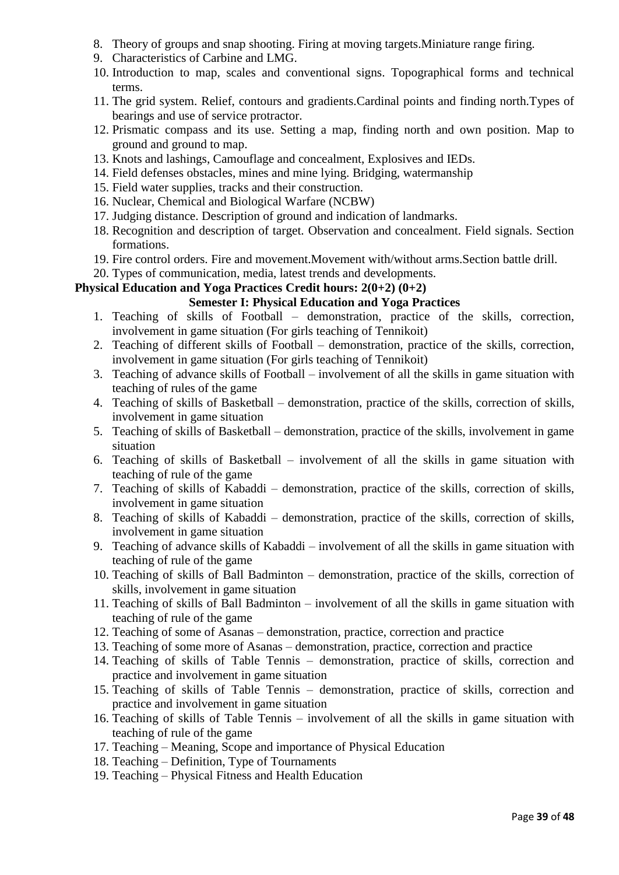- 8. Theory of groups and snap shooting. Firing at moving targets.Miniature range firing.
- 9. Characteristics of Carbine and LMG.
- 10. Introduction to map, scales and conventional signs. Topographical forms and technical terms.
- 11. The grid system. Relief, contours and gradients.Cardinal points and finding north.Types of bearings and use of service protractor.
- 12. Prismatic compass and its use. Setting a map, finding north and own position. Map to ground and ground to map.
- 13. Knots and lashings, Camouflage and concealment, Explosives and IEDs.
- 14. Field defenses obstacles, mines and mine lying. Bridging, watermanship
- 15. Field water supplies, tracks and their construction.
- 16. Nuclear, Chemical and Biological Warfare (NCBW)
- 17. Judging distance. Description of ground and indication of landmarks.
- 18. Recognition and description of target. Observation and concealment. Field signals. Section formations.
- 19. Fire control orders. Fire and movement.Movement with/without arms.Section battle drill.
- 20. Types of communication, media, latest trends and developments.

# **Physical Education and Yoga Practices Credit hours: 2(0+2) (0+2)**

### **Semester I: Physical Education and Yoga Practices**

- 1. Teaching of skills of Football demonstration, practice of the skills, correction, involvement in game situation (For girls teaching of Tennikoit)
- 2. Teaching of different skills of Football demonstration, practice of the skills, correction, involvement in game situation (For girls teaching of Tennikoit)
- 3. Teaching of advance skills of Football involvement of all the skills in game situation with teaching of rules of the game
- 4. Teaching of skills of Basketball demonstration, practice of the skills, correction of skills, involvement in game situation
- 5. Teaching of skills of Basketball demonstration, practice of the skills, involvement in game situation
- 6. Teaching of skills of Basketball involvement of all the skills in game situation with teaching of rule of the game
- 7. Teaching of skills of Kabaddi demonstration, practice of the skills, correction of skills, involvement in game situation
- 8. Teaching of skills of Kabaddi demonstration, practice of the skills, correction of skills, involvement in game situation
- 9. Teaching of advance skills of Kabaddi involvement of all the skills in game situation with teaching of rule of the game
- 10. Teaching of skills of Ball Badminton demonstration, practice of the skills, correction of skills, involvement in game situation
- 11. Teaching of skills of Ball Badminton involvement of all the skills in game situation with teaching of rule of the game
- 12. Teaching of some of Asanas demonstration, practice, correction and practice
- 13. Teaching of some more of Asanas demonstration, practice, correction and practice
- 14. Teaching of skills of Table Tennis demonstration, practice of skills, correction and practice and involvement in game situation
- 15. Teaching of skills of Table Tennis demonstration, practice of skills, correction and practice and involvement in game situation
- 16. Teaching of skills of Table Tennis involvement of all the skills in game situation with teaching of rule of the game
- 17. Teaching Meaning, Scope and importance of Physical Education
- 18. Teaching Definition, Type of Tournaments
- 19. Teaching Physical Fitness and Health Education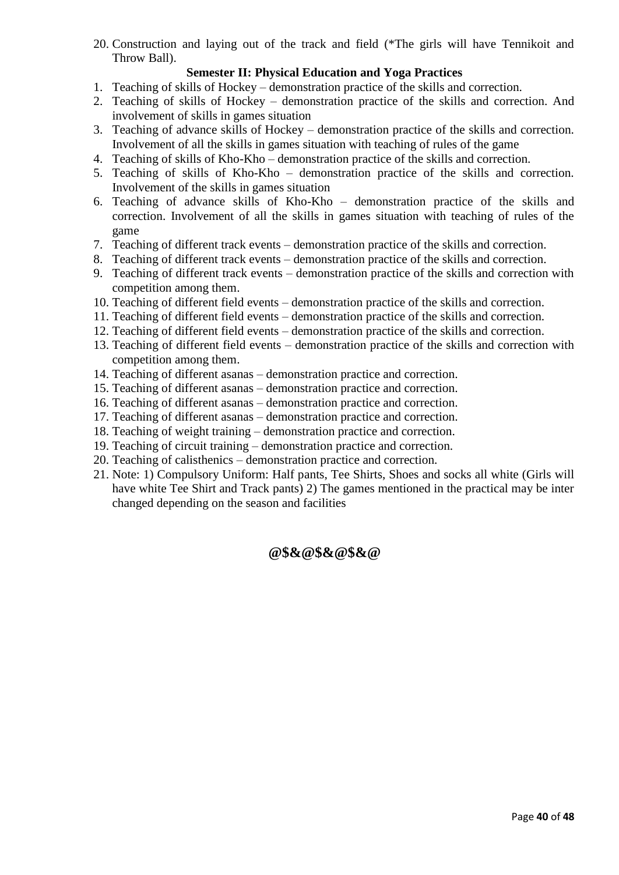20. Construction and laying out of the track and field (\*The girls will have Tennikoit and Throw Ball).

# **Semester II: Physical Education and Yoga Practices**

- 1. Teaching of skills of Hockey demonstration practice of the skills and correction.
- 2. Teaching of skills of Hockey demonstration practice of the skills and correction. And involvement of skills in games situation
- 3. Teaching of advance skills of Hockey demonstration practice of the skills and correction. Involvement of all the skills in games situation with teaching of rules of the game
- 4. Teaching of skills of Kho-Kho demonstration practice of the skills and correction.
- 5. Teaching of skills of Kho-Kho demonstration practice of the skills and correction. Involvement of the skills in games situation
- 6. Teaching of advance skills of Kho-Kho demonstration practice of the skills and correction. Involvement of all the skills in games situation with teaching of rules of the game
- 7. Teaching of different track events demonstration practice of the skills and correction.
- 8. Teaching of different track events demonstration practice of the skills and correction.
- 9. Teaching of different track events demonstration practice of the skills and correction with competition among them.
- 10. Teaching of different field events demonstration practice of the skills and correction.
- 11. Teaching of different field events demonstration practice of the skills and correction.
- 12. Teaching of different field events demonstration practice of the skills and correction.
- 13. Teaching of different field events demonstration practice of the skills and correction with competition among them.
- 14. Teaching of different asanas demonstration practice and correction.
- 15. Teaching of different asanas demonstration practice and correction.
- 16. Teaching of different asanas demonstration practice and correction.
- 17. Teaching of different asanas demonstration practice and correction.
- 18. Teaching of weight training demonstration practice and correction.
- 19. Teaching of circuit training demonstration practice and correction.
- 20. Teaching of calisthenics demonstration practice and correction.
- 21. Note: 1) Compulsory Uniform: Half pants, Tee Shirts, Shoes and socks all white (Girls will have white Tee Shirt and Track pants) 2) The games mentioned in the practical may be inter changed depending on the season and facilities

**@\$&@\$&@\$&@**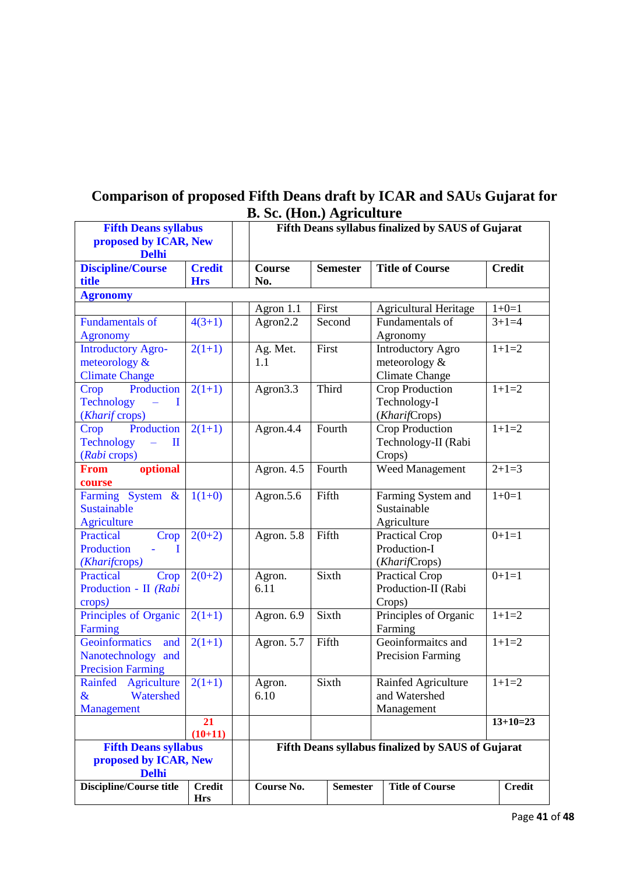|                                  |                 | <b>D. Sc.</b> (поп. <i>)</i> Agriculture          |                 |                                                   |               |  |  |
|----------------------------------|-----------------|---------------------------------------------------|-----------------|---------------------------------------------------|---------------|--|--|
| <b>Fifth Deans syllabus</b>      |                 | Fifth Deans syllabus finalized by SAUS of Gujarat |                 |                                                   |               |  |  |
| proposed by ICAR, New            |                 |                                                   |                 |                                                   |               |  |  |
| <b>Delhi</b>                     |                 |                                                   |                 |                                                   |               |  |  |
| <b>Discipline/Course</b>         | <b>Credit</b>   | <b>Course</b>                                     | <b>Semester</b> | <b>Title of Course</b>                            | <b>Credit</b> |  |  |
| title                            | <b>Hrs</b>      | No.                                               |                 |                                                   |               |  |  |
| <b>Agronomy</b>                  |                 |                                                   |                 |                                                   |               |  |  |
|                                  |                 | Agron 1.1                                         | First           | <b>Agricultural Heritage</b>                      | $1+0=1$       |  |  |
| <b>Fundamentals of</b>           | $4(3+1)$        | Agron2.2                                          | Second          | Fundamentals of                                   | $3+1=4$       |  |  |
| <b>Agronomy</b>                  |                 |                                                   |                 | Agronomy                                          |               |  |  |
| <b>Introductory Agro-</b>        | $2(1+1)$        | Ag. Met.                                          | First           | <b>Introductory Agro</b>                          | $1+1=2$       |  |  |
|                                  |                 |                                                   |                 |                                                   |               |  |  |
| meteorology &                    |                 | 1.1                                               |                 | meteorology $&$                                   |               |  |  |
| <b>Climate Change</b>            |                 |                                                   |                 | <b>Climate Change</b>                             |               |  |  |
| Production<br>Crop               | $2(1+1)$        | Agron <sub>3.3</sub>                              | Third           | Crop Production                                   | $1+1=2$       |  |  |
| <b>Technology</b><br>I           |                 |                                                   |                 | Technology-I                                      |               |  |  |
| (Kharif crops)                   |                 |                                                   |                 | (KharifCrops)                                     |               |  |  |
| Production<br>Crop               | $2(1+1)$        | Agron.4.4                                         | Fourth          | Crop Production                                   | $1+1=2$       |  |  |
| <b>Technology</b><br>$\mathbf I$ |                 |                                                   |                 | Technology-II (Rabi                               |               |  |  |
| (Rabi crops)                     |                 |                                                   |                 | Crops)                                            |               |  |  |
| optional<br><b>From</b>          |                 | Agron. 4.5                                        | Fourth          | Weed Management                                   | $2+1=3$       |  |  |
| course                           |                 |                                                   |                 |                                                   |               |  |  |
| Farming System &                 | $1(1+0)$        | Agron.5.6                                         | Fifth           | Farming System and                                | $1+0=1$       |  |  |
| <b>Sustainable</b>               |                 |                                                   |                 | Sustainable                                       |               |  |  |
| <b>Agriculture</b>               |                 |                                                   |                 | Agriculture                                       |               |  |  |
| <b>Practical</b><br>Crop         | $2(0+2)$        | Agron. 5.8                                        | Fifth           | Practical Crop                                    | $0+1=1$       |  |  |
| Production<br>T                  |                 |                                                   |                 | Production-I                                      |               |  |  |
| (Kharifcrops)                    |                 |                                                   |                 | (KharifCrops)                                     |               |  |  |
| <b>Practical</b><br>Crop         | $2(0+2)$        | Agron.                                            | Sixth           | Practical Crop                                    | $0+1=1$       |  |  |
| Production - II (Rabi            |                 | 6.11                                              |                 | Production-II (Rabi                               |               |  |  |
| crops)                           |                 |                                                   |                 | Crops)                                            |               |  |  |
| Principles of Organic            | $2(1+1)$        | Agron. 6.9                                        | Sixth           | Principles of Organic                             | $1+1=2$       |  |  |
|                                  |                 |                                                   |                 |                                                   |               |  |  |
| Farming                          |                 |                                                   |                 | Farming<br>Geoinformaitcs and                     | $1+1=2$       |  |  |
| Geoinformatics<br>and            | $2(1+1)$        | Agron. 5.7                                        | Fifth           |                                                   |               |  |  |
| Nanotechnology and               |                 |                                                   |                 | Precision Farming                                 |               |  |  |
| <b>Precision Farming</b>         |                 |                                                   |                 |                                                   |               |  |  |
| Rainfed<br>Agriculture           | $2(1+1)$        | Agron.                                            | Sixth           | Rainfed Agriculture                               | $1+1=2$       |  |  |
| $\&$<br>Watershed                |                 | 6.10                                              |                 | and Watershed                                     |               |  |  |
| Management                       |                 |                                                   |                 | Management                                        |               |  |  |
|                                  | 21<br>$(10+11)$ |                                                   |                 |                                                   | $13+10=23$    |  |  |
| <b>Fifth Deans syllabus</b>      |                 |                                                   |                 | Fifth Deans syllabus finalized by SAUS of Gujarat |               |  |  |
| proposed by ICAR, New            |                 |                                                   |                 |                                                   |               |  |  |
| <b>Delhi</b>                     |                 |                                                   |                 |                                                   |               |  |  |
| Discipline/Course title          | <b>Credit</b>   | Course No.                                        | <b>Semester</b> | <b>Title of Course</b>                            | <b>Credit</b> |  |  |
|                                  | <b>Hrs</b>      |                                                   |                 |                                                   |               |  |  |

# **Comparison of proposed Fifth Deans draft by ICAR and SAUs Gujarat for B. Sc. (Hon.) Agriculture**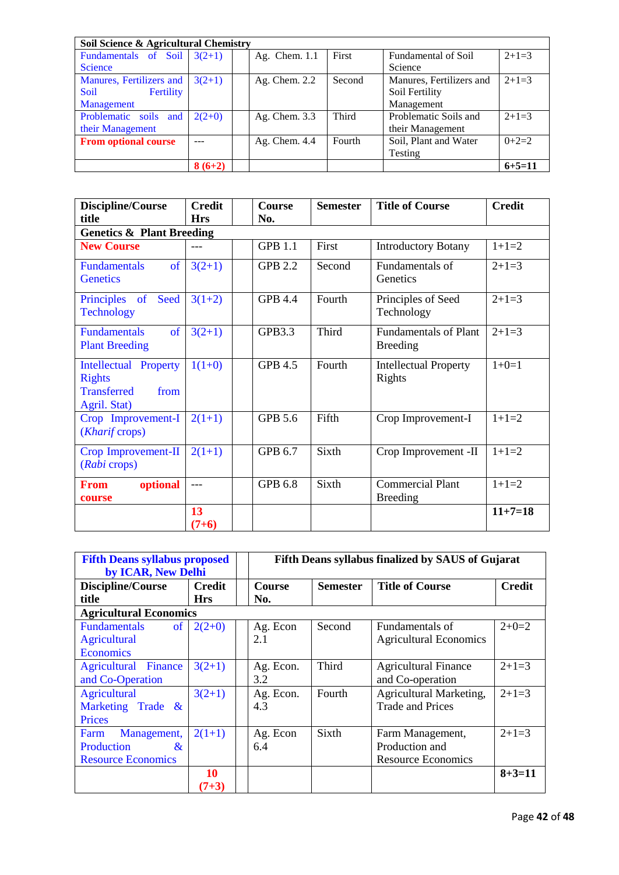| Soil Science & Agricultural Chemistry |          |               |        |                          |              |  |  |  |
|---------------------------------------|----------|---------------|--------|--------------------------|--------------|--|--|--|
| Fundamentals of Soil                  | $3(2+1)$ | Ag. Chem. 1.1 | First  | Fundamental of Soil      | $2+1=3$      |  |  |  |
| <b>Science</b>                        |          |               |        | Science                  |              |  |  |  |
| Manures, Fertilizers and              | $3(2+1)$ | Ag. Chem. 2.2 | Second | Manures, Fertilizers and | $2+1=3$      |  |  |  |
| Fertility<br>Soil                     |          |               |        | Soil Fertility           |              |  |  |  |
| <b>Management</b>                     |          |               |        | Management               |              |  |  |  |
| Problematic soils and                 | $2(2+0)$ | Ag. Chem. 3.3 | Third  | Problematic Soils and    | $2+1=3$      |  |  |  |
| their Management                      |          |               |        | their Management         |              |  |  |  |
| <b>From optional course</b>           |          | Ag. Chem. 4.4 | Fourth | Soil, Plant and Water    | $0+2=2$      |  |  |  |
|                                       |          |               |        | Testing                  |              |  |  |  |
|                                       | $8(6+2)$ |               |        |                          | $6 + 5 = 11$ |  |  |  |

| Discipline/Course<br>title                                                                  | <b>Credit</b><br><b>Hrs</b> | <b>Course</b><br>No. | <b>Semester</b> | <b>Title of Course</b>                          | <b>Credit</b> |  |  |  |  |
|---------------------------------------------------------------------------------------------|-----------------------------|----------------------|-----------------|-------------------------------------------------|---------------|--|--|--|--|
| <b>Genetics &amp; Plant Breeding</b>                                                        |                             |                      |                 |                                                 |               |  |  |  |  |
| <b>New Course</b>                                                                           |                             | <b>GPB 1.1</b>       | First           | <b>Introductory Botany</b>                      | $1+1=2$       |  |  |  |  |
| <sub>of</sub><br><b>Fundamentals</b><br><b>Genetics</b>                                     | $3(2+1)$                    | <b>GPB 2.2</b>       | Second          | Fundamentals of<br>Genetics                     | $2+1=3$       |  |  |  |  |
| Principles of<br>Seed<br><b>Technology</b>                                                  | $3(1+2)$                    | <b>GPB 4.4</b>       | Fourth          | Principles of Seed<br>Technology                | $2+1=3$       |  |  |  |  |
| <b>Fundamentals</b><br>of<br><b>Plant Breeding</b>                                          | $3(2+1)$                    | GPB3.3               | Third           | <b>Fundamentals of Plant</b><br><b>Breeding</b> | $2+1=3$       |  |  |  |  |
| <b>Intellectual Property</b><br><b>Rights</b><br><b>Transferred</b><br>from<br>Agril. Stat) | $1(1+0)$                    | <b>GPB 4.5</b>       | Fourth          | <b>Intellectual Property</b><br>Rights          | $1+0=1$       |  |  |  |  |
| Crop Improvement-I<br>(Kharif crops)                                                        | $2(1+1)$                    | <b>GPB 5.6</b>       | Fifth           | Crop Improvement-I                              | $1+1=2$       |  |  |  |  |
| Crop Improvement-II<br>(Rabi crops)                                                         | $2(1+1)$                    | GPB 6.7              | Sixth           | Crop Improvement -II                            | $1+1=2$       |  |  |  |  |
| optional<br><b>From</b><br>course                                                           | $---$                       | <b>GPB 6.8</b>       | Sixth           | <b>Commercial Plant</b><br><b>Breeding</b>      | $1+1=2$       |  |  |  |  |
|                                                                                             | 13<br>$(7+6)$               |                      |                 |                                                 | $11+7=18$     |  |  |  |  |

| <b>Fifth Deans syllabus proposed</b><br>by ICAR, New Delhi | Fifth Deans syllabus finalized by SAUS of Gujarat |               |                 |                               |               |
|------------------------------------------------------------|---------------------------------------------------|---------------|-----------------|-------------------------------|---------------|
| Discipline/Course                                          | Credit                                            | <b>Course</b> | <b>Semester</b> | <b>Title of Course</b>        | <b>Credit</b> |
| title                                                      | <b>Hrs</b>                                        | No.           |                 |                               |               |
| <b>Agricultural Economics</b>                              |                                                   |               |                 |                               |               |
| <b>Fundamentals</b><br>of                                  | $2(2+0)$                                          | Ag. Econ      | Second          | Fundamentals of               | $2+0=2$       |
| <b>Agricultural</b>                                        |                                                   | 2.1           |                 | <b>Agricultural Economics</b> |               |
| <b>Economics</b>                                           |                                                   |               |                 |                               |               |
| Agricultural<br><b>Finance</b>                             | $3(2+1)$                                          | Ag. Econ.     | <b>Third</b>    | <b>Agricultural Finance</b>   | $2+1=3$       |
| and Co-Operation                                           |                                                   | 3.2           |                 | and Co-operation              |               |
| <b>Agricultural</b>                                        | $3(2+1)$                                          | Ag. Econ.     | Fourth          | Agricultural Marketing,       | $2+1=3$       |
| Marketing Trade &                                          |                                                   | 4.3           |                 | <b>Trade and Prices</b>       |               |
| Prices                                                     |                                                   |               |                 |                               |               |
| Farm<br>Management,                                        | $2(1+1)$                                          | Ag. Econ      | Sixth           | Farm Management,              | $2+1=3$       |
| Production<br>$\&$                                         |                                                   | 6.4           |                 | Production and                |               |
| <b>Resource Economics</b>                                  |                                                   |               |                 | <b>Resource Economics</b>     |               |
|                                                            | 10                                                |               |                 |                               | $8 + 3 = 11$  |
|                                                            | $(7+3)$                                           |               |                 |                               |               |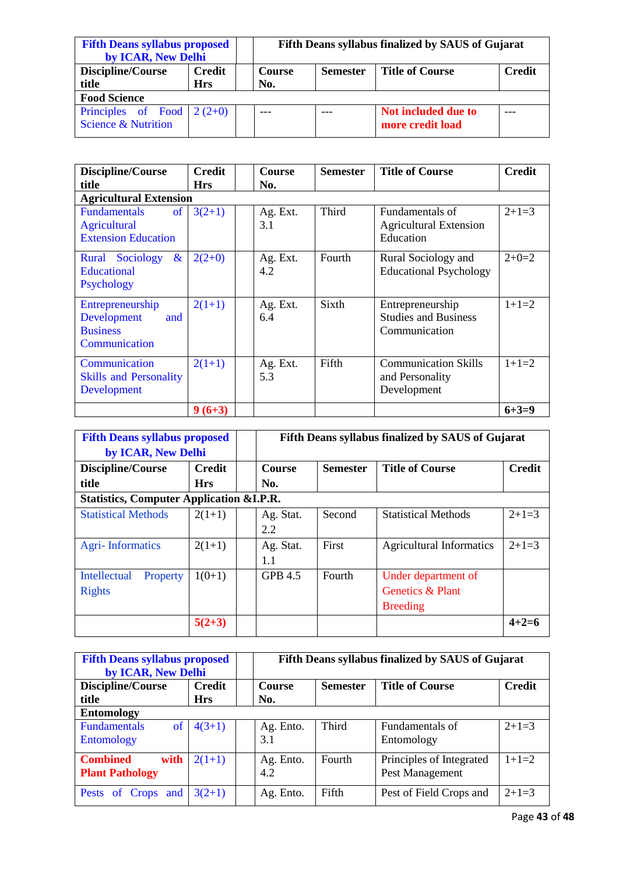| <b>Fifth Deans syllabus proposed</b><br>by ICAR, New Delhi    |                             |  | Fifth Deans syllabus finalized by SAUS of Gujarat |                 |                                         |               |  |
|---------------------------------------------------------------|-----------------------------|--|---------------------------------------------------|-----------------|-----------------------------------------|---------------|--|
| Discipline/Course<br>title                                    | <b>Credit</b><br><b>Hrs</b> |  | <b>Course</b><br>No.                              | <b>Semester</b> | <b>Title of Course</b>                  | <b>Credit</b> |  |
| <b>Food Science</b>                                           |                             |  |                                                   |                 |                                         |               |  |
| Principles of Food $2(2+0)$<br><b>Science &amp; Nutrition</b> |                             |  |                                                   |                 | Not included due to<br>more credit load |               |  |

| Discipline/Course                                                                         | <b>Credit</b> |  | Course          | <b>Semester</b> | <b>Title of Course</b>                                           | <b>Credit</b> |  |  |  |
|-------------------------------------------------------------------------------------------|---------------|--|-----------------|-----------------|------------------------------------------------------------------|---------------|--|--|--|
| title                                                                                     | <b>Hrs</b>    |  | No.             |                 |                                                                  |               |  |  |  |
| <b>Agricultural Extension</b>                                                             |               |  |                 |                 |                                                                  |               |  |  |  |
| <b>Fundamentals</b><br><sub>of</sub><br><b>Agricultural</b><br><b>Extension Education</b> | $3(2+1)$      |  | Ag. Ext.<br>3.1 | Third           | Fundamentals of<br><b>Agricultural Extension</b><br>Education    | $2+1=3$       |  |  |  |
| $\&$<br>Sociology<br>Rural<br><b>Educational</b><br>Psychology                            | $2(2+0)$      |  | Ag. Ext.<br>4.2 | Fourth          | Rural Sociology and<br><b>Educational Psychology</b>             | $2+0=2$       |  |  |  |
| Entrepreneurship<br>Development<br>and<br><b>Business</b><br>Communication                | $2(1+1)$      |  | Ag. Ext.<br>6.4 | Sixth           | Entrepreneurship<br><b>Studies and Business</b><br>Communication | $1+1=2$       |  |  |  |
| Communication<br><b>Skills and Personality</b><br>Development                             | $2(1+1)$      |  | Ag. Ext.<br>5.3 | Fifth           | <b>Communication Skills</b><br>and Personality<br>Development    | $1+1=2$       |  |  |  |
|                                                                                           | $9(6+3)$      |  |                 |                 |                                                                  | $6 + 3 = 9$   |  |  |  |

| <b>Fifth Deans syllabus proposed</b><br>by ICAR, New Delhi |                                                                                    | Fifth Deans syllabus finalized by SAUS of Gujarat |                 |                                 |               |  |  |
|------------------------------------------------------------|------------------------------------------------------------------------------------|---------------------------------------------------|-----------------|---------------------------------|---------------|--|--|
| Discipline/Course                                          | <b>Credit</b>                                                                      | <b>Course</b>                                     | <b>Semester</b> | <b>Title of Course</b>          | <b>Credit</b> |  |  |
|                                                            | title<br>No.<br><b>Hrs</b><br><b>Statistics, Computer Application &amp; I.P.R.</b> |                                                   |                 |                                 |               |  |  |
| <b>Statistical Methods</b>                                 | $2(1+1)$                                                                           | Ag. Stat.<br>2.2                                  | Second          | <b>Statistical Methods</b>      | $2+1=3$       |  |  |
| <b>Agri-Informatics</b>                                    | $2(1+1)$                                                                           | Ag. Stat.<br>1.1                                  | First           | <b>Agricultural Informatics</b> | $2+1=3$       |  |  |
| Intellectual<br>Property                                   | $1(0+1)$                                                                           | <b>GPB 4.5</b>                                    | Fourth          | Under department of             |               |  |  |
| <b>Rights</b>                                              |                                                                                    |                                                   |                 | <b>Genetics &amp; Plant</b>     |               |  |  |
|                                                            |                                                                                    |                                                   |                 | <b>Breeding</b>                 |               |  |  |
|                                                            | $5(2+3)$                                                                           |                                                   |                 |                                 | $4 + 2 = 6$   |  |  |

| <b>Fifth Deans syllabus proposed</b><br>by ICAR, New Delhi |               | Fifth Deans syllabus finalized by SAUS of Gujarat |                 |                                             |               |  |  |
|------------------------------------------------------------|---------------|---------------------------------------------------|-----------------|---------------------------------------------|---------------|--|--|
| Discipline/Course                                          | <b>Credit</b> | <b>Course</b>                                     | <b>Semester</b> | <b>Title of Course</b>                      | <b>Credit</b> |  |  |
| title<br>No.<br><b>Hrs</b><br><b>Entomology</b>            |               |                                                   |                 |                                             |               |  |  |
| <b>Fundamentals</b><br>of<br><b>Entomology</b>             | $4(3+1)$      | Ag. Ento.<br>3.1                                  | Third           | Fundamentals of<br>Entomology               | $2+1=3$       |  |  |
| <b>Combined</b><br>with<br><b>Plant Pathology</b>          | $2(1+1)$      | Ag. Ento.<br>4.2                                  | Fourth          | Principles of Integrated<br>Pest Management | $1+1=2$       |  |  |
| and<br><b>Pests</b><br>Crops                               | $3(2+1)$      | Ag. Ento.                                         | Fifth           | Pest of Field Crops and                     | $2+1=3$       |  |  |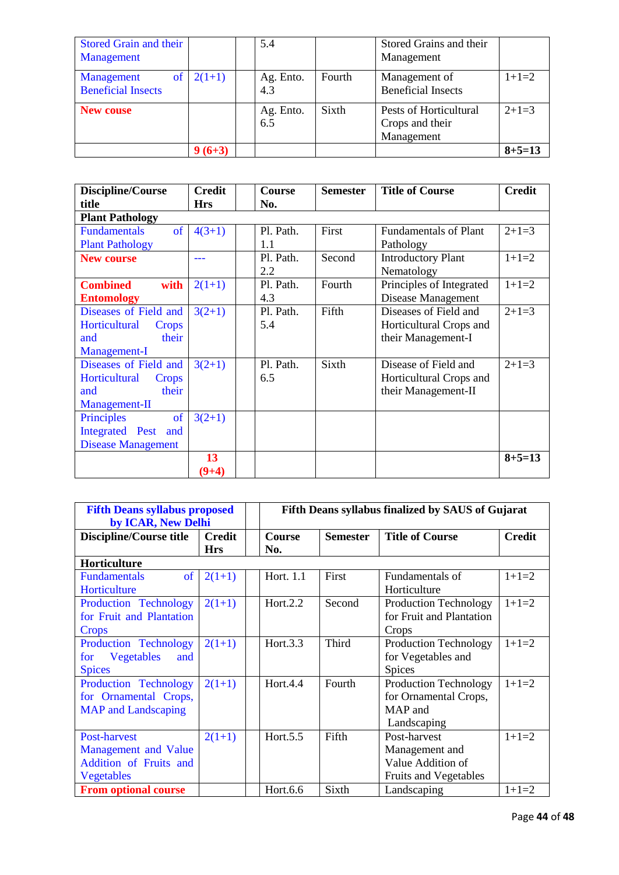| <b>Stored Grain and their</b><br>Management          |          | 5.4              |        | Stored Grains and their<br>Management                   |              |
|------------------------------------------------------|----------|------------------|--------|---------------------------------------------------------|--------------|
| <b>of</b><br>Management<br><b>Beneficial Insects</b> | $2(1+1)$ | Ag. Ento.<br>4.3 | Fourth | Management of<br><b>Beneficial Insects</b>              | $1+1=2$      |
| <b>New couse</b>                                     |          | Ag. Ento.<br>6.5 | Sixth  | Pests of Horticultural<br>Crops and their<br>Management | $2+1=3$      |
|                                                      | $9(6+3)$ |                  |        |                                                         | $8 + 5 = 13$ |

| Discipline/Course             | <b>Credit</b> | <b>Course</b> | <b>Semester</b> | <b>Title of Course</b>       | <b>Credit</b> |
|-------------------------------|---------------|---------------|-----------------|------------------------------|---------------|
| title                         | <b>Hrs</b>    | No.           |                 |                              |               |
| <b>Plant Pathology</b>        |               |               |                 |                              |               |
| of<br><b>Fundamentals</b>     | $4(3+1)$      | Pl. Path.     | First           | <b>Fundamentals of Plant</b> | $2+1=3$       |
| <b>Plant Pathology</b>        |               | 1.1           |                 | Pathology                    |               |
| <b>New course</b>             |               | Pl. Path.     | Second          | <b>Introductory Plant</b>    | $1+1=2$       |
|                               |               | 2.2           |                 | Nematology                   |               |
| <b>Combined</b><br>with       | $2(1+1)$      | Pl. Path.     | Fourth          | Principles of Integrated     | $1+1=2$       |
| <b>Entomology</b>             |               | 4.3           |                 | Disease Management           |               |
| Diseases of Field and         | $3(2+1)$      | Pl. Path.     | Fifth           | Diseases of Field and        | $2+1=3$       |
| Horticultural<br><b>Crops</b> |               | 5.4           |                 | Horticultural Crops and      |               |
| their<br>and                  |               |               |                 | their Management-I           |               |
| Management-I                  |               |               |                 |                              |               |
| Diseases of Field and         | $3(2+1)$      | Pl. Path.     | Sixth           | Disease of Field and         | $2+1=3$       |
| Horticultural<br><b>Crops</b> |               | 6.5           |                 | Horticultural Crops and      |               |
| their<br>and                  |               |               |                 | their Management-II          |               |
| Management-II                 |               |               |                 |                              |               |
| of<br>Principles              | $3(2+1)$      |               |                 |                              |               |
| Integrated Pest<br>and        |               |               |                 |                              |               |
| <b>Disease Management</b>     |               |               |                 |                              |               |
|                               | 13            |               |                 |                              | $8 + 5 = 13$  |
|                               | $(9+4)$       |               |                 |                              |               |

| <b>Fifth Deans syllabus proposed</b><br>by ICAR, New Delhi                   |                             | Fifth Deans syllabus finalized by SAUS of Gujarat |                 |                                                                                     |               |  |  |
|------------------------------------------------------------------------------|-----------------------------|---------------------------------------------------|-----------------|-------------------------------------------------------------------------------------|---------------|--|--|
| Discipline/Course title                                                      | <b>Credit</b><br><b>Hrs</b> | <b>Course</b><br>No.                              | <b>Semester</b> | <b>Title of Course</b>                                                              | <b>Credit</b> |  |  |
| Horticulture                                                                 |                             |                                                   |                 |                                                                                     |               |  |  |
| <sub>of</sub><br><b>Fundamentals</b><br>Horticulture                         | $2(1+1)$                    | Hort. 1.1                                         | First           | Fundamentals of<br>Horticulture                                                     | $1+1=2$       |  |  |
| Production Technology<br>for Fruit and Plantation<br><b>Crops</b>            | $2(1+1)$                    | Hort.2.2                                          | Second          | <b>Production Technology</b><br>for Fruit and Plantation<br>Crops                   | $1+1=2$       |  |  |
| Production Technology<br>Vegetables<br>and<br>for<br><b>Spices</b>           | $2(1+1)$                    | Hort.3.3                                          | Third           | <b>Production Technology</b><br>for Vegetables and<br><b>Spices</b>                 | $1+1=2$       |  |  |
| Production Technology<br>for Ornamental Crops,<br><b>MAP</b> and Landscaping | $2(1+1)$                    | Hort.4.4                                          | Fourth          | <b>Production Technology</b><br>for Ornamental Crops,<br>MAP and<br>Landscaping     | $1+1=2$       |  |  |
| Post-harvest<br>Management and Value<br>Addition of Fruits and<br>Vegetables | $2(1+1)$                    | Hort.5.5                                          | Fifth           | Post-harvest<br>Management and<br>Value Addition of<br><b>Fruits and Vegetables</b> | $1+1=2$       |  |  |
| <b>From optional course</b>                                                  |                             | Hort.6.6                                          | Sixth           | Landscaping                                                                         | $1+1=2$       |  |  |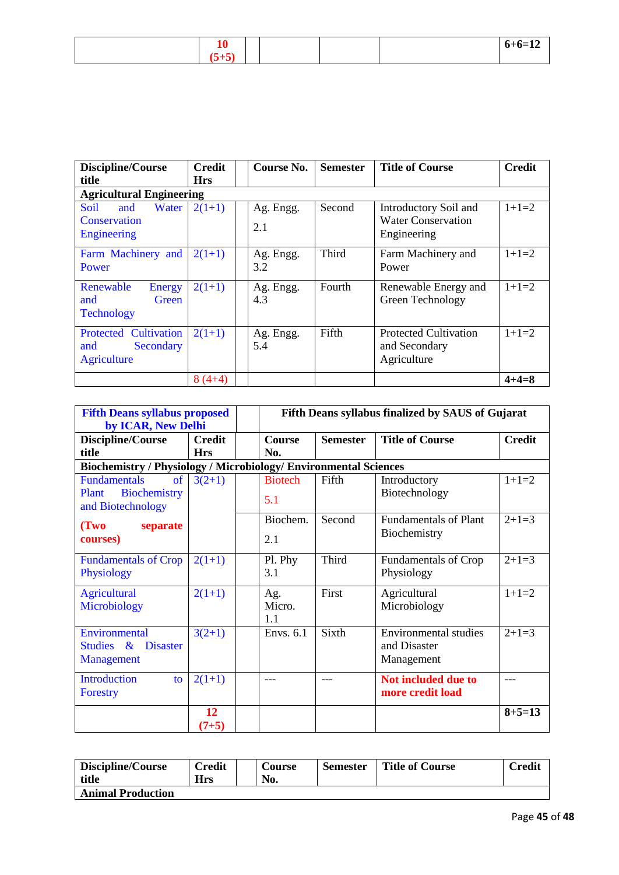| дv              |  |  | $6+6=12$ |
|-----------------|--|--|----------|
| $\sim$<br>ີປ⊤ປ≀ |  |  |          |

| Discipline/Course<br>title                                      | <b>Credit</b><br><b>Hrs</b> | Course No.       | <b>Semester</b> | <b>Title of Course</b>                                            | <b>Credit</b> |
|-----------------------------------------------------------------|-----------------------------|------------------|-----------------|-------------------------------------------------------------------|---------------|
| <b>Agricultural Engineering</b>                                 |                             |                  |                 |                                                                   |               |
| Soil<br>Water<br>and<br>Conservation<br>Engineering             | $2(1+1)$                    | Ag. Engg.<br>2.1 | Second          | Introductory Soil and<br><b>Water Conservation</b><br>Engineering | $1+1=2$       |
| Farm Machinery and<br>Power                                     | $2(1+1)$                    | Ag. Engg.<br>3.2 | Third           | Farm Machinery and<br>Power                                       | $1+1=2$       |
| Renewable<br><b>Energy</b><br>Green<br>and<br><b>Technology</b> | $2(1+1)$                    | Ag. Engg.<br>4.3 | Fourth          | Renewable Energy and<br>Green Technology                          | $1+1=2$       |
| Protected Cultivation<br>Secondary<br>and<br>Agriculture        | $2(1+1)$                    | Ag. Engg.<br>5.4 | Fifth           | <b>Protected Cultivation</b><br>and Secondary<br>Agriculture      | $1+1=2$       |
|                                                                 | $8(4+4)$                    |                  |                 |                                                                   | $4 + 4 = 8$   |

| <b>Fifth Deans syllabus proposed</b><br>by ICAR, New Delhi              |                             |                       | Fifth Deans syllabus finalized by SAUS of Gujarat |                                                            |               |  |  |
|-------------------------------------------------------------------------|-----------------------------|-----------------------|---------------------------------------------------|------------------------------------------------------------|---------------|--|--|
| Discipline/Course<br>title                                              | <b>Credit</b><br><b>Hrs</b> | <b>Course</b><br>No.  | <b>Semester</b>                                   | <b>Title of Course</b>                                     | <b>Credit</b> |  |  |
| <b>Biochemistry / Physiology / Microbiology/ Environmental Sciences</b> |                             |                       |                                                   |                                                            |               |  |  |
| <b>Fundamentals</b><br>of<br>Biochemistry<br>Plant<br>and Biotechnology | $3(2+1)$                    | <b>Biotech</b><br>5.1 | Fifth                                             | Introductory<br>Biotechnology                              | $1+1=2$       |  |  |
| (Two<br>separate<br>courses)                                            |                             | Biochem.<br>2.1       | Second                                            | <b>Fundamentals of Plant</b><br>Biochemistry               | $2+1=3$       |  |  |
| <b>Fundamentals of Crop</b><br>Physiology                               | $2(1+1)$                    | Pl. Phy<br>3.1        | Third                                             | <b>Fundamentals of Crop</b><br>Physiology                  | $2+1=3$       |  |  |
| <b>Agricultural</b><br>Microbiology                                     | $2(1+1)$                    | Ag.<br>Micro.<br>1.1  | First                                             | Agricultural<br>Microbiology                               | $1+1=2$       |  |  |
| Environmental<br>Studies & Disaster<br><b>Management</b>                | $3(2+1)$                    | Envs. 6.1             | Sixth                                             | <b>Environmental studies</b><br>and Disaster<br>Management | $2+1=3$       |  |  |
| <b>Introduction</b><br>to<br>Forestry                                   | $2(1+1)$                    | ---                   |                                                   | <b>Not included due to</b><br>more credit load             | ---           |  |  |
|                                                                         | 12<br>$(7+5)$               |                       |                                                   |                                                            | $8 + 5 = 13$  |  |  |

| Discipline/Course<br>title | Credit<br>Hrs | <b>Course</b><br>No. | <b>Semester</b> | <b>Title of Course</b> | Credit |
|----------------------------|---------------|----------------------|-----------------|------------------------|--------|
| <b>Animal Production</b>   |               |                      |                 |                        |        |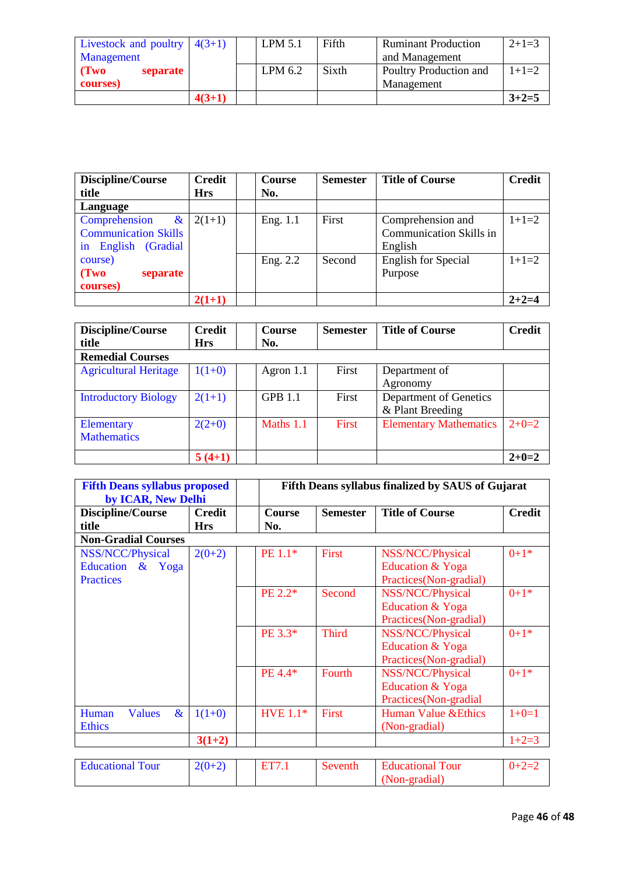| Livestock and poultry $4(3+1)$ |          | LPM 5.1 | Fifth | <b>Ruminant Production</b> | $2+1=3$ |
|--------------------------------|----------|---------|-------|----------------------------|---------|
| Management                     |          |         |       | and Management             |         |
| $\Gamma$ (Two<br>separate      |          | LPM 6.2 | Sixth | Poultry Production and     | $1+1=2$ |
| courses)                       |          |         |       | Management                 |         |
|                                | $4(3+1)$ |         |       |                            | $3+2=5$ |

| Discipline/Course           | <b>Credit</b> | Course   | <b>Semester</b> | <b>Title of Course</b>         | <b>Credit</b> |
|-----------------------------|---------------|----------|-----------------|--------------------------------|---------------|
| title                       | <b>Hrs</b>    | No.      |                 |                                |               |
| Language                    |               |          |                 |                                |               |
| Comprehension<br>$\&$       | $2(1+1)$      | Eng. 1.1 | First           | Comprehension and              | $1+1=2$       |
| <b>Communication Skills</b> |               |          |                 | <b>Communication Skills in</b> |               |
| English (Gradial<br>in      |               |          |                 | English                        |               |
| course)                     |               | Eng. 2.2 | Second          | <b>English for Special</b>     | $1+1=2$       |
| (Tw0)<br>separate           |               |          |                 | Purpose                        |               |
| courses)                    |               |          |                 |                                |               |
|                             | $2(1+1)$      |          |                 |                                | $2+2=4$       |

| Discipline/Course            | <b>Credit</b> | <b>Course</b> | <b>Semester</b> | <b>Title of Course</b>        | <b>Credit</b> |
|------------------------------|---------------|---------------|-----------------|-------------------------------|---------------|
| title                        | <b>Hrs</b>    | No.           |                 |                               |               |
| <b>Remedial Courses</b>      |               |               |                 |                               |               |
| <b>Agricultural Heritage</b> | $1(1+0)$      | Agron $1.1$   | First           | Department of                 |               |
|                              |               |               |                 | Agronomy                      |               |
| <b>Introductory Biology</b>  | $2(1+1)$      | GPB 1.1       | First           | Department of Genetics        |               |
|                              |               |               |                 | & Plant Breeding              |               |
| Elementary                   | $2(2+0)$      | Maths 1.1     | First           | <b>Elementary Mathematics</b> | $2+0=2$       |
| <b>Mathematics</b>           |               |               |                 |                               |               |
|                              | $5(4+1)$      |               |                 |                               | $2+0=2$       |

| <b>Fifth Deans syllabus proposed</b><br>by ICAR, New Delhi  |                                   | Fifth Deans syllabus finalized by SAUS of Gujarat |                            |                                                                |               |  |  |  |
|-------------------------------------------------------------|-----------------------------------|---------------------------------------------------|----------------------------|----------------------------------------------------------------|---------------|--|--|--|
| Discipline/Course<br>title                                  | <b>Credit</b><br><b>Hrs</b>       | <b>Course</b><br>No.                              | <b>Semester</b>            | <b>Title of Course</b>                                         | <b>Credit</b> |  |  |  |
| <b>Non-Gradial Courses</b>                                  |                                   |                                                   |                            |                                                                |               |  |  |  |
| NSS/NCC/Physical<br>Education $\&$ Yoga<br><b>Practices</b> | $2(0+2)$                          | PE 1.1*                                           | First                      | NSS/NCC/Physical<br>Education & Yoga<br>Practices(Non-gradial) | $0+1*$        |  |  |  |
|                                                             |                                   | PE 2.2*                                           | Second                     | NSS/NCC/Physical<br>Education & Yoga<br>Practices(Non-gradial) | $0+1*$        |  |  |  |
|                                                             |                                   | PE 3.3*                                           | <b>Third</b>               | NSS/NCC/Physical<br>Education & Yoga<br>Practices(Non-gradial) | $0+1*$        |  |  |  |
|                                                             |                                   | PE 4.4*                                           | Fourth                     | NSS/NCC/Physical<br>Education & Yoga<br>Practices(Non-gradial  | $0+1*$        |  |  |  |
| Human<br><b>Values</b><br>$\&$<br><b>Ethics</b>             | $1(1+0)$                          | <b>HVE 1.1*</b>                                   | First                      | <b>Human Value &amp; Ethics</b><br>(Non-gradial)               | $1+0=1$       |  |  |  |
|                                                             | $3(1+2)$                          |                                                   |                            |                                                                | $1+2=3$       |  |  |  |
| $T = 1$ $T = 1$ $T = 1$                                     | $\Delta$ ( $\Delta$ ), $\Delta$ ) | $PPTZ = 1$                                        | $\sim$<br><b>CONTINUES</b> | $T(1 - t)$ $T(T)$                                              | 0.00          |  |  |  |

| <b>Educational Tour</b> | $2(0+2)$ |  | ' Tour<br>- Educational - |  |
|-------------------------|----------|--|---------------------------|--|
|                         |          |  | $Non-$                    |  |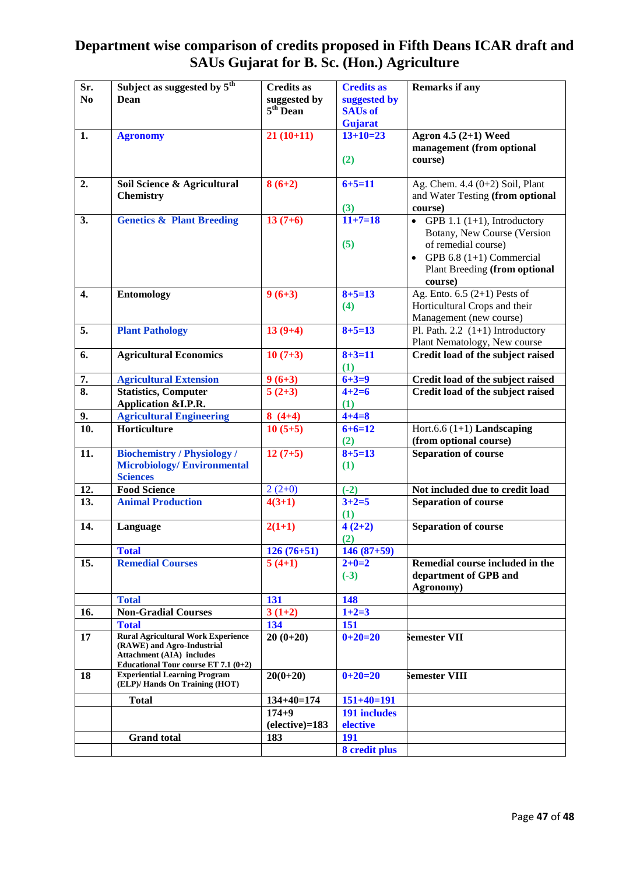# **Department wise comparison of credits proposed in Fifth Deans ICAR draft and SAUs Gujarat for B. Sc. (Hon.) Agriculture**

| Sr.                       | Subject as suggested by 5 <sup>th</sup>                                    | <b>Credits as</b> | <b>Credits as</b>   | <b>Remarks if any</b>                |
|---------------------------|----------------------------------------------------------------------------|-------------------|---------------------|--------------------------------------|
| N <sub>0</sub>            | Dean                                                                       | suggested by      | suggested by        |                                      |
|                           |                                                                            | $5th$ Dean        | <b>SAUs of</b>      |                                      |
|                           |                                                                            |                   | Gujarat             |                                      |
| 1.                        | <b>Agronomy</b>                                                            | $21(10+11)$       | $13+10=23$          | Agron 4.5 (2+1) Weed                 |
|                           |                                                                            |                   |                     | management (from optional            |
|                           |                                                                            |                   | (2)                 | course)                              |
| 2.                        | Soil Science & Agricultural                                                | $8(6+2)$          | $6 + 5 = 11$        | Ag. Chem. $4.4(0+2)$ Soil, Plant     |
|                           | <b>Chemistry</b>                                                           |                   |                     | and Water Testing (from optional     |
|                           |                                                                            |                   | (3)                 | course)                              |
| 3.                        | <b>Genetics &amp; Plant Breeding</b>                                       | $13(7+6)$         | $11+7=18$           | • GPB 1.1 $(1+1)$ , Introductory     |
|                           |                                                                            |                   |                     | Botany, New Course (Version          |
|                           |                                                                            |                   | (5)                 | of remedial course)                  |
|                           |                                                                            |                   |                     | • GPB 6.8 $(1+1)$ Commercial         |
|                           |                                                                            |                   |                     | <b>Plant Breeding (from optional</b> |
|                           |                                                                            |                   |                     | course)                              |
| 4.                        | <b>Entomology</b>                                                          | $9(6+3)$          | $8 + 5 = 13$        | Ag. Ento. $6.5$ (2+1) Pests of       |
|                           |                                                                            |                   | (4)                 | Horticultural Crops and their        |
|                           |                                                                            |                   |                     | Management (new course)              |
| 5.                        | <b>Plant Pathology</b>                                                     | $13(9+4)$         | $8 + 5 = 13$        | Pl. Path. 2.2 $(1+1)$ Introductory   |
|                           |                                                                            |                   |                     | Plant Nematology, New course         |
| 6.                        | <b>Agricultural Economics</b>                                              | $10(7+3)$         | $8 + 3 = 11$        | Credit load of the subject raised    |
|                           |                                                                            |                   | (1)                 |                                      |
| 7.                        | <b>Agricultural Extension</b>                                              | $9(6+3)$          | $6 + 3 = 9$         | Credit load of the subject raised    |
| $\overline{\mathbf{8}}$ . | <b>Statistics, Computer</b>                                                | $5(2+3)$          | $4 + 2 = 6$         | Credit load of the subject raised    |
|                           | Application & I.P.R.                                                       |                   | (1)                 |                                      |
| 9.                        | <b>Agricultural Engineering</b>                                            | $8(4+4)$          | $4 + 4 = 8$         |                                      |
| $\overline{10}$ .         | Horticulture                                                               | $10(5+5)$         | $6+6=12$            | Hort.6.6 $(1+1)$ Landscaping         |
|                           |                                                                            |                   | (2)                 | (from optional course)               |
| 11.                       | <b>Biochemistry / Physiology /</b>                                         | $12(7+5)$         | $8 + 5 = 13$        | <b>Separation of course</b>          |
|                           | <b>Microbiology/Environmental</b>                                          |                   | (1)                 |                                      |
|                           | <b>Sciences</b>                                                            |                   |                     |                                      |
| 12.                       | <b>Food Science</b>                                                        | $2(2+0)$          | $(-2)$              | Not included due to credit load      |
| 13.                       | <b>Animal Production</b>                                                   | $4(3+1)$          | $3+2=5$             | <b>Separation of course</b>          |
|                           |                                                                            |                   | (1)                 |                                      |
| 14.                       | Language                                                                   | $2(1+1)$          | $4(2+2)$            | <b>Separation of course</b>          |
|                           | <b>Total</b>                                                               | $126(76+51)$      | (2)<br>$146(87+59)$ |                                      |
| 15.                       | <b>Remedial Courses</b>                                                    | $5(4+1)$          | $2 + 0 = 2$         | Remedial course included in the      |
|                           |                                                                            |                   | $(-3)$              | department of GPB and                |
|                           |                                                                            |                   |                     | Agronomy)                            |
|                           | <b>Total</b>                                                               | 131               | 148                 |                                      |
| 16.                       | <b>Non-Gradial Courses</b>                                                 | $3(1+2)$          | $1+2=3$             |                                      |
|                           | <b>Total</b>                                                               | 134               | 151                 |                                      |
| 17                        | <b>Rural Agricultural Work Experience</b>                                  | $20(0+20)$        | $0+20=20$           | <b>Semester VII</b>                  |
|                           | (RAWE) and Agro-Industrial                                                 |                   |                     |                                      |
|                           | <b>Attachment (AIA)</b> includes<br>Educational Tour course ET 7.1 $(0+2)$ |                   |                     |                                      |
| 18                        | <b>Experiential Learning Program</b>                                       | $20(0+20)$        | $0+20=20$           | Semester VIII                        |
|                           | (ELP)/ Hands On Training (HOT)                                             |                   |                     |                                      |
|                           | <b>Total</b>                                                               | $134+40=174$      | $151+40=191$        |                                      |
|                           |                                                                            | $174 + 9$         | 191 includes        |                                      |
|                           |                                                                            | $(elective)=183$  | elective            |                                      |
|                           | <b>Grand</b> total                                                         | 183               | 191                 |                                      |
|                           |                                                                            |                   | 8 credit plus       |                                      |